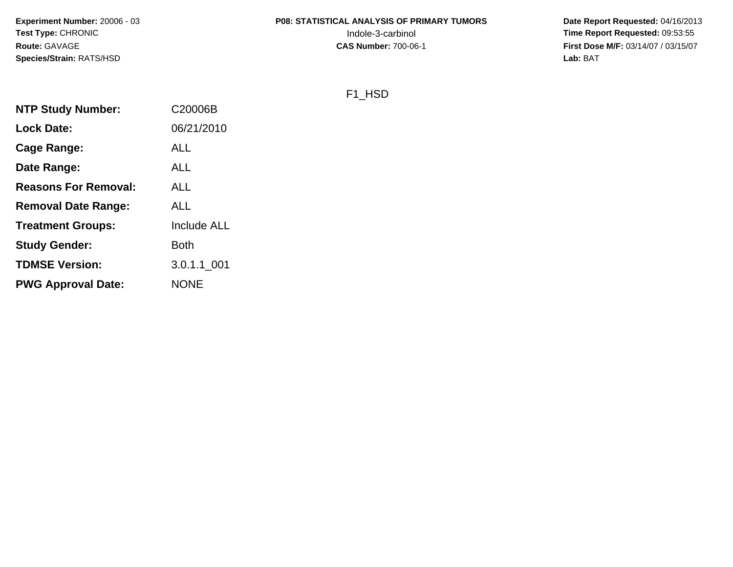**Experiment Number:** 20006 - 03**Test Type:** CHRONIC**Route:** GAVAGE**Species/Strain:** RATS/HSD

# **P08: STATISTICAL ANALYSIS OF PRIMARY TUMORS**

 **Date Report Requested:** 04/16/2013 Indole-3-carbinol **Time Report Requested:** 09:53:55 **First Dose M/F:** 03/14/07 / 03/15/07<br>Lab: BAT **Lab:** BAT

#### F1\_HSD

| <b>NTP Study Number:</b>    | C20006B     |
|-----------------------------|-------------|
| <b>Lock Date:</b>           | 06/21/2010  |
| Cage Range:                 | <b>ALL</b>  |
| Date Range:                 | ALL         |
| <b>Reasons For Removal:</b> | <b>ALL</b>  |
| <b>Removal Date Range:</b>  | <b>ALL</b>  |
| <b>Treatment Groups:</b>    | Include ALL |
| <b>Study Gender:</b>        | <b>Both</b> |
| <b>TDMSE Version:</b>       | 3.0.1.1 001 |
| <b>PWG Approval Date:</b>   | <b>NONE</b> |
|                             |             |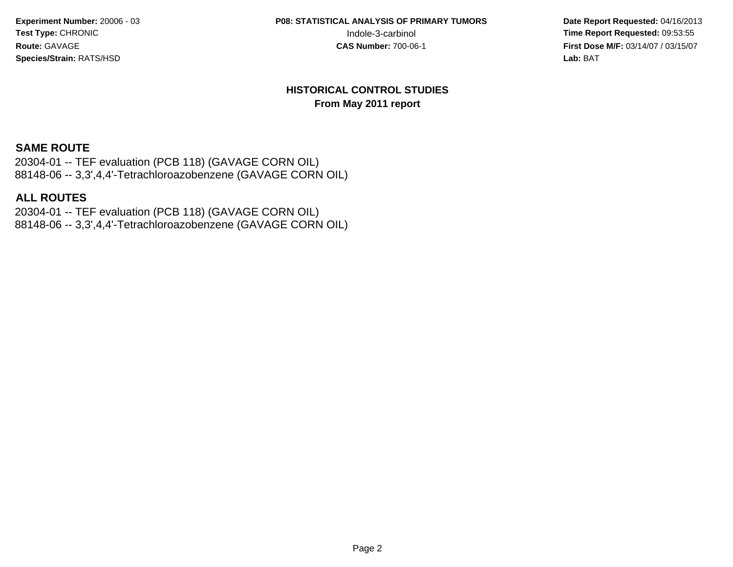**Experiment Number:** 20006 - 03**Test Type:** CHRONIC**Route:** GAVAGE**Species/Strain:** RATS/HSD

**P08: STATISTICAL ANALYSIS OF PRIMARY TUMORS**

 **Date Report Requested:** 04/16/2013 Indole-3-carbinol **Time Report Requested:** 09:53:55 **First Dose M/F:** 03/14/07 / 03/15/07<br>**Lab:** BAT **Lab:** BAT

#### **HISTORICAL CONTROL STUDIESFrom May 2011 report**

#### **SAME ROUTE**

 20304-01 -- TEF evaluation (PCB 118) (GAVAGE CORN OIL)88148-06 -- 3,3',4,4'-Tetrachloroazobenzene (GAVAGE CORN OIL)

#### **ALL ROUTES**

 20304-01 -- TEF evaluation (PCB 118) (GAVAGE CORN OIL)88148-06 -- 3,3',4,4'-Tetrachloroazobenzene (GAVAGE CORN OIL)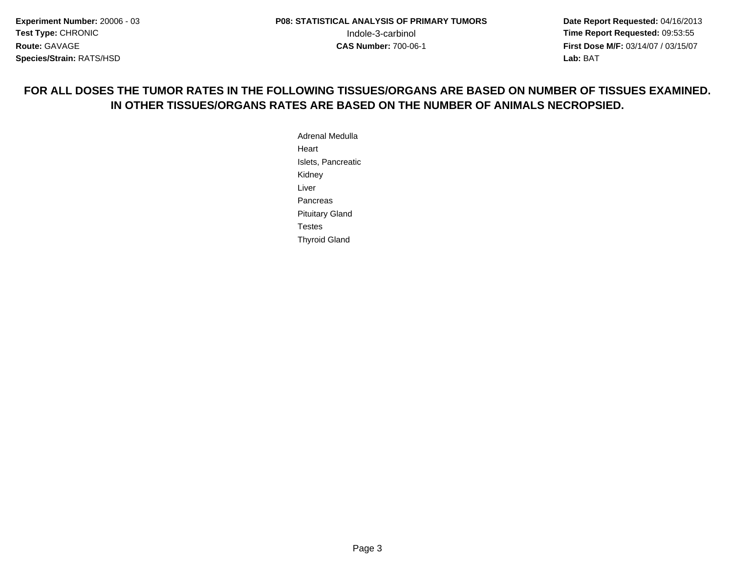**Date Report Requested:** 04/16/2013 **First Dose M/F:** 03/14/07 / 03/15/07<br>**Lab:** BAT **Lab:** BAT

# **FOR ALL DOSES THE TUMOR RATES IN THE FOLLOWING TISSUES/ORGANS ARE BASED ON NUMBER OF TISSUES EXAMINED.IN OTHER TISSUES/ORGANS RATES ARE BASED ON THE NUMBER OF ANIMALS NECROPSIED.**

Adrenal MedullaHeartIslets, PancreaticKidneyLiver**Pancreas**  Pituitary GlandTestesThyroid Gland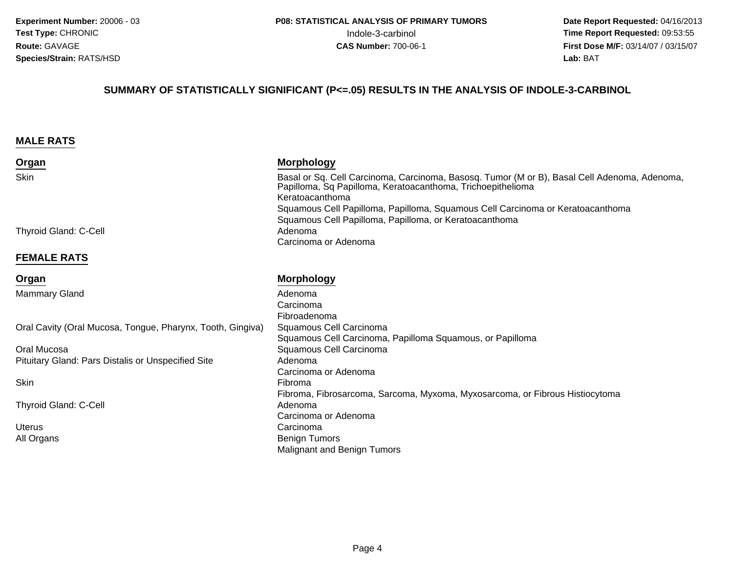#### **SUMMARY OF STATISTICALLY SIGNIFICANT (P<=.05) RESULTS IN THE ANALYSIS OF INDOLE-3-CARBINOL**

#### **MALE RATS**

| Organ                                                      | <b>Morphology</b>                                                                                                                                                              |
|------------------------------------------------------------|--------------------------------------------------------------------------------------------------------------------------------------------------------------------------------|
| Skin                                                       | Basal or Sq. Cell Carcinoma, Carcinoma, Basosq. Tumor (M or B), Basal Cell Adenoma, Adenoma,<br>Papilloma, Sq Papilloma, Keratoacanthoma, Trichoepithelioma<br>Keratoacanthoma |
|                                                            | Squamous Cell Papilloma, Papilloma, Squamous Cell Carcinoma or Keratoacanthoma                                                                                                 |
| <b>Thyroid Gland: C-Cell</b>                               | Squamous Cell Papilloma, Papilloma, or Keratoacanthoma<br>Adenoma                                                                                                              |
|                                                            | Carcinoma or Adenoma                                                                                                                                                           |
| <b>FEMALE RATS</b>                                         |                                                                                                                                                                                |
| Organ                                                      | <b>Morphology</b>                                                                                                                                                              |
| <b>Mammary Gland</b>                                       | Adenoma                                                                                                                                                                        |
|                                                            | Carcinoma                                                                                                                                                                      |
|                                                            | Fibroadenoma                                                                                                                                                                   |
| Oral Cavity (Oral Mucosa, Tongue, Pharynx, Tooth, Gingiva) | Squamous Cell Carcinoma<br>Squamous Cell Carcinoma, Papilloma Squamous, or Papilloma                                                                                           |
| Oral Mucosa                                                | Squamous Cell Carcinoma                                                                                                                                                        |
| Pituitary Gland: Pars Distalis or Unspecified Site         | Adenoma                                                                                                                                                                        |
|                                                            | Carcinoma or Adenoma                                                                                                                                                           |
| Skin                                                       | Fibroma                                                                                                                                                                        |
|                                                            | Fibroma, Fibrosarcoma, Sarcoma, Myxoma, Myxosarcoma, or Fibrous Histiocytoma                                                                                                   |
| <b>Thyroid Gland: C-Cell</b>                               | Adenoma                                                                                                                                                                        |
|                                                            | Carcinoma or Adenoma                                                                                                                                                           |
| <b>Uterus</b>                                              | Carcinoma                                                                                                                                                                      |
| All Organs                                                 | <b>Benign Tumors</b>                                                                                                                                                           |
|                                                            | <b>Malignant and Benign Tumors</b>                                                                                                                                             |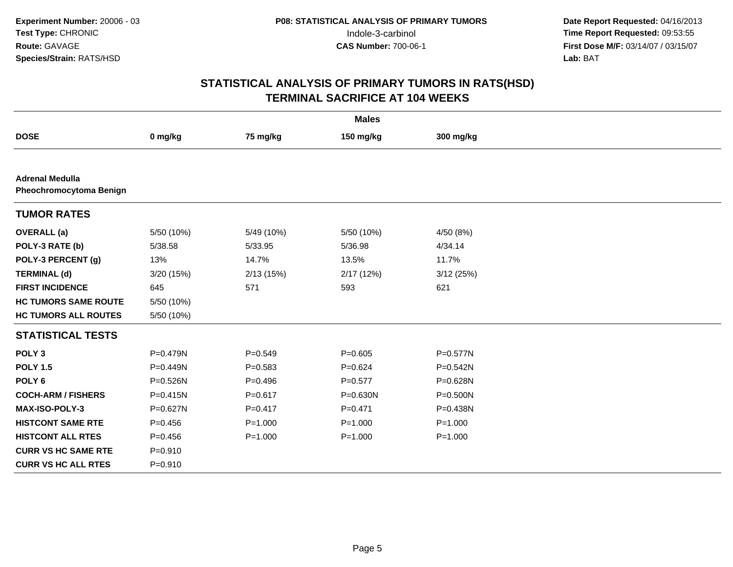| <b>Males</b>                                      |              |             |             |              |  |  |
|---------------------------------------------------|--------------|-------------|-------------|--------------|--|--|
| <b>DOSE</b>                                       | 0 mg/kg      | 75 mg/kg    | 150 mg/kg   | 300 mg/kg    |  |  |
|                                                   |              |             |             |              |  |  |
| <b>Adrenal Medulla</b><br>Pheochromocytoma Benign |              |             |             |              |  |  |
| <b>TUMOR RATES</b>                                |              |             |             |              |  |  |
| <b>OVERALL</b> (a)                                | 5/50 (10%)   | 5/49 (10%)  | 5/50 (10%)  | 4/50 (8%)    |  |  |
| POLY-3 RATE (b)                                   | 5/38.58      | 5/33.95     | 5/36.98     | 4/34.14      |  |  |
| POLY-3 PERCENT (g)                                | 13%          | 14.7%       | 13.5%       | 11.7%        |  |  |
| <b>TERMINAL (d)</b>                               | 3/20 (15%)   | 2/13(15%)   | 2/17(12%)   | 3/12(25%)    |  |  |
| <b>FIRST INCIDENCE</b>                            | 645          | 571         | 593         | 621          |  |  |
| <b>HC TUMORS SAME ROUTE</b>                       | 5/50 (10%)   |             |             |              |  |  |
| <b>HC TUMORS ALL ROUTES</b>                       | 5/50 (10%)   |             |             |              |  |  |
| <b>STATISTICAL TESTS</b>                          |              |             |             |              |  |  |
| POLY <sub>3</sub>                                 | P=0.479N     | $P = 0.549$ | $P = 0.605$ | P=0.577N     |  |  |
| <b>POLY 1.5</b>                                   | P=0.449N     | $P = 0.583$ | $P = 0.624$ | P=0.542N     |  |  |
| POLY <sub>6</sub>                                 | P=0.526N     | $P=0.496$   | $P=0.577$   | P=0.628N     |  |  |
| <b>COCH-ARM / FISHERS</b>                         | $P = 0.415N$ | $P = 0.617$ | P=0.630N    | P=0.500N     |  |  |
| <b>MAX-ISO-POLY-3</b>                             | P=0.627N     | $P = 0.417$ | $P = 0.471$ | $P = 0.438N$ |  |  |
| <b>HISTCONT SAME RTE</b>                          | $P = 0.456$  | $P = 1.000$ | $P = 1.000$ | $P = 1.000$  |  |  |
| <b>HISTCONT ALL RTES</b>                          | $P=0.456$    | $P = 1.000$ | $P = 1.000$ | $P = 1.000$  |  |  |
| <b>CURR VS HC SAME RTE</b>                        | $P = 0.910$  |             |             |              |  |  |
| <b>CURR VS HC ALL RTES</b>                        | $P = 0.910$  |             |             |              |  |  |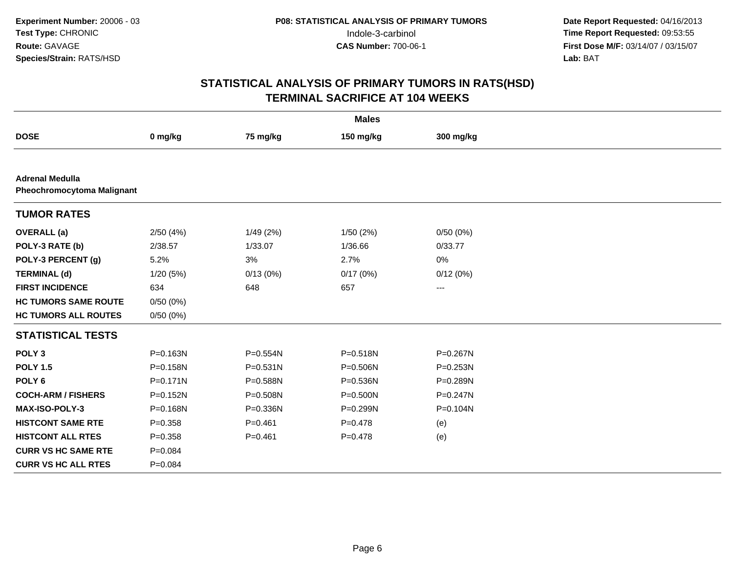| <b>Males</b>                                                |              |              |              |              |  |  |  |
|-------------------------------------------------------------|--------------|--------------|--------------|--------------|--|--|--|
| <b>DOSE</b>                                                 | 0 mg/kg      | 75 mg/kg     | 150 mg/kg    | 300 mg/kg    |  |  |  |
|                                                             |              |              |              |              |  |  |  |
| <b>Adrenal Medulla</b><br><b>Pheochromocytoma Malignant</b> |              |              |              |              |  |  |  |
| <b>TUMOR RATES</b>                                          |              |              |              |              |  |  |  |
| <b>OVERALL</b> (a)                                          | 2/50(4%)     | 1/49(2%)     | 1/50(2%)     | 0/50(0%)     |  |  |  |
| POLY-3 RATE (b)                                             | 2/38.57      | 1/33.07      | 1/36.66      | 0/33.77      |  |  |  |
| POLY-3 PERCENT (g)                                          | 5.2%         | 3%           | 2.7%         | 0%           |  |  |  |
| <b>TERMINAL (d)</b>                                         | 1/20(5%)     | 0/13(0%)     | 0/17(0%)     | 0/12(0%)     |  |  |  |
| <b>FIRST INCIDENCE</b>                                      | 634          | 648          | 657          | ---          |  |  |  |
| <b>HC TUMORS SAME ROUTE</b>                                 | 0/50(0%)     |              |              |              |  |  |  |
| <b>HC TUMORS ALL ROUTES</b>                                 | 0/50(0%)     |              |              |              |  |  |  |
| <b>STATISTICAL TESTS</b>                                    |              |              |              |              |  |  |  |
| POLY <sub>3</sub>                                           | P=0.163N     | $P = 0.554N$ | P=0.518N     | P=0.267N     |  |  |  |
| <b>POLY 1.5</b>                                             | P=0.158N     | $P = 0.531N$ | P=0.506N     | $P = 0.253N$ |  |  |  |
| POLY <sub>6</sub>                                           | $P = 0.171N$ | P=0.588N     | P=0.536N     | P=0.289N     |  |  |  |
| <b>COCH-ARM / FISHERS</b>                                   | $P=0.152N$   | P=0.508N     | $P = 0.500N$ | $P = 0.247N$ |  |  |  |
| MAX-ISO-POLY-3                                              | P=0.168N     | P=0.336N     | P=0.299N     | P=0.104N     |  |  |  |
| <b>HISTCONT SAME RTE</b>                                    | $P = 0.358$  | $P = 0.461$  | $P = 0.478$  | (e)          |  |  |  |
| <b>HISTCONT ALL RTES</b>                                    | $P = 0.358$  | $P = 0.461$  | $P = 0.478$  | (e)          |  |  |  |
| <b>CURR VS HC SAME RTE</b>                                  | $P = 0.084$  |              |              |              |  |  |  |
| <b>CURR VS HC ALL RTES</b>                                  | $P=0.084$    |              |              |              |  |  |  |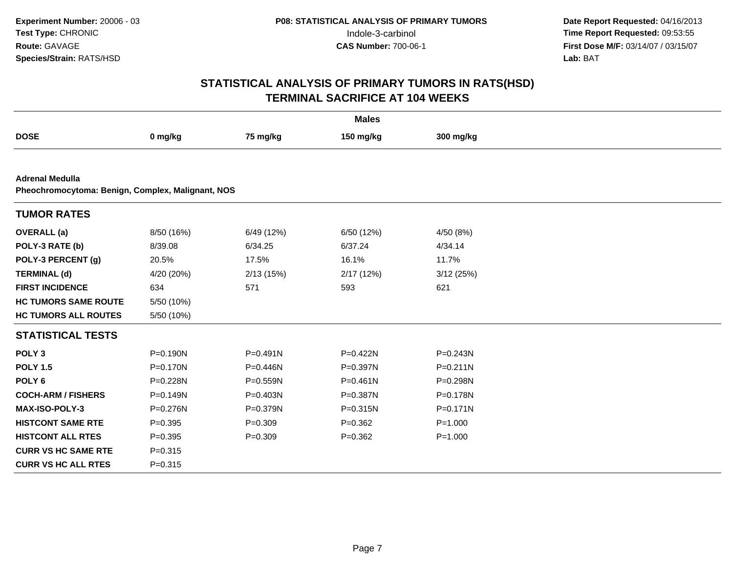| <b>Males</b>                                                                |              |              |              |              |  |  |
|-----------------------------------------------------------------------------|--------------|--------------|--------------|--------------|--|--|
| <b>DOSE</b>                                                                 | 0 mg/kg      | 75 mg/kg     | 150 mg/kg    | 300 mg/kg    |  |  |
|                                                                             |              |              |              |              |  |  |
| <b>Adrenal Medulla</b><br>Pheochromocytoma: Benign, Complex, Malignant, NOS |              |              |              |              |  |  |
| <b>TUMOR RATES</b>                                                          |              |              |              |              |  |  |
| <b>OVERALL</b> (a)                                                          | 8/50 (16%)   | 6/49 (12%)   | 6/50 (12%)   | 4/50 (8%)    |  |  |
| POLY-3 RATE (b)                                                             | 8/39.08      | 6/34.25      | 6/37.24      | 4/34.14      |  |  |
| POLY-3 PERCENT (g)                                                          | 20.5%        | 17.5%        | 16.1%        | 11.7%        |  |  |
| <b>TERMINAL (d)</b>                                                         | 4/20 (20%)   | 2/13(15%)    | 2/17(12%)    | 3/12(25%)    |  |  |
| <b>FIRST INCIDENCE</b>                                                      | 634          | 571          | 593          | 621          |  |  |
| <b>HC TUMORS SAME ROUTE</b>                                                 | 5/50 (10%)   |              |              |              |  |  |
| <b>HC TUMORS ALL ROUTES</b>                                                 | 5/50 (10%)   |              |              |              |  |  |
| <b>STATISTICAL TESTS</b>                                                    |              |              |              |              |  |  |
| POLY <sub>3</sub>                                                           | P=0.190N     | $P = 0.491N$ | $P=0.422N$   | P=0.243N     |  |  |
| <b>POLY 1.5</b>                                                             | $P = 0.170N$ | P=0.446N     | P=0.397N     | $P = 0.211N$ |  |  |
| POLY <sub>6</sub>                                                           | P=0.228N     | P=0.559N     | $P = 0.461N$ | P=0.298N     |  |  |
| <b>COCH-ARM / FISHERS</b>                                                   | P=0.149N     | P=0.403N     | P=0.387N     | P=0.178N     |  |  |
| MAX-ISO-POLY-3                                                              | P=0.276N     | P=0.379N     | P=0.315N     | $P = 0.171N$ |  |  |
| <b>HISTCONT SAME RTE</b>                                                    | $P = 0.395$  | $P = 0.309$  | $P=0.362$    | $P = 1.000$  |  |  |
| <b>HISTCONT ALL RTES</b>                                                    | $P = 0.395$  | $P = 0.309$  | $P=0.362$    | $P = 1.000$  |  |  |
| <b>CURR VS HC SAME RTE</b>                                                  | $P = 0.315$  |              |              |              |  |  |
| <b>CURR VS HC ALL RTES</b>                                                  | $P = 0.315$  |              |              |              |  |  |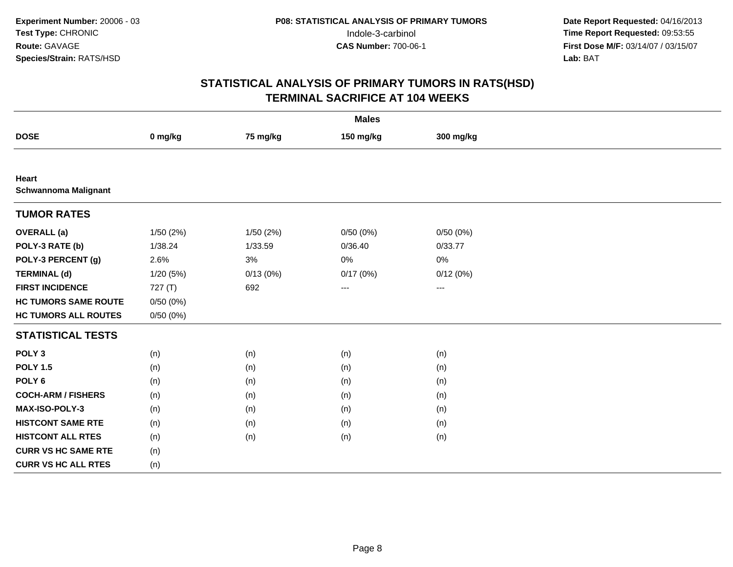| <b>Males</b>                         |          |          |           |                     |  |  |
|--------------------------------------|----------|----------|-----------|---------------------|--|--|
| <b>DOSE</b>                          | 0 mg/kg  | 75 mg/kg | 150 mg/kg | 300 mg/kg           |  |  |
|                                      |          |          |           |                     |  |  |
| Heart<br><b>Schwannoma Malignant</b> |          |          |           |                     |  |  |
| <b>TUMOR RATES</b>                   |          |          |           |                     |  |  |
| <b>OVERALL</b> (a)                   | 1/50(2%) | 1/50(2%) | 0/50(0%)  | 0/50(0%)            |  |  |
| POLY-3 RATE (b)                      | 1/38.24  | 1/33.59  | 0/36.40   | 0/33.77             |  |  |
| POLY-3 PERCENT (g)                   | 2.6%     | 3%       | 0%        | 0%                  |  |  |
| <b>TERMINAL (d)</b>                  | 1/20(5%) | 0/13(0%) | 0/17(0%)  | 0/12(0%)            |  |  |
| <b>FIRST INCIDENCE</b>               | 727(T)   | 692      | ---       | $\qquad \qquad - -$ |  |  |
| <b>HC TUMORS SAME ROUTE</b>          | 0/50(0%) |          |           |                     |  |  |
| <b>HC TUMORS ALL ROUTES</b>          | 0/50(0%) |          |           |                     |  |  |
| <b>STATISTICAL TESTS</b>             |          |          |           |                     |  |  |
| POLY <sub>3</sub>                    | (n)      | (n)      | (n)       | (n)                 |  |  |
| <b>POLY 1.5</b>                      | (n)      | (n)      | (n)       | (n)                 |  |  |
| POLY <sub>6</sub>                    | (n)      | (n)      | (n)       | (n)                 |  |  |
| <b>COCH-ARM / FISHERS</b>            | (n)      | (n)      | (n)       | (n)                 |  |  |
| MAX-ISO-POLY-3                       | (n)      | (n)      | (n)       | (n)                 |  |  |
| <b>HISTCONT SAME RTE</b>             | (n)      | (n)      | (n)       | (n)                 |  |  |
| <b>HISTCONT ALL RTES</b>             | (n)      | (n)      | (n)       | (n)                 |  |  |
| <b>CURR VS HC SAME RTE</b>           | (n)      |          |           |                     |  |  |
| <b>CURR VS HC ALL RTES</b>           | (n)      |          |           |                     |  |  |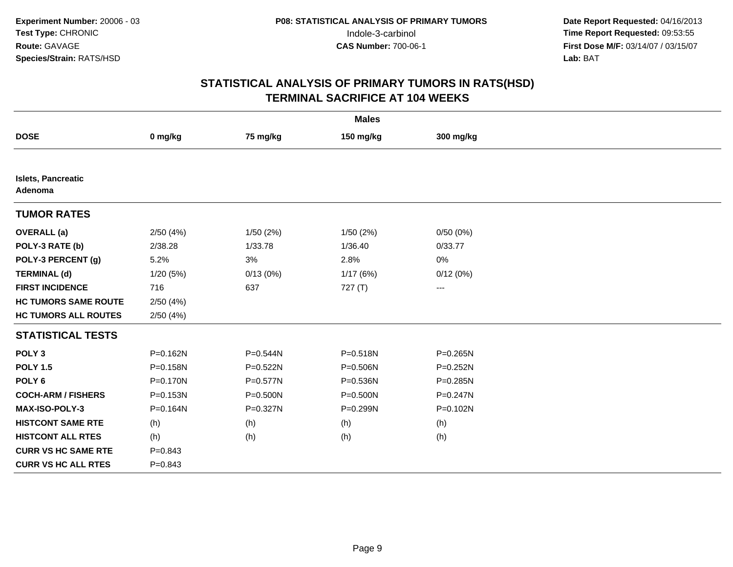| <b>Males</b>                         |             |              |              |                   |  |  |
|--------------------------------------|-------------|--------------|--------------|-------------------|--|--|
| <b>DOSE</b>                          | 0 mg/kg     | 75 mg/kg     | 150 mg/kg    | 300 mg/kg         |  |  |
|                                      |             |              |              |                   |  |  |
| <b>Islets, Pancreatic</b><br>Adenoma |             |              |              |                   |  |  |
| <b>TUMOR RATES</b>                   |             |              |              |                   |  |  |
| <b>OVERALL</b> (a)                   | 2/50(4%)    | 1/50(2%)     | 1/50(2%)     | 0/50(0%)          |  |  |
| POLY-3 RATE (b)                      | 2/38.28     | 1/33.78      | 1/36.40      | 0/33.77           |  |  |
| POLY-3 PERCENT (g)                   | 5.2%        | 3%           | 2.8%         | 0%                |  |  |
| <b>TERMINAL (d)</b>                  | 1/20 (5%)   | 0/13(0%)     | 1/17(6%)     | 0/12(0%)          |  |  |
| <b>FIRST INCIDENCE</b>               | 716         | 637          | 727(T)       | $\qquad \qquad -$ |  |  |
| <b>HC TUMORS SAME ROUTE</b>          | 2/50(4%)    |              |              |                   |  |  |
| <b>HC TUMORS ALL ROUTES</b>          | 2/50(4%)    |              |              |                   |  |  |
| <b>STATISTICAL TESTS</b>             |             |              |              |                   |  |  |
| POLY <sub>3</sub>                    | P=0.162N    | P=0.544N     | P=0.518N     | P=0.265N          |  |  |
| <b>POLY 1.5</b>                      | P=0.158N    | P=0.522N     | P=0.506N     | P=0.252N          |  |  |
| POLY <sub>6</sub>                    | P=0.170N    | $P = 0.577N$ | P=0.536N     | $P = 0.285N$      |  |  |
| <b>COCH-ARM / FISHERS</b>            | P=0.153N    | $P = 0.500N$ | $P = 0.500N$ | P=0.247N          |  |  |
| <b>MAX-ISO-POLY-3</b>                | P=0.164N    | P=0.327N     | P=0.299N     | P=0.102N          |  |  |
| <b>HISTCONT SAME RTE</b>             | (h)         | (h)          | (h)          | (h)               |  |  |
| <b>HISTCONT ALL RTES</b>             | (h)         | (h)          | (h)          | (h)               |  |  |
| <b>CURR VS HC SAME RTE</b>           | $P = 0.843$ |              |              |                   |  |  |
| <b>CURR VS HC ALL RTES</b>           | $P = 0.843$ |              |              |                   |  |  |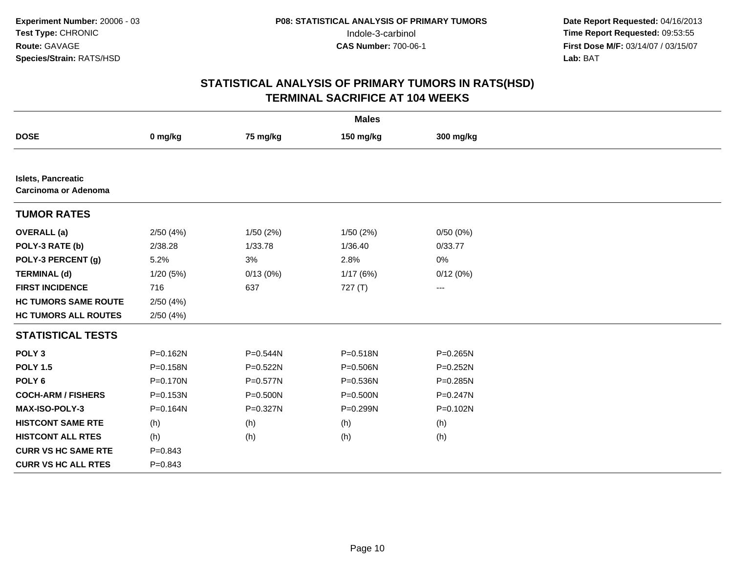| <b>Males</b>                                      |              |           |              |           |  |
|---------------------------------------------------|--------------|-----------|--------------|-----------|--|
| <b>DOSE</b>                                       | 0 mg/kg      | 75 mg/kg  | 150 mg/kg    | 300 mg/kg |  |
|                                                   |              |           |              |           |  |
| Islets, Pancreatic<br><b>Carcinoma or Adenoma</b> |              |           |              |           |  |
| <b>TUMOR RATES</b>                                |              |           |              |           |  |
| <b>OVERALL</b> (a)                                | 2/50(4%)     | 1/50 (2%) | 1/50(2%)     | 0/50(0%)  |  |
| POLY-3 RATE (b)                                   | 2/38.28      | 1/33.78   | 1/36.40      | 0/33.77   |  |
| POLY-3 PERCENT (g)                                | 5.2%         | 3%        | 2.8%         | 0%        |  |
| <b>TERMINAL (d)</b>                               | 1/20(5%)     | 0/13(0%)  | 1/17(6%)     | 0/12(0%)  |  |
| <b>FIRST INCIDENCE</b>                            | 716          | 637       | 727(T)       | ---       |  |
| <b>HC TUMORS SAME ROUTE</b>                       | 2/50(4%)     |           |              |           |  |
| <b>HC TUMORS ALL ROUTES</b>                       | 2/50(4%)     |           |              |           |  |
| <b>STATISTICAL TESTS</b>                          |              |           |              |           |  |
| POLY <sub>3</sub>                                 | $P = 0.162N$ | P=0.544N  | P=0.518N     | P=0.265N  |  |
| <b>POLY 1.5</b>                                   | P=0.158N     | P=0.522N  | P=0.506N     | P=0.252N  |  |
| POLY <sub>6</sub>                                 | P=0.170N     | P=0.577N  | P=0.536N     | P=0.285N  |  |
| <b>COCH-ARM / FISHERS</b>                         | P=0.153N     | P=0.500N  | $P = 0.500N$ | P=0.247N  |  |
| MAX-ISO-POLY-3                                    | P=0.164N     | P=0.327N  | P=0.299N     | P=0.102N  |  |
| <b>HISTCONT SAME RTE</b>                          | (h)          | (h)       | (h)          | (h)       |  |
| <b>HISTCONT ALL RTES</b>                          | (h)          | (h)       | (h)          | (h)       |  |
| <b>CURR VS HC SAME RTE</b>                        | $P = 0.843$  |           |              |           |  |
| <b>CURR VS HC ALL RTES</b>                        | $P = 0.843$  |           |              |           |  |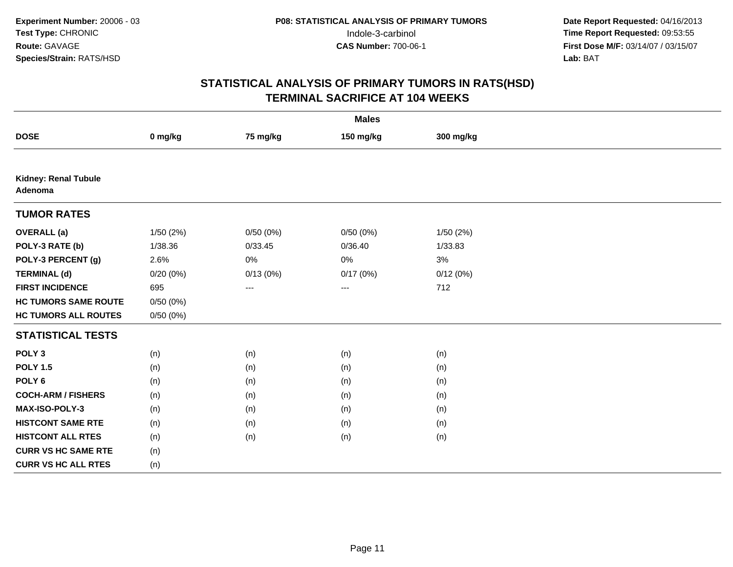| <b>Males</b>                           |           |          |           |           |  |  |
|----------------------------------------|-----------|----------|-----------|-----------|--|--|
| <b>DOSE</b>                            | 0 mg/kg   | 75 mg/kg | 150 mg/kg | 300 mg/kg |  |  |
|                                        |           |          |           |           |  |  |
| <b>Kidney: Renal Tubule</b><br>Adenoma |           |          |           |           |  |  |
| <b>TUMOR RATES</b>                     |           |          |           |           |  |  |
| <b>OVERALL</b> (a)                     | 1/50 (2%) | 0/50(0%) | 0/50(0%)  | 1/50(2%)  |  |  |
| POLY-3 RATE (b)                        | 1/38.36   | 0/33.45  | 0/36.40   | 1/33.83   |  |  |
| POLY-3 PERCENT (g)                     | 2.6%      | 0%       | 0%        | 3%        |  |  |
| <b>TERMINAL (d)</b>                    | 0/20(0%)  | 0/13(0%) | 0/17(0%)  | 0/12(0%)  |  |  |
| <b>FIRST INCIDENCE</b>                 | 695       | ---      | ---       | 712       |  |  |
| <b>HC TUMORS SAME ROUTE</b>            | 0/50(0%)  |          |           |           |  |  |
| <b>HC TUMORS ALL ROUTES</b>            | 0/50(0%)  |          |           |           |  |  |
| <b>STATISTICAL TESTS</b>               |           |          |           |           |  |  |
| POLY <sub>3</sub>                      | (n)       | (n)      | (n)       | (n)       |  |  |
| <b>POLY 1.5</b>                        | (n)       | (n)      | (n)       | (n)       |  |  |
| POLY <sub>6</sub>                      | (n)       | (n)      | (n)       | (n)       |  |  |
| <b>COCH-ARM / FISHERS</b>              | (n)       | (n)      | (n)       | (n)       |  |  |
| MAX-ISO-POLY-3                         | (n)       | (n)      | (n)       | (n)       |  |  |
| <b>HISTCONT SAME RTE</b>               | (n)       | (n)      | (n)       | (n)       |  |  |
| <b>HISTCONT ALL RTES</b>               | (n)       | (n)      | (n)       | (n)       |  |  |
| <b>CURR VS HC SAME RTE</b>             | (n)       |          |           |           |  |  |
| <b>CURR VS HC ALL RTES</b>             | (n)       |          |           |           |  |  |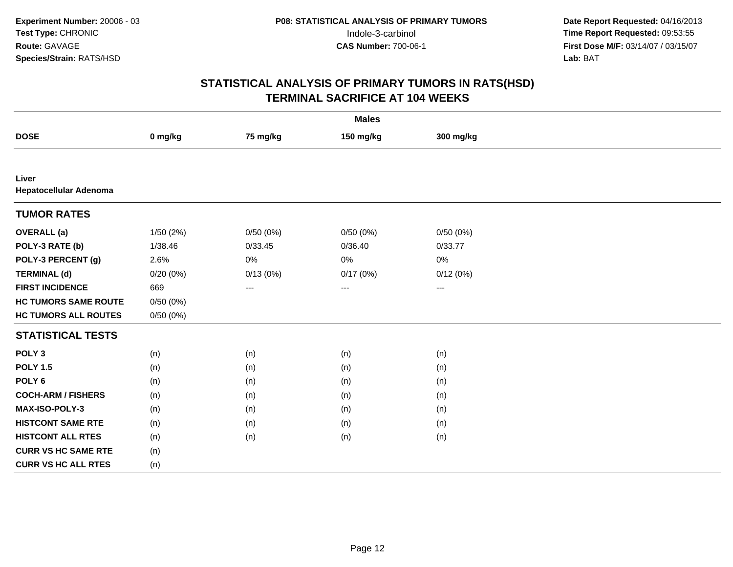| <b>Males</b>                    |          |          |           |           |  |  |
|---------------------------------|----------|----------|-----------|-----------|--|--|
| <b>DOSE</b>                     | 0 mg/kg  | 75 mg/kg | 150 mg/kg | 300 mg/kg |  |  |
|                                 |          |          |           |           |  |  |
| Liver<br>Hepatocellular Adenoma |          |          |           |           |  |  |
| <b>TUMOR RATES</b>              |          |          |           |           |  |  |
| <b>OVERALL</b> (a)              | 1/50(2%) | 0/50(0%) | 0/50(0%)  | 0/50(0%)  |  |  |
| POLY-3 RATE (b)                 | 1/38.46  | 0/33.45  | 0/36.40   | 0/33.77   |  |  |
| POLY-3 PERCENT (g)              | 2.6%     | 0%       | 0%        | 0%        |  |  |
| <b>TERMINAL (d)</b>             | 0/20(0%) | 0/13(0%) | 0/17(0%)  | 0/12(0%)  |  |  |
| <b>FIRST INCIDENCE</b>          | 669      | $---$    | ---       | $\cdots$  |  |  |
| <b>HC TUMORS SAME ROUTE</b>     | 0/50(0%) |          |           |           |  |  |
| <b>HC TUMORS ALL ROUTES</b>     | 0/50(0%) |          |           |           |  |  |
| <b>STATISTICAL TESTS</b>        |          |          |           |           |  |  |
| POLY <sub>3</sub>               | (n)      | (n)      | (n)       | (n)       |  |  |
| <b>POLY 1.5</b>                 | (n)      | (n)      | (n)       | (n)       |  |  |
| POLY <sub>6</sub>               | (n)      | (n)      | (n)       | (n)       |  |  |
| <b>COCH-ARM / FISHERS</b>       | (n)      | (n)      | (n)       | (n)       |  |  |
| MAX-ISO-POLY-3                  | (n)      | (n)      | (n)       | (n)       |  |  |
| <b>HISTCONT SAME RTE</b>        | (n)      | (n)      | (n)       | (n)       |  |  |
| <b>HISTCONT ALL RTES</b>        | (n)      | (n)      | (n)       | (n)       |  |  |
| <b>CURR VS HC SAME RTE</b>      | (n)      |          |           |           |  |  |
| <b>CURR VS HC ALL RTES</b>      | (n)      |          |           |           |  |  |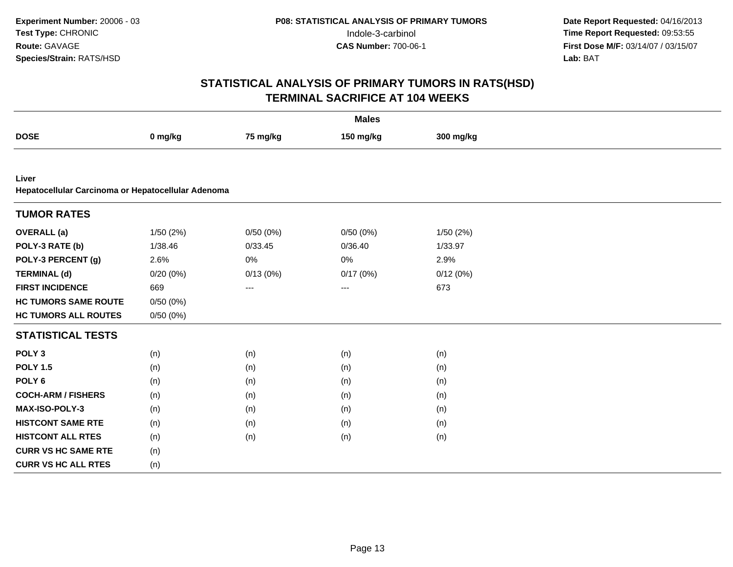| <b>Males</b>                                                |          |                   |           |           |  |  |
|-------------------------------------------------------------|----------|-------------------|-----------|-----------|--|--|
| <b>DOSE</b>                                                 | 0 mg/kg  | 75 mg/kg          | 150 mg/kg | 300 mg/kg |  |  |
|                                                             |          |                   |           |           |  |  |
| Liver<br>Hepatocellular Carcinoma or Hepatocellular Adenoma |          |                   |           |           |  |  |
| <b>TUMOR RATES</b>                                          |          |                   |           |           |  |  |
| <b>OVERALL</b> (a)                                          | 1/50(2%) | 0/50(0%)          | 0/50(0%)  | 1/50(2%)  |  |  |
| POLY-3 RATE (b)                                             | 1/38.46  | 0/33.45           | 0/36.40   | 1/33.97   |  |  |
| POLY-3 PERCENT (g)                                          | 2.6%     | 0%                | $0\%$     | 2.9%      |  |  |
| <b>TERMINAL (d)</b>                                         | 0/20(0%) | 0/13(0%)          | 0/17(0%)  | 0/12(0%)  |  |  |
| <b>FIRST INCIDENCE</b>                                      | 669      | $\qquad \qquad -$ | ---       | 673       |  |  |
| <b>HC TUMORS SAME ROUTE</b>                                 | 0/50(0%) |                   |           |           |  |  |
| <b>HC TUMORS ALL ROUTES</b>                                 | 0/50(0%) |                   |           |           |  |  |
| <b>STATISTICAL TESTS</b>                                    |          |                   |           |           |  |  |
| POLY <sub>3</sub>                                           | (n)      | (n)               | (n)       | (n)       |  |  |
| <b>POLY 1.5</b>                                             | (n)      | (n)               | (n)       | (n)       |  |  |
| POLY <sub>6</sub>                                           | (n)      | (n)               | (n)       | (n)       |  |  |
| <b>COCH-ARM / FISHERS</b>                                   | (n)      | (n)               | (n)       | (n)       |  |  |
| MAX-ISO-POLY-3                                              | (n)      | (n)               | (n)       | (n)       |  |  |
| <b>HISTCONT SAME RTE</b>                                    | (n)      | (n)               | (n)       | (n)       |  |  |
| <b>HISTCONT ALL RTES</b>                                    | (n)      | (n)               | (n)       | (n)       |  |  |
| <b>CURR VS HC SAME RTE</b>                                  | (n)      |                   |           |           |  |  |
| <b>CURR VS HC ALL RTES</b>                                  | (n)      |                   |           |           |  |  |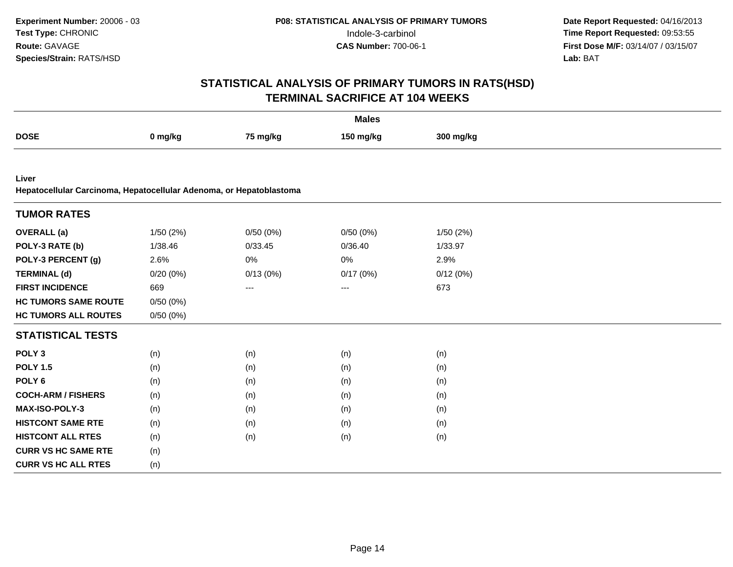| <b>Males</b>                                                                 |          |                   |           |           |  |  |
|------------------------------------------------------------------------------|----------|-------------------|-----------|-----------|--|--|
| <b>DOSE</b>                                                                  | 0 mg/kg  | 75 mg/kg          | 150 mg/kg | 300 mg/kg |  |  |
|                                                                              |          |                   |           |           |  |  |
| Liver<br>Hepatocellular Carcinoma, Hepatocellular Adenoma, or Hepatoblastoma |          |                   |           |           |  |  |
| <b>TUMOR RATES</b>                                                           |          |                   |           |           |  |  |
| <b>OVERALL</b> (a)                                                           | 1/50(2%) | 0/50(0%)          | 0/50(0%)  | 1/50 (2%) |  |  |
| POLY-3 RATE (b)                                                              | 1/38.46  | 0/33.45           | 0/36.40   | 1/33.97   |  |  |
| POLY-3 PERCENT (g)                                                           | 2.6%     | 0%                | 0%        | 2.9%      |  |  |
| <b>TERMINAL (d)</b>                                                          | 0/20(0%) | 0/13(0%)          | 0/17(0%)  | 0/12(0%)  |  |  |
| <b>FIRST INCIDENCE</b>                                                       | 669      | $\qquad \qquad -$ | ---       | 673       |  |  |
| <b>HC TUMORS SAME ROUTE</b>                                                  | 0/50(0%) |                   |           |           |  |  |
| <b>HC TUMORS ALL ROUTES</b>                                                  | 0/50(0%) |                   |           |           |  |  |
| <b>STATISTICAL TESTS</b>                                                     |          |                   |           |           |  |  |
| POLY <sub>3</sub>                                                            | (n)      | (n)               | (n)       | (n)       |  |  |
| <b>POLY 1.5</b>                                                              | (n)      | (n)               | (n)       | (n)       |  |  |
| POLY <sub>6</sub>                                                            | (n)      | (n)               | (n)       | (n)       |  |  |
| <b>COCH-ARM / FISHERS</b>                                                    | (n)      | (n)               | (n)       | (n)       |  |  |
| MAX-ISO-POLY-3                                                               | (n)      | (n)               | (n)       | (n)       |  |  |
| <b>HISTCONT SAME RTE</b>                                                     | (n)      | (n)               | (n)       | (n)       |  |  |
| <b>HISTCONT ALL RTES</b>                                                     | (n)      | (n)               | (n)       | (n)       |  |  |
| <b>CURR VS HC SAME RTE</b>                                                   | (n)      |                   |           |           |  |  |
| <b>CURR VS HC ALL RTES</b>                                                   | (n)      |                   |           |           |  |  |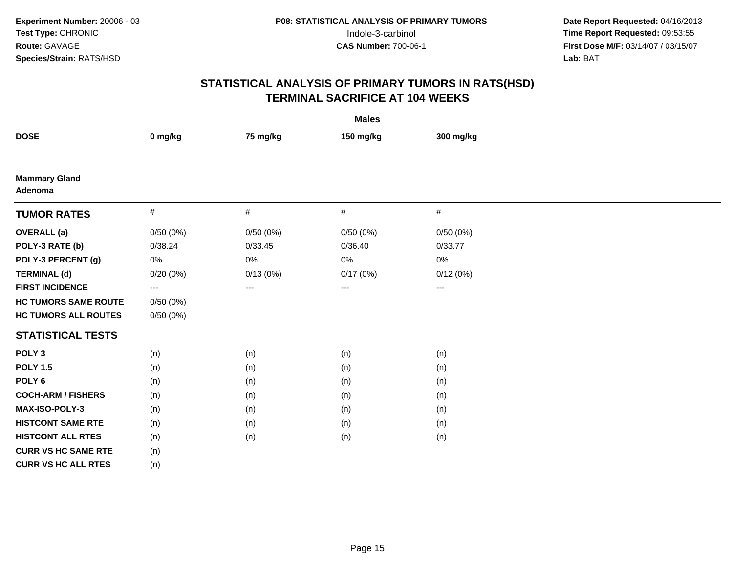| <b>Males</b>                    |          |          |           |           |  |  |  |
|---------------------------------|----------|----------|-----------|-----------|--|--|--|
| <b>DOSE</b>                     | 0 mg/kg  | 75 mg/kg | 150 mg/kg | 300 mg/kg |  |  |  |
|                                 |          |          |           |           |  |  |  |
| <b>Mammary Gland</b><br>Adenoma |          |          |           |           |  |  |  |
| <b>TUMOR RATES</b>              | $\#$     | $\#$     | $\#$      | $\#$      |  |  |  |
| <b>OVERALL</b> (a)              | 0/50(0%) | 0/50(0%) | 0/50(0%)  | 0/50(0%)  |  |  |  |
| POLY-3 RATE (b)                 | 0/38.24  | 0/33.45  | 0/36.40   | 0/33.77   |  |  |  |
| POLY-3 PERCENT (g)              | 0%       | 0%       | $0\%$     | 0%        |  |  |  |
| <b>TERMINAL (d)</b>             | 0/20(0%) | 0/13(0%) | 0/17(0%)  | 0/12(0%)  |  |  |  |
| <b>FIRST INCIDENCE</b>          | $\cdots$ | $---$    | $---$     | $---$     |  |  |  |
| <b>HC TUMORS SAME ROUTE</b>     | 0/50(0%) |          |           |           |  |  |  |
| <b>HC TUMORS ALL ROUTES</b>     | 0/50(0%) |          |           |           |  |  |  |
| <b>STATISTICAL TESTS</b>        |          |          |           |           |  |  |  |
| POLY <sub>3</sub>               | (n)      | (n)      | (n)       | (n)       |  |  |  |
| <b>POLY 1.5</b>                 | (n)      | (n)      | (n)       | (n)       |  |  |  |
| POLY <sub>6</sub>               | (n)      | (n)      | (n)       | (n)       |  |  |  |
| <b>COCH-ARM / FISHERS</b>       | (n)      | (n)      | (n)       | (n)       |  |  |  |
| <b>MAX-ISO-POLY-3</b>           | (n)      | (n)      | (n)       | (n)       |  |  |  |
| <b>HISTCONT SAME RTE</b>        | (n)      | (n)      | (n)       | (n)       |  |  |  |
| <b>HISTCONT ALL RTES</b>        | (n)      | (n)      | (n)       | (n)       |  |  |  |
| <b>CURR VS HC SAME RTE</b>      | (n)      |          |           |           |  |  |  |
| <b>CURR VS HC ALL RTES</b>      | (n)      |          |           |           |  |  |  |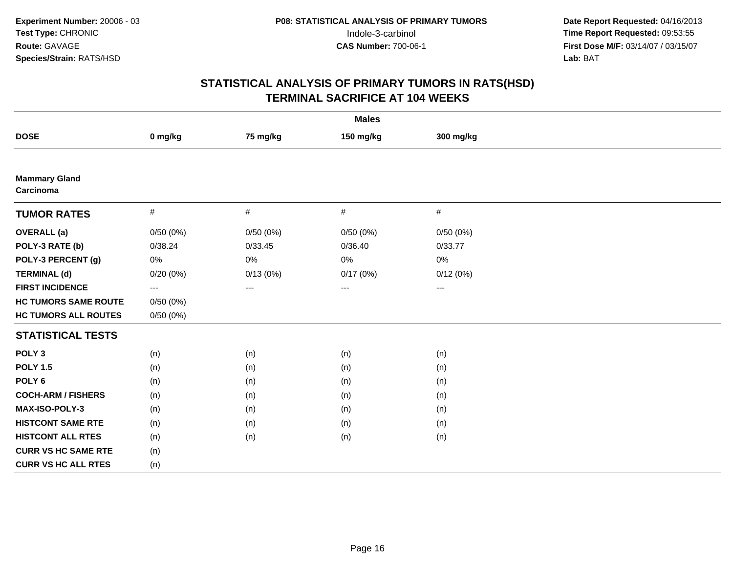| <b>Males</b>                      |                          |          |           |                        |  |  |  |
|-----------------------------------|--------------------------|----------|-----------|------------------------|--|--|--|
| <b>DOSE</b>                       | 0 mg/kg                  | 75 mg/kg | 150 mg/kg | 300 mg/kg              |  |  |  |
|                                   |                          |          |           |                        |  |  |  |
| <b>Mammary Gland</b><br>Carcinoma |                          |          |           |                        |  |  |  |
| <b>TUMOR RATES</b>                | $\#$                     | $\#$     | $\#$      | #                      |  |  |  |
| <b>OVERALL</b> (a)                | 0/50(0%)                 | 0/50(0%) | 0/50(0%)  | 0/50(0%)               |  |  |  |
| POLY-3 RATE (b)                   | 0/38.24                  | 0/33.45  | 0/36.40   | 0/33.77                |  |  |  |
| POLY-3 PERCENT (g)                | 0%                       | 0%       | 0%        | 0%                     |  |  |  |
| <b>TERMINAL (d)</b>               | 0/20(0%)                 | 0/13(0%) | 0/17(0%)  | 0/12(0%)               |  |  |  |
| <b>FIRST INCIDENCE</b>            | $\hspace{0.05cm} \ldots$ | ---      | ---       | $\qquad \qquad \cdots$ |  |  |  |
| <b>HC TUMORS SAME ROUTE</b>       | 0/50(0%)                 |          |           |                        |  |  |  |
| <b>HC TUMORS ALL ROUTES</b>       | 0/50(0%)                 |          |           |                        |  |  |  |
| <b>STATISTICAL TESTS</b>          |                          |          |           |                        |  |  |  |
| POLY <sub>3</sub>                 | (n)                      | (n)      | (n)       | (n)                    |  |  |  |
| <b>POLY 1.5</b>                   | (n)                      | (n)      | (n)       | (n)                    |  |  |  |
| POLY <sub>6</sub>                 | (n)                      | (n)      | (n)       | (n)                    |  |  |  |
| <b>COCH-ARM / FISHERS</b>         | (n)                      | (n)      | (n)       | (n)                    |  |  |  |
| <b>MAX-ISO-POLY-3</b>             | (n)                      | (n)      | (n)       | (n)                    |  |  |  |
| <b>HISTCONT SAME RTE</b>          | (n)                      | (n)      | (n)       | (n)                    |  |  |  |
| <b>HISTCONT ALL RTES</b>          | (n)                      | (n)      | (n)       | (n)                    |  |  |  |
| <b>CURR VS HC SAME RTE</b>        | (n)                      |          |           |                        |  |  |  |
| <b>CURR VS HC ALL RTES</b>        | (n)                      |          |           |                        |  |  |  |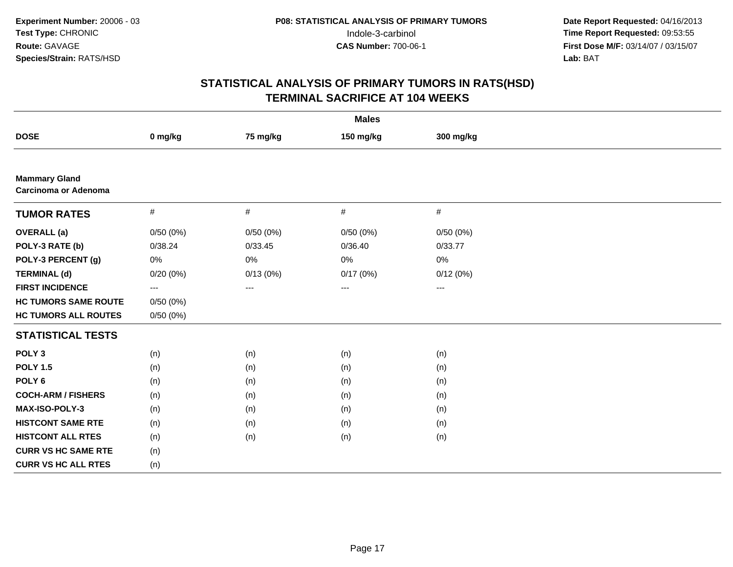| <b>Males</b>                                        |          |          |           |                   |  |  |  |
|-----------------------------------------------------|----------|----------|-----------|-------------------|--|--|--|
| <b>DOSE</b>                                         | 0 mg/kg  | 75 mg/kg | 150 mg/kg | 300 mg/kg         |  |  |  |
|                                                     |          |          |           |                   |  |  |  |
| <b>Mammary Gland</b><br><b>Carcinoma or Adenoma</b> |          |          |           |                   |  |  |  |
| <b>TUMOR RATES</b>                                  | $\#$     | #        | #         | $\#$              |  |  |  |
| <b>OVERALL</b> (a)                                  | 0/50(0%) | 0/50(0%) | 0/50(0%)  | 0/50(0%)          |  |  |  |
| POLY-3 RATE (b)                                     | 0/38.24  | 0/33.45  | 0/36.40   | 0/33.77           |  |  |  |
| POLY-3 PERCENT (g)                                  | 0%       | $0\%$    | 0%        | 0%                |  |  |  |
| <b>TERMINAL (d)</b>                                 | 0/20(0%) | 0/13(0%) | 0/17(0%)  | 0/12(0%)          |  |  |  |
| <b>FIRST INCIDENCE</b>                              | ---      | $\cdots$ | $\cdots$  | $\qquad \qquad -$ |  |  |  |
| <b>HC TUMORS SAME ROUTE</b>                         | 0/50(0%) |          |           |                   |  |  |  |
| <b>HC TUMORS ALL ROUTES</b>                         | 0/50(0%) |          |           |                   |  |  |  |
| <b>STATISTICAL TESTS</b>                            |          |          |           |                   |  |  |  |
| POLY <sub>3</sub>                                   | (n)      | (n)      | (n)       | (n)               |  |  |  |
| <b>POLY 1.5</b>                                     | (n)      | (n)      | (n)       | (n)               |  |  |  |
| POLY <sub>6</sub>                                   | (n)      | (n)      | (n)       | (n)               |  |  |  |
| <b>COCH-ARM / FISHERS</b>                           | (n)      | (n)      | (n)       | (n)               |  |  |  |
| <b>MAX-ISO-POLY-3</b>                               | (n)      | (n)      | (n)       | (n)               |  |  |  |
| <b>HISTCONT SAME RTE</b>                            | (n)      | (n)      | (n)       | (n)               |  |  |  |
| <b>HISTCONT ALL RTES</b>                            | (n)      | (n)      | (n)       | (n)               |  |  |  |
| <b>CURR VS HC SAME RTE</b>                          | (n)      |          |           |                   |  |  |  |
| <b>CURR VS HC ALL RTES</b>                          | (n)      |          |           |                   |  |  |  |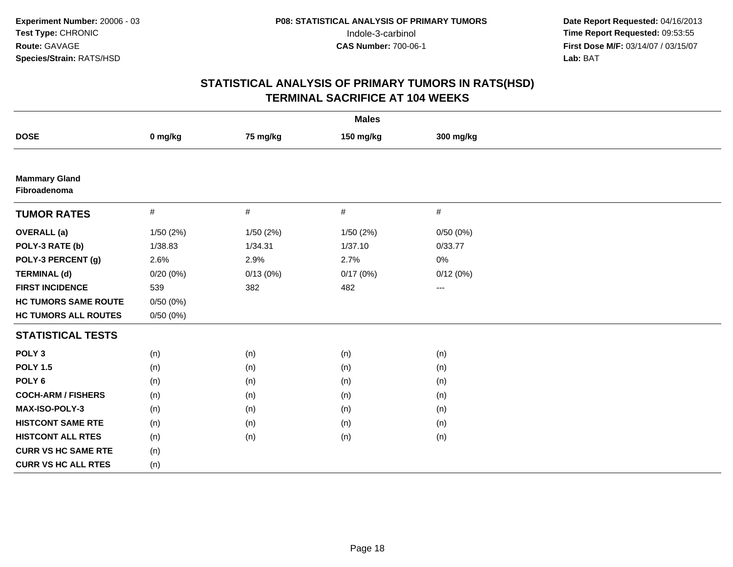| <b>Males</b>                         |          |           |           |                     |  |  |  |
|--------------------------------------|----------|-----------|-----------|---------------------|--|--|--|
| <b>DOSE</b>                          | 0 mg/kg  | 75 mg/kg  | 150 mg/kg | 300 mg/kg           |  |  |  |
|                                      |          |           |           |                     |  |  |  |
| <b>Mammary Gland</b><br>Fibroadenoma |          |           |           |                     |  |  |  |
| <b>TUMOR RATES</b>                   | #        | $\#$      | #         | $\#$                |  |  |  |
| <b>OVERALL</b> (a)                   | 1/50(2%) | 1/50 (2%) | 1/50 (2%) | 0/50(0%)            |  |  |  |
| POLY-3 RATE (b)                      | 1/38.83  | 1/34.31   | 1/37.10   | 0/33.77             |  |  |  |
| POLY-3 PERCENT (g)                   | 2.6%     | 2.9%      | 2.7%      | 0%                  |  |  |  |
| <b>TERMINAL (d)</b>                  | 0/20(0%) | 0/13(0%)  | 0/17(0%)  | 0/12(0%)            |  |  |  |
| <b>FIRST INCIDENCE</b>               | 539      | 382       | 482       | $\qquad \qquad - -$ |  |  |  |
| <b>HC TUMORS SAME ROUTE</b>          | 0/50(0%) |           |           |                     |  |  |  |
| <b>HC TUMORS ALL ROUTES</b>          | 0/50(0%) |           |           |                     |  |  |  |
| <b>STATISTICAL TESTS</b>             |          |           |           |                     |  |  |  |
| POLY <sub>3</sub>                    | (n)      | (n)       | (n)       | (n)                 |  |  |  |
| <b>POLY 1.5</b>                      | (n)      | (n)       | (n)       | (n)                 |  |  |  |
| POLY <sub>6</sub>                    | (n)      | (n)       | (n)       | (n)                 |  |  |  |
| <b>COCH-ARM / FISHERS</b>            | (n)      | (n)       | (n)       | (n)                 |  |  |  |
| <b>MAX-ISO-POLY-3</b>                | (n)      | (n)       | (n)       | (n)                 |  |  |  |
| <b>HISTCONT SAME RTE</b>             | (n)      | (n)       | (n)       | (n)                 |  |  |  |
| <b>HISTCONT ALL RTES</b>             | (n)      | (n)       | (n)       | (n)                 |  |  |  |
| <b>CURR VS HC SAME RTE</b>           | (n)      |           |           |                     |  |  |  |
| <b>CURR VS HC ALL RTES</b>           | (n)      |           |           |                     |  |  |  |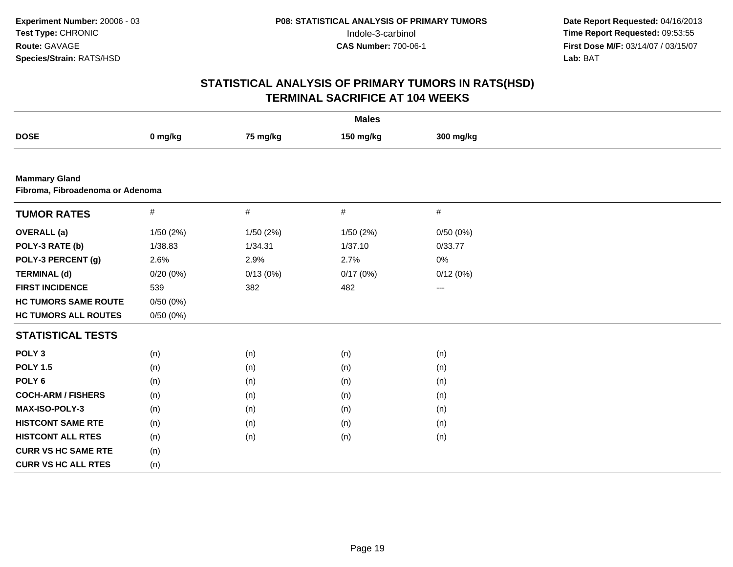|                                                          | <b>Males</b> |           |           |           |  |  |  |  |
|----------------------------------------------------------|--------------|-----------|-----------|-----------|--|--|--|--|
| <b>DOSE</b>                                              | 0 mg/kg      | 75 mg/kg  | 150 mg/kg | 300 mg/kg |  |  |  |  |
|                                                          |              |           |           |           |  |  |  |  |
| <b>Mammary Gland</b><br>Fibroma, Fibroadenoma or Adenoma |              |           |           |           |  |  |  |  |
| <b>TUMOR RATES</b>                                       | $\#$         | $\#$      | #         | #         |  |  |  |  |
| <b>OVERALL</b> (a)                                       | 1/50(2%)     | 1/50 (2%) | 1/50 (2%) | 0/50(0%)  |  |  |  |  |
| POLY-3 RATE (b)                                          | 1/38.83      | 1/34.31   | 1/37.10   | 0/33.77   |  |  |  |  |
| POLY-3 PERCENT (g)                                       | 2.6%         | 2.9%      | 2.7%      | 0%        |  |  |  |  |
| <b>TERMINAL (d)</b>                                      | 0/20(0%)     | 0/13(0%)  | 0/17(0%)  | 0/12(0%)  |  |  |  |  |
| <b>FIRST INCIDENCE</b>                                   | 539          | 382       | 482       | $--$      |  |  |  |  |
| <b>HC TUMORS SAME ROUTE</b>                              | 0/50(0%)     |           |           |           |  |  |  |  |
| <b>HC TUMORS ALL ROUTES</b>                              | 0/50(0%)     |           |           |           |  |  |  |  |
| <b>STATISTICAL TESTS</b>                                 |              |           |           |           |  |  |  |  |
| POLY <sub>3</sub>                                        | (n)          | (n)       | (n)       | (n)       |  |  |  |  |
| <b>POLY 1.5</b>                                          | (n)          | (n)       | (n)       | (n)       |  |  |  |  |
| POLY <sub>6</sub>                                        | (n)          | (n)       | (n)       | (n)       |  |  |  |  |
| <b>COCH-ARM / FISHERS</b>                                | (n)          | (n)       | (n)       | (n)       |  |  |  |  |
| <b>MAX-ISO-POLY-3</b>                                    | (n)          | (n)       | (n)       | (n)       |  |  |  |  |
| <b>HISTCONT SAME RTE</b>                                 | (n)          | (n)       | (n)       | (n)       |  |  |  |  |
| <b>HISTCONT ALL RTES</b>                                 | (n)          | (n)       | (n)       | (n)       |  |  |  |  |
| <b>CURR VS HC SAME RTE</b>                               | (n)          |           |           |           |  |  |  |  |
| <b>CURR VS HC ALL RTES</b>                               | (n)          |           |           |           |  |  |  |  |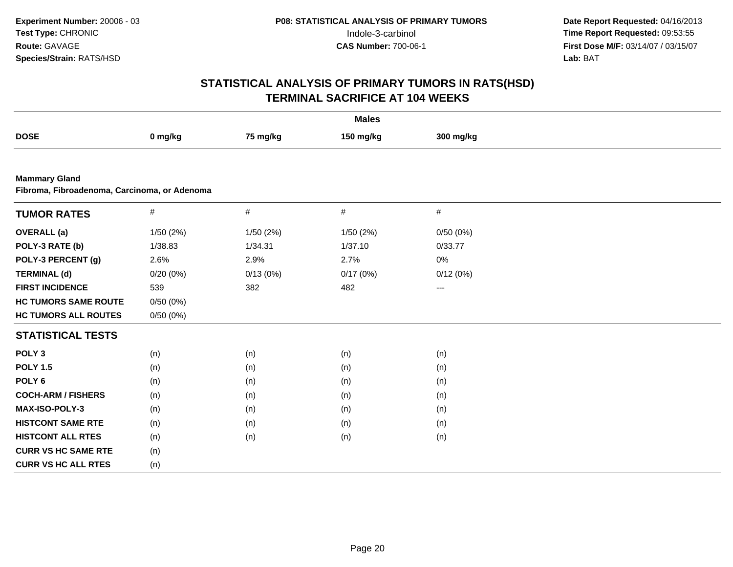| <b>Males</b>                                                         |          |          |           |           |  |  |  |
|----------------------------------------------------------------------|----------|----------|-----------|-----------|--|--|--|
| <b>DOSE</b>                                                          | 0 mg/kg  | 75 mg/kg | 150 mg/kg | 300 mg/kg |  |  |  |
|                                                                      |          |          |           |           |  |  |  |
| <b>Mammary Gland</b><br>Fibroma, Fibroadenoma, Carcinoma, or Adenoma |          |          |           |           |  |  |  |
| <b>TUMOR RATES</b>                                                   | $\#$     | $\#$     | $\#$      | $\#$      |  |  |  |
| <b>OVERALL</b> (a)                                                   | 1/50(2%) | 1/50(2%) | 1/50(2%)  | 0/50(0%)  |  |  |  |
| POLY-3 RATE (b)                                                      | 1/38.83  | 1/34.31  | 1/37.10   | 0/33.77   |  |  |  |
| POLY-3 PERCENT (g)                                                   | 2.6%     | 2.9%     | 2.7%      | 0%        |  |  |  |
| <b>TERMINAL (d)</b>                                                  | 0/20(0%) | 0/13(0%) | 0/17(0%)  | 0/12(0%)  |  |  |  |
| <b>FIRST INCIDENCE</b>                                               | 539      | 382      | 482       | $---$     |  |  |  |
| <b>HC TUMORS SAME ROUTE</b>                                          | 0/50(0%) |          |           |           |  |  |  |
| <b>HC TUMORS ALL ROUTES</b>                                          | 0/50(0%) |          |           |           |  |  |  |
| <b>STATISTICAL TESTS</b>                                             |          |          |           |           |  |  |  |
| POLY <sub>3</sub>                                                    | (n)      | (n)      | (n)       | (n)       |  |  |  |
| <b>POLY 1.5</b>                                                      | (n)      | (n)      | (n)       | (n)       |  |  |  |
| POLY <sub>6</sub>                                                    | (n)      | (n)      | (n)       | (n)       |  |  |  |
| <b>COCH-ARM / FISHERS</b>                                            | (n)      | (n)      | (n)       | (n)       |  |  |  |
| MAX-ISO-POLY-3                                                       | (n)      | (n)      | (n)       | (n)       |  |  |  |
| <b>HISTCONT SAME RTE</b>                                             | (n)      | (n)      | (n)       | (n)       |  |  |  |
| <b>HISTCONT ALL RTES</b>                                             | (n)      | (n)      | (n)       | (n)       |  |  |  |
| <b>CURR VS HC SAME RTE</b>                                           | (n)      |          |           |           |  |  |  |
| <b>CURR VS HC ALL RTES</b>                                           | (n)      |          |           |           |  |  |  |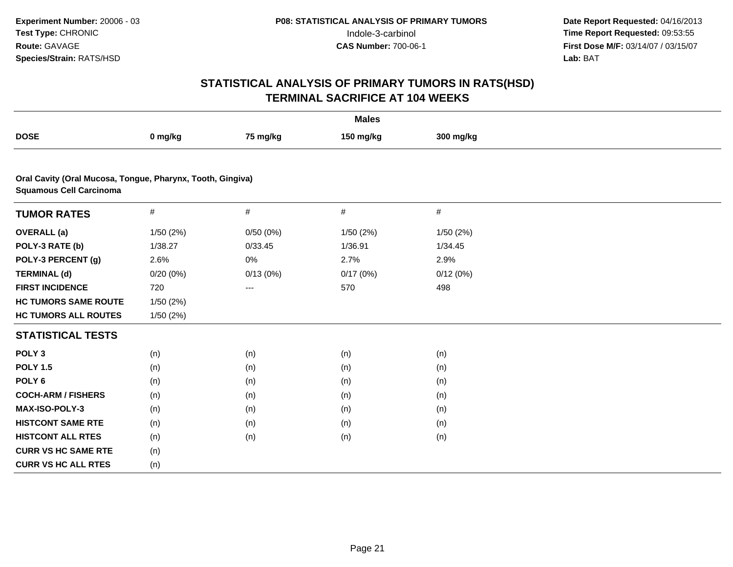|                                                                                              | <b>Males</b> |          |           |           |  |  |  |  |
|----------------------------------------------------------------------------------------------|--------------|----------|-----------|-----------|--|--|--|--|
| <b>DOSE</b>                                                                                  | 0 mg/kg      | 75 mg/kg | 150 mg/kg | 300 mg/kg |  |  |  |  |
|                                                                                              |              |          |           |           |  |  |  |  |
| Oral Cavity (Oral Mucosa, Tongue, Pharynx, Tooth, Gingiva)<br><b>Squamous Cell Carcinoma</b> |              |          |           |           |  |  |  |  |
| <b>TUMOR RATES</b>                                                                           | $\#$         | #        | #         | $\#$      |  |  |  |  |
| <b>OVERALL</b> (a)                                                                           | 1/50(2%)     | 0/50(0%) | 1/50(2%)  | 1/50(2%)  |  |  |  |  |
| POLY-3 RATE (b)                                                                              | 1/38.27      | 0/33.45  | 1/36.91   | 1/34.45   |  |  |  |  |
| POLY-3 PERCENT (g)                                                                           | 2.6%         | 0%       | 2.7%      | 2.9%      |  |  |  |  |
| <b>TERMINAL (d)</b>                                                                          | 0/20(0%)     | 0/13(0%) | 0/17(0%)  | 0/12(0%)  |  |  |  |  |
| <b>FIRST INCIDENCE</b>                                                                       | 720          | $---$    | 570       | 498       |  |  |  |  |
| <b>HC TUMORS SAME ROUTE</b>                                                                  | 1/50(2%)     |          |           |           |  |  |  |  |
| <b>HC TUMORS ALL ROUTES</b>                                                                  | 1/50(2%)     |          |           |           |  |  |  |  |
| <b>STATISTICAL TESTS</b>                                                                     |              |          |           |           |  |  |  |  |
| POLY <sub>3</sub>                                                                            | (n)          | (n)      | (n)       | (n)       |  |  |  |  |
| <b>POLY 1.5</b>                                                                              | (n)          | (n)      | (n)       | (n)       |  |  |  |  |
| POLY <sub>6</sub>                                                                            | (n)          | (n)      | (n)       | (n)       |  |  |  |  |
| <b>COCH-ARM / FISHERS</b>                                                                    | (n)          | (n)      | (n)       | (n)       |  |  |  |  |
| MAX-ISO-POLY-3                                                                               | (n)          | (n)      | (n)       | (n)       |  |  |  |  |
| <b>HISTCONT SAME RTE</b>                                                                     | (n)          | (n)      | (n)       | (n)       |  |  |  |  |
| <b>HISTCONT ALL RTES</b>                                                                     | (n)          | (n)      | (n)       | (n)       |  |  |  |  |
| <b>CURR VS HC SAME RTE</b>                                                                   | (n)          |          |           |           |  |  |  |  |
| <b>CURR VS HC ALL RTES</b>                                                                   | (n)          |          |           |           |  |  |  |  |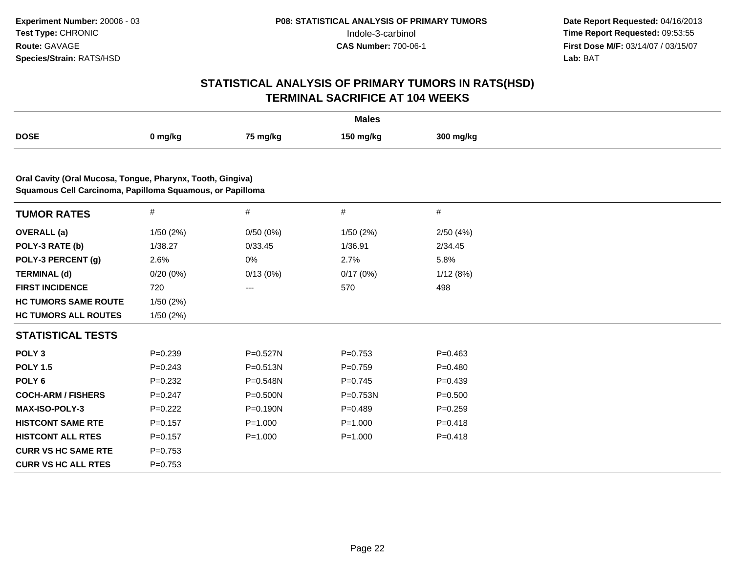|                                                                                                                         | <b>Males</b> |              |              |             |  |  |  |  |
|-------------------------------------------------------------------------------------------------------------------------|--------------|--------------|--------------|-------------|--|--|--|--|
| <b>DOSE</b>                                                                                                             | 0 mg/kg      | 75 mg/kg     | 150 mg/kg    | 300 mg/kg   |  |  |  |  |
|                                                                                                                         |              |              |              |             |  |  |  |  |
| Oral Cavity (Oral Mucosa, Tongue, Pharynx, Tooth, Gingiva)<br>Squamous Cell Carcinoma, Papilloma Squamous, or Papilloma |              |              |              |             |  |  |  |  |
| <b>TUMOR RATES</b>                                                                                                      | $\#$         | #            | #            | #           |  |  |  |  |
| <b>OVERALL</b> (a)                                                                                                      | 1/50(2%)     | 0/50(0%)     | 1/50(2%)     | 2/50(4%)    |  |  |  |  |
| POLY-3 RATE (b)                                                                                                         | 1/38.27      | 0/33.45      | 1/36.91      | 2/34.45     |  |  |  |  |
| POLY-3 PERCENT (g)                                                                                                      | 2.6%         | 0%           | 2.7%         | 5.8%        |  |  |  |  |
| <b>TERMINAL (d)</b>                                                                                                     | $0/20(0\%)$  | 0/13(0%)     | 0/17(0%)     | 1/12(8%)    |  |  |  |  |
| <b>FIRST INCIDENCE</b>                                                                                                  | 720          | ---          | 570          | 498         |  |  |  |  |
| <b>HC TUMORS SAME ROUTE</b>                                                                                             | 1/50(2%)     |              |              |             |  |  |  |  |
| <b>HC TUMORS ALL ROUTES</b>                                                                                             | 1/50(2%)     |              |              |             |  |  |  |  |
| <b>STATISTICAL TESTS</b>                                                                                                |              |              |              |             |  |  |  |  |
| POLY <sub>3</sub>                                                                                                       | $P = 0.239$  | P=0.527N     | $P=0.753$    | $P = 0.463$ |  |  |  |  |
| <b>POLY 1.5</b>                                                                                                         | $P = 0.243$  | $P = 0.513N$ | $P=0.759$    | $P = 0.480$ |  |  |  |  |
| POLY <sub>6</sub>                                                                                                       | $P=0.232$    | P=0.548N     | $P=0.745$    | $P=0.439$   |  |  |  |  |
| <b>COCH-ARM / FISHERS</b>                                                                                               | $P=0.247$    | P=0.500N     | $P = 0.753N$ | $P = 0.500$ |  |  |  |  |
| MAX-ISO-POLY-3                                                                                                          | $P=0.222$    | P=0.190N     | $P=0.489$    | $P = 0.259$ |  |  |  |  |
| <b>HISTCONT SAME RTE</b>                                                                                                | $P = 0.157$  | $P = 1.000$  | $P = 1.000$  | $P = 0.418$ |  |  |  |  |
| <b>HISTCONT ALL RTES</b>                                                                                                | $P = 0.157$  | $P = 1.000$  | $P = 1.000$  | $P = 0.418$ |  |  |  |  |
| <b>CURR VS HC SAME RTE</b>                                                                                              | $P=0.753$    |              |              |             |  |  |  |  |
| <b>CURR VS HC ALL RTES</b>                                                                                              | $P = 0.753$  |              |              |             |  |  |  |  |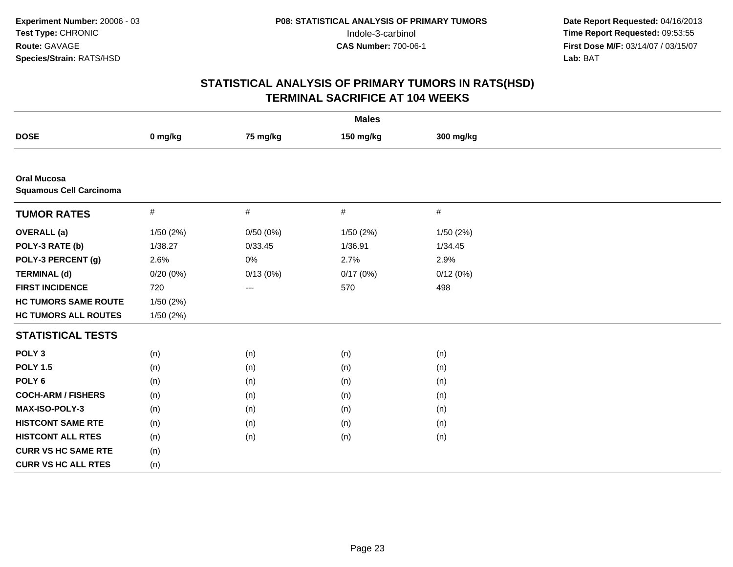| <b>Males</b>                                         |          |          |           |           |  |  |  |
|------------------------------------------------------|----------|----------|-----------|-----------|--|--|--|
| <b>DOSE</b>                                          | 0 mg/kg  | 75 mg/kg | 150 mg/kg | 300 mg/kg |  |  |  |
|                                                      |          |          |           |           |  |  |  |
| <b>Oral Mucosa</b><br><b>Squamous Cell Carcinoma</b> |          |          |           |           |  |  |  |
| <b>TUMOR RATES</b>                                   | $\#$     | $\#$     | $\#$      | $\#$      |  |  |  |
| <b>OVERALL</b> (a)                                   | 1/50(2%) | 0/50(0%) | 1/50 (2%) | 1/50 (2%) |  |  |  |
| POLY-3 RATE (b)                                      | 1/38.27  | 0/33.45  | 1/36.91   | 1/34.45   |  |  |  |
| POLY-3 PERCENT (g)                                   | 2.6%     | $0\%$    | 2.7%      | 2.9%      |  |  |  |
| <b>TERMINAL (d)</b>                                  | 0/20(0%) | 0/13(0%) | 0/17(0%)  | 0/12(0%)  |  |  |  |
| <b>FIRST INCIDENCE</b>                               | 720      | $---$    | 570       | 498       |  |  |  |
| <b>HC TUMORS SAME ROUTE</b>                          | 1/50(2%) |          |           |           |  |  |  |
| <b>HC TUMORS ALL ROUTES</b>                          | 1/50(2%) |          |           |           |  |  |  |
| <b>STATISTICAL TESTS</b>                             |          |          |           |           |  |  |  |
| POLY <sub>3</sub>                                    | (n)      | (n)      | (n)       | (n)       |  |  |  |
| <b>POLY 1.5</b>                                      | (n)      | (n)      | (n)       | (n)       |  |  |  |
| POLY <sub>6</sub>                                    | (n)      | (n)      | (n)       | (n)       |  |  |  |
| <b>COCH-ARM / FISHERS</b>                            | (n)      | (n)      | (n)       | (n)       |  |  |  |
| <b>MAX-ISO-POLY-3</b>                                | (n)      | (n)      | (n)       | (n)       |  |  |  |
| <b>HISTCONT SAME RTE</b>                             | (n)      | (n)      | (n)       | (n)       |  |  |  |
| <b>HISTCONT ALL RTES</b>                             | (n)      | (n)      | (n)       | (n)       |  |  |  |
| <b>CURR VS HC SAME RTE</b>                           | (n)      |          |           |           |  |  |  |
| <b>CURR VS HC ALL RTES</b>                           | (n)      |          |           |           |  |  |  |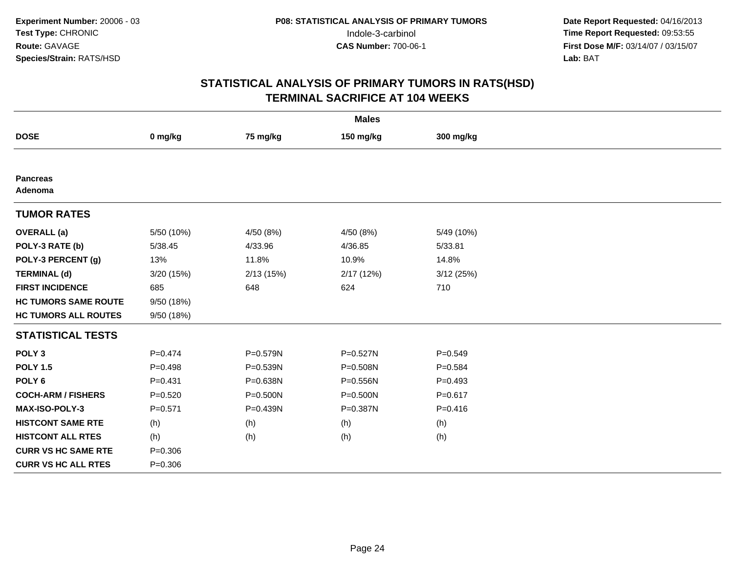|                             | <b>Males</b> |              |           |             |  |  |  |  |
|-----------------------------|--------------|--------------|-----------|-------------|--|--|--|--|
| <b>DOSE</b>                 | 0 mg/kg      | 75 mg/kg     | 150 mg/kg | 300 mg/kg   |  |  |  |  |
|                             |              |              |           |             |  |  |  |  |
| <b>Pancreas</b><br>Adenoma  |              |              |           |             |  |  |  |  |
| <b>TUMOR RATES</b>          |              |              |           |             |  |  |  |  |
| <b>OVERALL</b> (a)          | 5/50 (10%)   | 4/50 (8%)    | 4/50 (8%) | 5/49 (10%)  |  |  |  |  |
| POLY-3 RATE (b)             | 5/38.45      | 4/33.96      | 4/36.85   | 5/33.81     |  |  |  |  |
| POLY-3 PERCENT (g)          | 13%          | 11.8%        | 10.9%     | 14.8%       |  |  |  |  |
| <b>TERMINAL (d)</b>         | 3/20 (15%)   | 2/13(15%)    | 2/17(12%) | 3/12(25%)   |  |  |  |  |
| <b>FIRST INCIDENCE</b>      | 685          | 648          | 624       | 710         |  |  |  |  |
| <b>HC TUMORS SAME ROUTE</b> | 9/50 (18%)   |              |           |             |  |  |  |  |
| <b>HC TUMORS ALL ROUTES</b> | 9/50 (18%)   |              |           |             |  |  |  |  |
| <b>STATISTICAL TESTS</b>    |              |              |           |             |  |  |  |  |
| POLY <sub>3</sub>           | $P = 0.474$  | P=0.579N     | P=0.527N  | $P = 0.549$ |  |  |  |  |
| <b>POLY 1.5</b>             | $P = 0.498$  | $P = 0.539N$ | P=0.508N  | $P=0.584$   |  |  |  |  |
| POLY <sub>6</sub>           | $P = 0.431$  | P=0.638N     | P=0.556N  | $P=0.493$   |  |  |  |  |
| <b>COCH-ARM / FISHERS</b>   | $P = 0.520$  | $P = 0.500N$ | P=0.500N  | $P = 0.617$ |  |  |  |  |
| <b>MAX-ISO-POLY-3</b>       | $P = 0.571$  | P=0.439N     | P=0.387N  | $P = 0.416$ |  |  |  |  |
| <b>HISTCONT SAME RTE</b>    | (h)          | (h)          | (h)       | (h)         |  |  |  |  |
| <b>HISTCONT ALL RTES</b>    | (h)          | (h)          | (h)       | (h)         |  |  |  |  |
| <b>CURR VS HC SAME RTE</b>  | $P = 0.306$  |              |           |             |  |  |  |  |
| <b>CURR VS HC ALL RTES</b>  | $P = 0.306$  |              |           |             |  |  |  |  |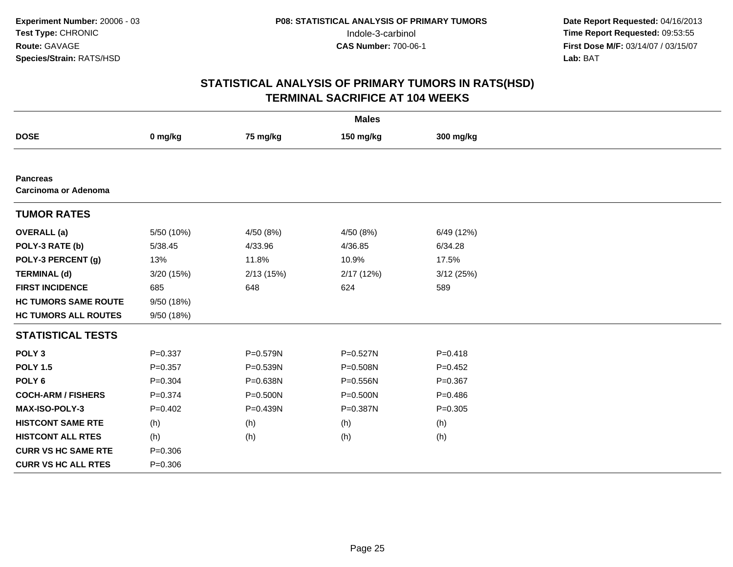|                                         |             |              | <b>Males</b> |             |  |
|-----------------------------------------|-------------|--------------|--------------|-------------|--|
| <b>DOSE</b>                             | 0 mg/kg     | 75 mg/kg     | 150 mg/kg    | 300 mg/kg   |  |
|                                         |             |              |              |             |  |
| <b>Pancreas</b><br>Carcinoma or Adenoma |             |              |              |             |  |
| <b>TUMOR RATES</b>                      |             |              |              |             |  |
| <b>OVERALL</b> (a)                      | 5/50 (10%)  | 4/50 (8%)    | 4/50 (8%)    | 6/49 (12%)  |  |
| POLY-3 RATE (b)                         | 5/38.45     | 4/33.96      | 4/36.85      | 6/34.28     |  |
| POLY-3 PERCENT (g)                      | 13%         | 11.8%        | 10.9%        | 17.5%       |  |
| <b>TERMINAL (d)</b>                     | 3/20 (15%)  | 2/13(15%)    | 2/17 (12%)   | 3/12(25%)   |  |
| <b>FIRST INCIDENCE</b>                  | 685         | 648          | 624          | 589         |  |
| <b>HC TUMORS SAME ROUTE</b>             | 9/50 (18%)  |              |              |             |  |
| <b>HC TUMORS ALL ROUTES</b>             | 9/50 (18%)  |              |              |             |  |
| <b>STATISTICAL TESTS</b>                |             |              |              |             |  |
| POLY <sub>3</sub>                       | $P = 0.337$ | P=0.579N     | P=0.527N     | $P = 0.418$ |  |
| <b>POLY 1.5</b>                         | $P=0.357$   | P=0.539N     | P=0.508N     | $P=0.452$   |  |
| POLY <sub>6</sub>                       | $P = 0.304$ | P=0.638N     | $P = 0.556N$ | $P = 0.367$ |  |
| <b>COCH-ARM / FISHERS</b>               | $P = 0.374$ | $P = 0.500N$ | $P = 0.500N$ | $P = 0.486$ |  |
| <b>MAX-ISO-POLY-3</b>                   | $P=0.402$   | P=0.439N     | P=0.387N     | $P = 0.305$ |  |
| <b>HISTCONT SAME RTE</b>                | (h)         | (h)          | (h)          | (h)         |  |
| <b>HISTCONT ALL RTES</b>                | (h)         | (h)          | (h)          | (h)         |  |
| <b>CURR VS HC SAME RTE</b>              | $P = 0.306$ |              |              |             |  |
| <b>CURR VS HC ALL RTES</b>              | $P = 0.306$ |              |              |             |  |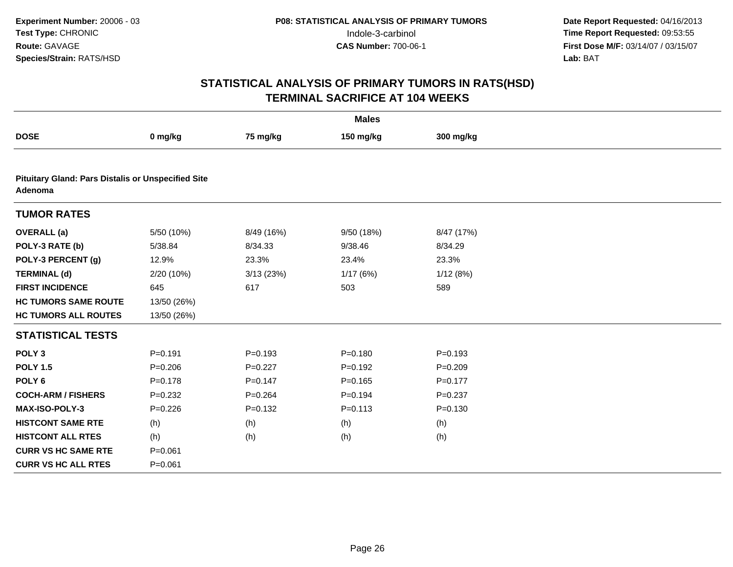|                                                                      | <b>Males</b> |             |             |             |  |  |  |  |
|----------------------------------------------------------------------|--------------|-------------|-------------|-------------|--|--|--|--|
| <b>DOSE</b>                                                          | 0 mg/kg      | 75 mg/kg    | 150 mg/kg   | 300 mg/kg   |  |  |  |  |
|                                                                      |              |             |             |             |  |  |  |  |
| <b>Pituitary Gland: Pars Distalis or Unspecified Site</b><br>Adenoma |              |             |             |             |  |  |  |  |
| <b>TUMOR RATES</b>                                                   |              |             |             |             |  |  |  |  |
| <b>OVERALL</b> (a)                                                   | 5/50 (10%)   | 8/49 (16%)  | 9/50 (18%)  | 8/47 (17%)  |  |  |  |  |
| POLY-3 RATE (b)                                                      | 5/38.84      | 8/34.33     | 9/38.46     | 8/34.29     |  |  |  |  |
| POLY-3 PERCENT (g)                                                   | 12.9%        | 23.3%       | 23.4%       | 23.3%       |  |  |  |  |
| <b>TERMINAL (d)</b>                                                  | 2/20 (10%)   | 3/13 (23%)  | 1/17(6%)    | 1/12(8%)    |  |  |  |  |
| <b>FIRST INCIDENCE</b>                                               | 645          | 617         | 503         | 589         |  |  |  |  |
| <b>HC TUMORS SAME ROUTE</b>                                          | 13/50 (26%)  |             |             |             |  |  |  |  |
| <b>HC TUMORS ALL ROUTES</b>                                          | 13/50 (26%)  |             |             |             |  |  |  |  |
| <b>STATISTICAL TESTS</b>                                             |              |             |             |             |  |  |  |  |
| POLY <sub>3</sub>                                                    | $P = 0.191$  | $P = 0.193$ | $P = 0.180$ | $P = 0.193$ |  |  |  |  |
| <b>POLY 1.5</b>                                                      | $P = 0.206$  | $P=0.227$   | $P=0.192$   | $P = 0.209$ |  |  |  |  |
| POLY <sub>6</sub>                                                    | $P = 0.178$  | $P = 0.147$ | $P = 0.165$ | $P = 0.177$ |  |  |  |  |
| <b>COCH-ARM / FISHERS</b>                                            | $P = 0.232$  | $P = 0.264$ | $P = 0.194$ | $P = 0.237$ |  |  |  |  |
| <b>MAX-ISO-POLY-3</b>                                                | $P = 0.226$  | $P = 0.132$ | $P = 0.113$ | $P = 0.130$ |  |  |  |  |
| <b>HISTCONT SAME RTE</b>                                             | (h)          | (h)         | (h)         | (h)         |  |  |  |  |
| <b>HISTCONT ALL RTES</b>                                             | (h)          | (h)         | (h)         | (h)         |  |  |  |  |
| <b>CURR VS HC SAME RTE</b>                                           | $P = 0.061$  |             |             |             |  |  |  |  |
| <b>CURR VS HC ALL RTES</b>                                           | $P = 0.061$  |             |             |             |  |  |  |  |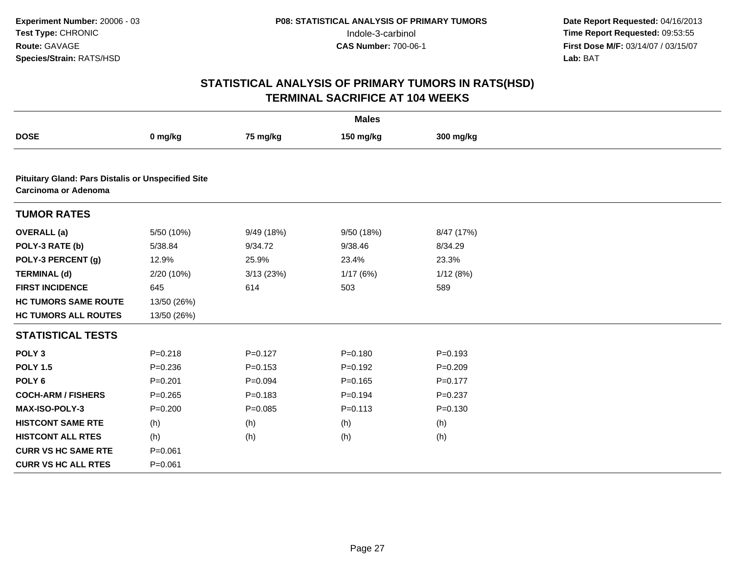|                                                                                   | <b>Males</b> |             |             |             |  |  |  |
|-----------------------------------------------------------------------------------|--------------|-------------|-------------|-------------|--|--|--|
| <b>DOSE</b>                                                                       | 0 mg/kg      | 75 mg/kg    | 150 mg/kg   | 300 mg/kg   |  |  |  |
|                                                                                   |              |             |             |             |  |  |  |
| <b>Pituitary Gland: Pars Distalis or Unspecified Site</b><br>Carcinoma or Adenoma |              |             |             |             |  |  |  |
| <b>TUMOR RATES</b>                                                                |              |             |             |             |  |  |  |
| <b>OVERALL</b> (a)                                                                | 5/50 (10%)   | 9/49 (18%)  | 9/50 (18%)  | 8/47 (17%)  |  |  |  |
| POLY-3 RATE (b)                                                                   | 5/38.84      | 9/34.72     | 9/38.46     | 8/34.29     |  |  |  |
| POLY-3 PERCENT (g)                                                                | 12.9%        | 25.9%       | 23.4%       | 23.3%       |  |  |  |
| <b>TERMINAL (d)</b>                                                               | 2/20 (10%)   | 3/13(23%)   | 1/17(6%)    | 1/12(8%)    |  |  |  |
| <b>FIRST INCIDENCE</b>                                                            | 645          | 614         | 503         | 589         |  |  |  |
| <b>HC TUMORS SAME ROUTE</b>                                                       | 13/50 (26%)  |             |             |             |  |  |  |
| <b>HC TUMORS ALL ROUTES</b>                                                       | 13/50 (26%)  |             |             |             |  |  |  |
| <b>STATISTICAL TESTS</b>                                                          |              |             |             |             |  |  |  |
| POLY <sub>3</sub>                                                                 | $P = 0.218$  | $P=0.127$   | $P = 0.180$ | $P = 0.193$ |  |  |  |
| <b>POLY 1.5</b>                                                                   | $P = 0.236$  | $P = 0.153$ | $P=0.192$   | $P = 0.209$ |  |  |  |
| POLY <sub>6</sub>                                                                 | $P = 0.201$  | $P = 0.094$ | $P = 0.165$ | $P = 0.177$ |  |  |  |
| <b>COCH-ARM / FISHERS</b>                                                         | $P = 0.265$  | $P = 0.183$ | $P = 0.194$ | $P = 0.237$ |  |  |  |
| <b>MAX-ISO-POLY-3</b>                                                             | $P = 0.200$  | $P=0.085$   | $P = 0.113$ | $P = 0.130$ |  |  |  |
| <b>HISTCONT SAME RTE</b>                                                          | (h)          | (h)         | (h)         | (h)         |  |  |  |
| <b>HISTCONT ALL RTES</b>                                                          | (h)          | (h)         | (h)         | (h)         |  |  |  |
| <b>CURR VS HC SAME RTE</b>                                                        | $P = 0.061$  |             |             |             |  |  |  |
| <b>CURR VS HC ALL RTES</b>                                                        | $P = 0.061$  |             |             |             |  |  |  |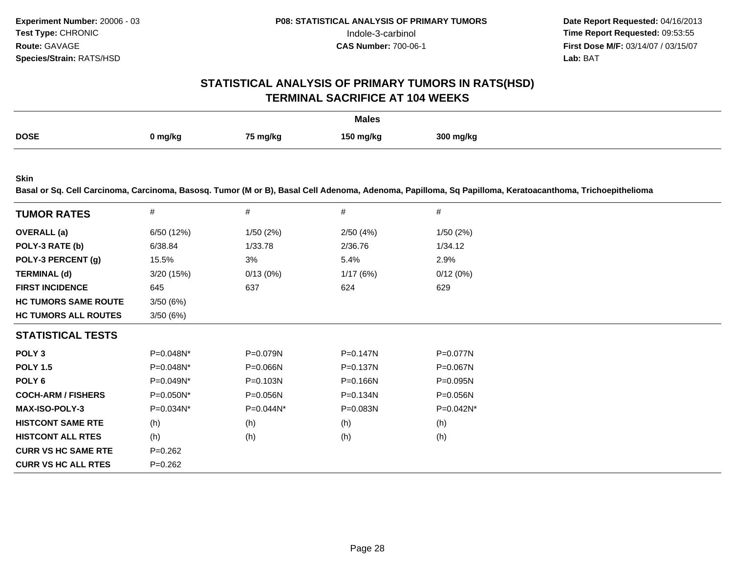# **STATISTICAL ANALYSIS OF PRIMARY TUMORS IN RATS(HSD)TERMINAL SACRIFICE AT 104 WEEKS**

|             |         |          | <b>Males</b> |           |
|-------------|---------|----------|--------------|-----------|
| <b>DOSE</b> | 0 mg/kg | 75 mg/kg | 150 mg/kg    | 300 mg/kg |

**Skin**

**Basal or Sq. Cell Carcinoma, Carcinoma, Basosq. Tumor (M or B), Basal Cell Adenoma, Adenoma, Papilloma, Sq Papilloma, Keratoacanthoma, Trichoepithelioma**

| <b>TUMOR RATES</b>          | #           | #            | #            | #            |  |
|-----------------------------|-------------|--------------|--------------|--------------|--|
| <b>OVERALL</b> (a)          | 6/50 (12%)  | 1/50(2%)     | 2/50(4%)     | 1/50(2%)     |  |
| POLY-3 RATE (b)             | 6/38.84     | 1/33.78      | 2/36.76      | 1/34.12      |  |
| POLY-3 PERCENT (g)          | 15.5%       | 3%           | 5.4%         | 2.9%         |  |
| <b>TERMINAL (d)</b>         | 3/20(15%)   | 0/13(0%)     | 1/17(6%)     | 0/12(0%)     |  |
| <b>FIRST INCIDENCE</b>      | 645         | 637          | 624          | 629          |  |
| <b>HC TUMORS SAME ROUTE</b> | 3/50(6%)    |              |              |              |  |
| <b>HC TUMORS ALL ROUTES</b> | 3/50(6%)    |              |              |              |  |
| <b>STATISTICAL TESTS</b>    |             |              |              |              |  |
| POLY <sub>3</sub>           | P=0.048N*   | P=0.079N     | $P = 0.147N$ | P=0.077N     |  |
| <b>POLY 1.5</b>             | P=0.048N*   | $P = 0.066N$ | P=0.137N     | P=0.067N     |  |
| POLY 6                      | P=0.049N*   | $P = 0.103N$ | P=0.166N     | $P = 0.095N$ |  |
| <b>COCH-ARM / FISHERS</b>   | P=0.050N*   | P=0.056N     | P=0.134N     | P=0.056N     |  |
| <b>MAX-ISO-POLY-3</b>       | P=0.034N*   | $P=0.044N^*$ | $P = 0.083N$ | $P=0.042N^*$ |  |
| <b>HISTCONT SAME RTE</b>    | (h)         | (h)          | (h)          | (h)          |  |
| <b>HISTCONT ALL RTES</b>    | (h)         | (h)          | (h)          | (h)          |  |
| <b>CURR VS HC SAME RTE</b>  | $P=0.262$   |              |              |              |  |
| <b>CURR VS HC ALL RTES</b>  | $P = 0.262$ |              |              |              |  |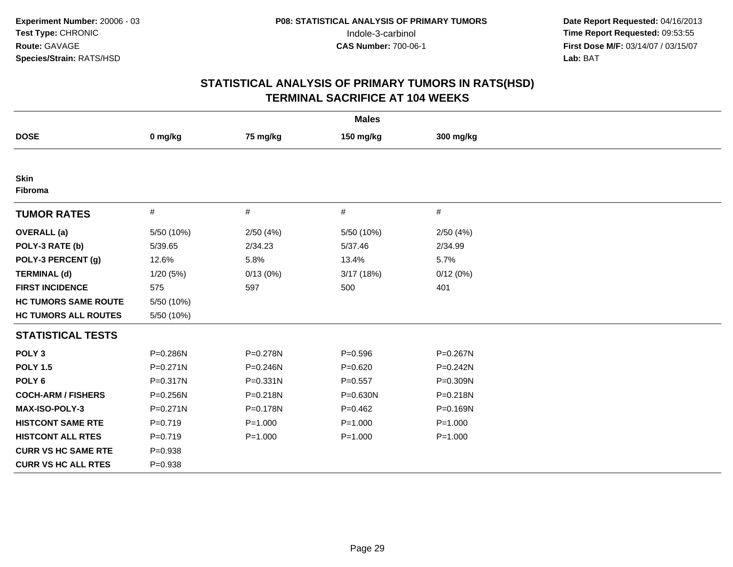|                             |              |             | <b>Males</b> |              |  |
|-----------------------------|--------------|-------------|--------------|--------------|--|
| <b>DOSE</b>                 | 0 mg/kg      | 75 mg/kg    | 150 mg/kg    | 300 mg/kg    |  |
|                             |              |             |              |              |  |
| <b>Skin</b><br>Fibroma      |              |             |              |              |  |
| <b>TUMOR RATES</b>          | #            | #           | #            | #            |  |
| <b>OVERALL</b> (a)          | 5/50 (10%)   | 2/50(4%)    | 5/50 (10%)   | 2/50(4%)     |  |
| POLY-3 RATE (b)             | 5/39.65      | 2/34.23     | 5/37.46      | 2/34.99      |  |
| POLY-3 PERCENT (g)          | 12.6%        | 5.8%        | 13.4%        | 5.7%         |  |
| <b>TERMINAL (d)</b>         | 1/20(5%)     | 0/13(0%)    | 3/17 (18%)   | 0/12(0%)     |  |
| <b>FIRST INCIDENCE</b>      | 575          | 597         | 500          | 401          |  |
| <b>HC TUMORS SAME ROUTE</b> | 5/50 (10%)   |             |              |              |  |
| <b>HC TUMORS ALL ROUTES</b> | 5/50 (10%)   |             |              |              |  |
| <b>STATISTICAL TESTS</b>    |              |             |              |              |  |
| POLY <sub>3</sub>           | P=0.286N     | P=0.278N    | $P = 0.596$  | P=0.267N     |  |
| <b>POLY 1.5</b>             | $P = 0.271N$ | P=0.246N    | $P = 0.620$  | $P = 0.242N$ |  |
| POLY <sub>6</sub>           | $P = 0.317N$ | P=0.331N    | $P = 0.557$  | P=0.309N     |  |
| <b>COCH-ARM / FISHERS</b>   | $P = 0.256N$ | P=0.218N    | P=0.630N     | P=0.218N     |  |
| <b>MAX-ISO-POLY-3</b>       | $P = 0.271N$ | P=0.178N    | $P=0.462$    | P=0.169N     |  |
| <b>HISTCONT SAME RTE</b>    | $P=0.719$    | $P = 1.000$ | $P = 1.000$  | $P = 1.000$  |  |
| <b>HISTCONT ALL RTES</b>    | $P=0.719$    | $P = 1.000$ | $P = 1.000$  | $P = 1.000$  |  |
| <b>CURR VS HC SAME RTE</b>  | $P = 0.938$  |             |              |              |  |
| <b>CURR VS HC ALL RTES</b>  | $P = 0.938$  |             |              |              |  |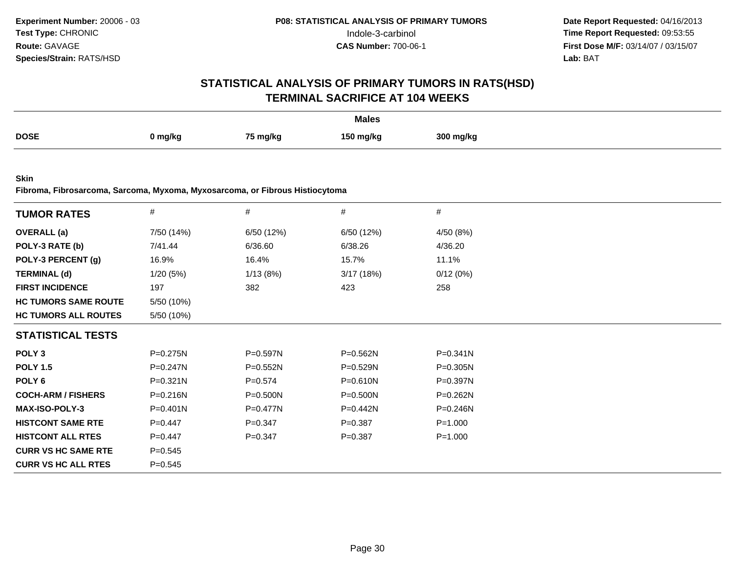# **STATISTICAL ANALYSIS OF PRIMARY TUMORS IN RATS(HSD)TERMINAL SACRIFICE AT 104 WEEKS**

|             |         |          | <b>Males</b><br>. |           |
|-------------|---------|----------|-------------------|-----------|
| <b>DOSE</b> | 0 mg/kg | 75 mg/kg | 150 ma/ka         | 300 mg/kg |

**Skin**

**Fibroma, Fibrosarcoma, Sarcoma, Myxoma, Myxosarcoma, or Fibrous Histiocytoma**

| <b>TUMOR RATES</b>          | $\#$         | $\#$         | #           | #            |  |
|-----------------------------|--------------|--------------|-------------|--------------|--|
| <b>OVERALL</b> (a)          | 7/50 (14%)   | 6/50 (12%)   | 6/50 (12%)  | 4/50 (8%)    |  |
| POLY-3 RATE (b)             | 7/41.44      | 6/36.60      | 6/38.26     | 4/36.20      |  |
| POLY-3 PERCENT (g)          | 16.9%        | 16.4%        | 15.7%       | 11.1%        |  |
| <b>TERMINAL (d)</b>         | 1/20(5%)     | 1/13(8%)     | 3/17(18%)   | 0/12(0%)     |  |
| <b>FIRST INCIDENCE</b>      | 197          | 382          | 423         | 258          |  |
| <b>HC TUMORS SAME ROUTE</b> | 5/50 (10%)   |              |             |              |  |
| <b>HC TUMORS ALL ROUTES</b> | 5/50 (10%)   |              |             |              |  |
| <b>STATISTICAL TESTS</b>    |              |              |             |              |  |
| POLY <sub>3</sub>           | P=0.275N     | P=0.597N     | P=0.562N    | P=0.341N     |  |
| <b>POLY 1.5</b>             | P=0.247N     | $P = 0.552N$ | P=0.529N    | $P = 0.305N$ |  |
| POLY 6                      | P=0.321N     | $P = 0.574$  | P=0.610N    | P=0.397N     |  |
| <b>COCH-ARM / FISHERS</b>   | P=0.216N     | P=0.500N     | P=0.500N    | P=0.262N     |  |
| <b>MAX-ISO-POLY-3</b>       | $P = 0.401N$ | $P = 0.477N$ | $P=0.442N$  | P=0.246N     |  |
| <b>HISTCONT SAME RTE</b>    | $P = 0.447$  | $P = 0.347$  | $P = 0.387$ | $P = 1.000$  |  |
| <b>HISTCONT ALL RTES</b>    | $P=0.447$    | $P = 0.347$  | $P=0.387$   | $P = 1.000$  |  |
| <b>CURR VS HC SAME RTE</b>  | $P = 0.545$  |              |             |              |  |
| <b>CURR VS HC ALL RTES</b>  | $P = 0.545$  |              |             |              |  |
|                             |              |              |             |              |  |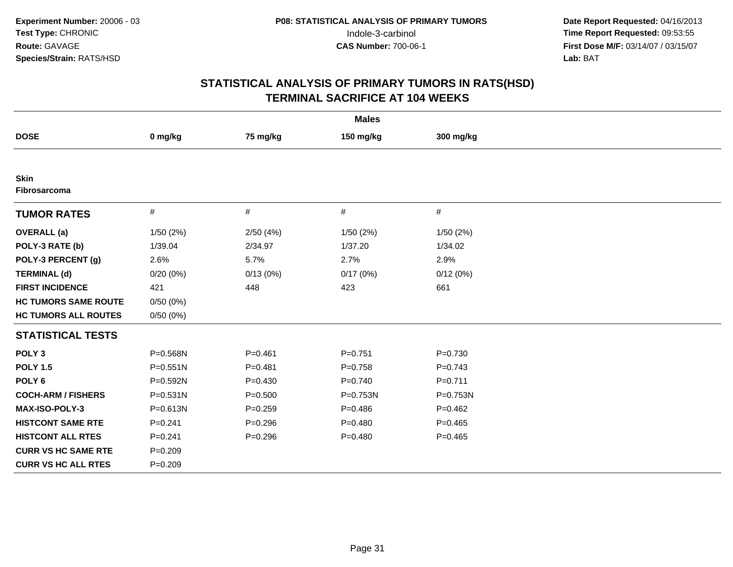|                             |              |             | <b>Males</b> |             |  |
|-----------------------------|--------------|-------------|--------------|-------------|--|
| <b>DOSE</b>                 | 0 mg/kg      | 75 mg/kg    | 150 mg/kg    | 300 mg/kg   |  |
|                             |              |             |              |             |  |
| <b>Skin</b><br>Fibrosarcoma |              |             |              |             |  |
| <b>TUMOR RATES</b>          | $\#$         | $\#$        | $\#$         | #           |  |
| <b>OVERALL</b> (a)          | 1/50(2%)     | 2/50(4%)    | 1/50 (2%)    | 1/50(2%)    |  |
| POLY-3 RATE (b)             | 1/39.04      | 2/34.97     | 1/37.20      | 1/34.02     |  |
| POLY-3 PERCENT (g)          | 2.6%         | 5.7%        | 2.7%         | 2.9%        |  |
| <b>TERMINAL (d)</b>         | 0/20(0%)     | 0/13(0%)    | 0/17(0%)     | 0/12(0%)    |  |
| <b>FIRST INCIDENCE</b>      | 421          | 448         | 423          | 661         |  |
| <b>HC TUMORS SAME ROUTE</b> | 0/50(0%)     |             |              |             |  |
| <b>HC TUMORS ALL ROUTES</b> | 0/50(0%)     |             |              |             |  |
| <b>STATISTICAL TESTS</b>    |              |             |              |             |  |
| POLY <sub>3</sub>           | P=0.568N     | $P = 0.461$ | $P = 0.751$  | $P = 0.730$ |  |
| <b>POLY 1.5</b>             | P=0.551N     | $P = 0.481$ | $P = 0.758$  | $P = 0.743$ |  |
| POLY <sub>6</sub>           | P=0.592N     | $P = 0.430$ | $P = 0.740$  | $P=0.711$   |  |
| <b>COCH-ARM / FISHERS</b>   | $P = 0.531N$ | $P = 0.500$ | P=0.753N     | P=0.753N    |  |
| MAX-ISO-POLY-3              | P=0.613N     | $P = 0.259$ | $P = 0.486$  | $P=0.462$   |  |
| <b>HISTCONT SAME RTE</b>    | $P = 0.241$  | $P = 0.296$ | $P=0.480$    | $P=0.465$   |  |
| <b>HISTCONT ALL RTES</b>    | $P = 0.241$  | $P = 0.296$ | $P=0.480$    | $P=0.465$   |  |
| <b>CURR VS HC SAME RTE</b>  | $P = 0.209$  |             |              |             |  |
| <b>CURR VS HC ALL RTES</b>  | $P = 0.209$  |             |              |             |  |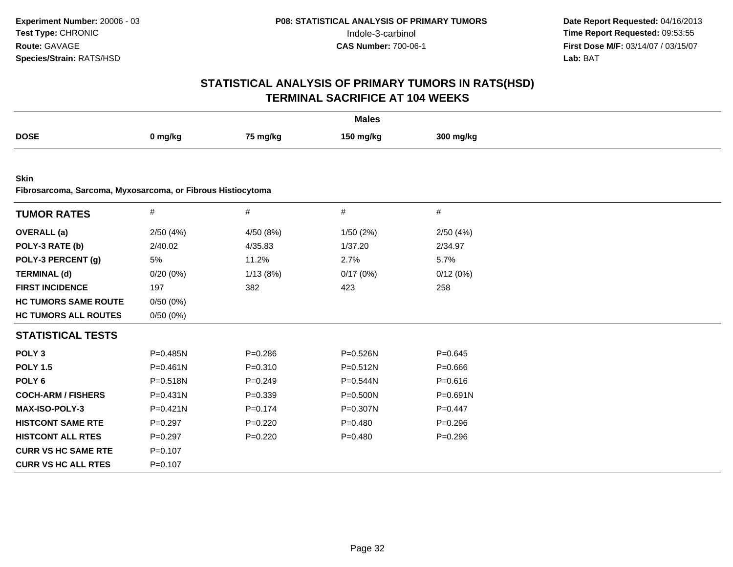|                                                                            |              |             | <b>Males</b> |              |  |
|----------------------------------------------------------------------------|--------------|-------------|--------------|--------------|--|
| <b>DOSE</b>                                                                | 0 mg/kg      | 75 mg/kg    | 150 mg/kg    | 300 mg/kg    |  |
|                                                                            |              |             |              |              |  |
| <b>Skin</b><br>Fibrosarcoma, Sarcoma, Myxosarcoma, or Fibrous Histiocytoma |              |             |              |              |  |
| <b>TUMOR RATES</b>                                                         | #            | $\#$        | #            | #            |  |
| <b>OVERALL</b> (a)                                                         | 2/50(4%)     | 4/50 (8%)   | 1/50(2%)     | 2/50(4%)     |  |
| POLY-3 RATE (b)                                                            | 2/40.02      | 4/35.83     | 1/37.20      | 2/34.97      |  |
| POLY-3 PERCENT (g)                                                         | 5%           | 11.2%       | 2.7%         | 5.7%         |  |
| <b>TERMINAL (d)</b>                                                        | 0/20(0%)     | 1/13(8%)    | 0/17(0%)     | 0/12(0%)     |  |
| <b>FIRST INCIDENCE</b>                                                     | 197          | 382         | 423          | 258          |  |
| <b>HC TUMORS SAME ROUTE</b>                                                | 0/50(0%)     |             |              |              |  |
| <b>HC TUMORS ALL ROUTES</b>                                                | 0/50(0%)     |             |              |              |  |
| <b>STATISTICAL TESTS</b>                                                   |              |             |              |              |  |
| POLY <sub>3</sub>                                                          | P=0.485N     | $P = 0.286$ | P=0.526N     | $P = 0.645$  |  |
| <b>POLY 1.5</b>                                                            | $P=0.461N$   | $P = 0.310$ | $P = 0.512N$ | $P = 0.666$  |  |
| POLY <sub>6</sub>                                                          | P=0.518N     | $P=0.249$   | P=0.544N     | $P = 0.616$  |  |
| <b>COCH-ARM / FISHERS</b>                                                  | $P = 0.431N$ | $P = 0.339$ | P=0.500N     | $P = 0.691N$ |  |
| <b>MAX-ISO-POLY-3</b>                                                      | $P = 0.421N$ | $P=0.174$   | P=0.307N     | $P=0.447$    |  |
| <b>HISTCONT SAME RTE</b>                                                   | $P=0.297$    | $P=0.220$   | $P=0.480$    | $P = 0.296$  |  |
| <b>HISTCONT ALL RTES</b>                                                   | $P=0.297$    | $P=0.220$   | $P=0.480$    | $P = 0.296$  |  |
| <b>CURR VS HC SAME RTE</b>                                                 | $P=0.107$    |             |              |              |  |
| <b>CURR VS HC ALL RTES</b>                                                 | $P = 0.107$  |             |              |              |  |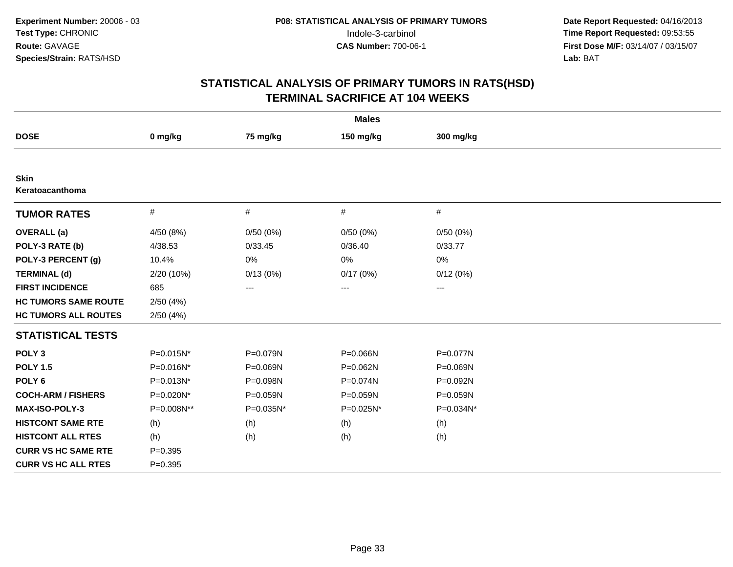|                                |             |           | <b>Males</b> |           |  |
|--------------------------------|-------------|-----------|--------------|-----------|--|
| <b>DOSE</b>                    | 0 mg/kg     | 75 mg/kg  | 150 mg/kg    | 300 mg/kg |  |
|                                |             |           |              |           |  |
| <b>Skin</b><br>Keratoacanthoma |             |           |              |           |  |
| <b>TUMOR RATES</b>             | #           | #         | #            | #         |  |
| <b>OVERALL</b> (a)             | 4/50 (8%)   | 0/50(0%)  | 0/50(0%)     | 0/50(0%)  |  |
| POLY-3 RATE (b)                | 4/38.53     | 0/33.45   | 0/36.40      | 0/33.77   |  |
| POLY-3 PERCENT (g)             | 10.4%       | $0\%$     | 0%           | 0%        |  |
| <b>TERMINAL (d)</b>            | 2/20 (10%)  | 0/13(0%)  | 0/17(0%)     | 0/12(0%)  |  |
| <b>FIRST INCIDENCE</b>         | 685         | ---       | $---$        | ---       |  |
| <b>HC TUMORS SAME ROUTE</b>    | 2/50(4%)    |           |              |           |  |
| <b>HC TUMORS ALL ROUTES</b>    | 2/50(4%)    |           |              |           |  |
| <b>STATISTICAL TESTS</b>       |             |           |              |           |  |
| POLY <sub>3</sub>              | P=0.015N*   | P=0.079N  | P=0.066N     | P=0.077N  |  |
| <b>POLY 1.5</b>                | P=0.016N*   | P=0.069N  | P=0.062N     | P=0.069N  |  |
| POLY <sub>6</sub>              | P=0.013N*   | P=0.098N  | P=0.074N     | P=0.092N  |  |
| <b>COCH-ARM / FISHERS</b>      | P=0.020N*   | P=0.059N  | P=0.059N     | P=0.059N  |  |
| MAX-ISO-POLY-3                 | P=0.008N**  | P=0.035N* | P=0.025N*    | P=0.034N* |  |
| <b>HISTCONT SAME RTE</b>       | (h)         | (h)       | (h)          | (h)       |  |
| <b>HISTCONT ALL RTES</b>       | (h)         | (h)       | (h)          | (h)       |  |
| <b>CURR VS HC SAME RTE</b>     | $P=0.395$   |           |              |           |  |
| <b>CURR VS HC ALL RTES</b>     | $P = 0.395$ |           |              |           |  |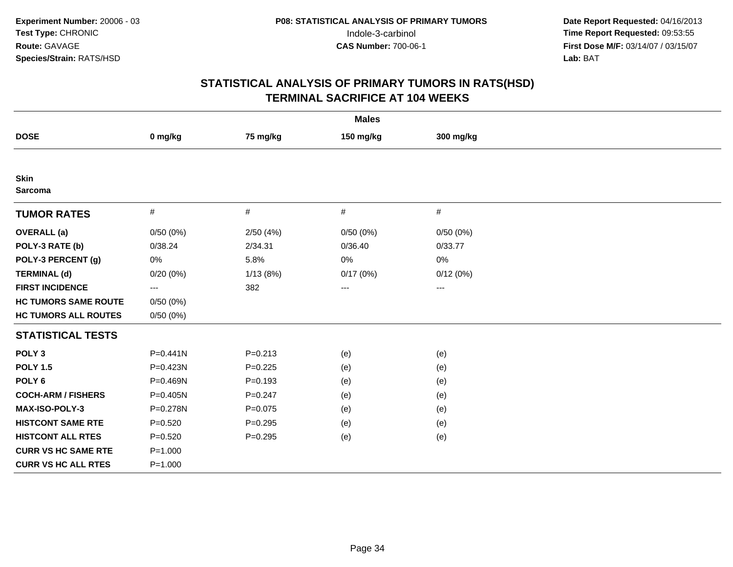|                               |              |             | <b>Males</b> |           |  |
|-------------------------------|--------------|-------------|--------------|-----------|--|
| <b>DOSE</b>                   | 0 mg/kg      | 75 mg/kg    | 150 mg/kg    | 300 mg/kg |  |
|                               |              |             |              |           |  |
| <b>Skin</b><br><b>Sarcoma</b> |              |             |              |           |  |
| <b>TUMOR RATES</b>            | $\#$         | $\#$        | $\#$         | $\#$      |  |
| <b>OVERALL</b> (a)            | 0/50(0%)     | 2/50(4%)    | 0/50(0%)     | 0/50(0%)  |  |
| POLY-3 RATE (b)               | 0/38.24      | 2/34.31     | 0/36.40      | 0/33.77   |  |
| POLY-3 PERCENT (g)            | 0%           | 5.8%        | 0%           | 0%        |  |
| <b>TERMINAL (d)</b>           | 0/20(0%)     | 1/13(8%)    | 0/17(0%)     | 0/12(0%)  |  |
| <b>FIRST INCIDENCE</b>        | $---$        | 382         | $---$        | $---$     |  |
| <b>HC TUMORS SAME ROUTE</b>   | 0/50(0%)     |             |              |           |  |
| <b>HC TUMORS ALL ROUTES</b>   | 0/50(0%)     |             |              |           |  |
| <b>STATISTICAL TESTS</b>      |              |             |              |           |  |
| POLY <sub>3</sub>             | $P = 0.441N$ | $P = 0.213$ | (e)          | (e)       |  |
| <b>POLY 1.5</b>               | P=0.423N     | $P=0.225$   | (e)          | (e)       |  |
| POLY <sub>6</sub>             | P=0.469N     | $P = 0.193$ | (e)          | (e)       |  |
| <b>COCH-ARM / FISHERS</b>     | $P = 0.405N$ | $P = 0.247$ | (e)          | (e)       |  |
| <b>MAX-ISO-POLY-3</b>         | P=0.278N     | $P = 0.075$ | (e)          | (e)       |  |
| <b>HISTCONT SAME RTE</b>      | $P = 0.520$  | $P = 0.295$ | (e)          | (e)       |  |
| <b>HISTCONT ALL RTES</b>      | $P = 0.520$  | $P = 0.295$ | (e)          | (e)       |  |
| <b>CURR VS HC SAME RTE</b>    | $P = 1.000$  |             |              |           |  |
| <b>CURR VS HC ALL RTES</b>    | $P = 1.000$  |             |              |           |  |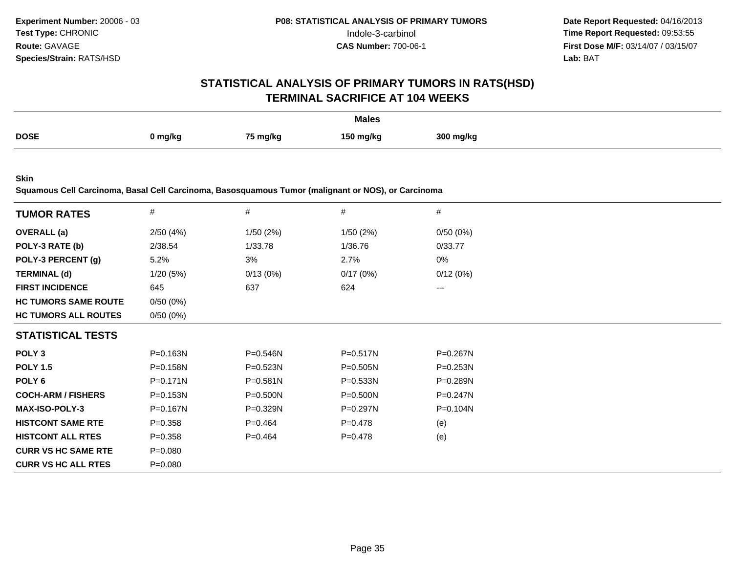#### **STATISTICAL ANALYSIS OF PRIMARY TUMORS IN RATS(HSD)TERMINAL SACRIFICE AT 104 WEEKS**

|             |         |          | <b>Males</b> |           |
|-------------|---------|----------|--------------|-----------|
| <b>DOSE</b> | 0 mg/kg | 75 mg/kg | 150 ma/ka    | 300 mg/kg |

**Skin**

**Squamous Cell Carcinoma, Basal Cell Carcinoma, Basosquamous Tumor (malignant or NOS), or Carcinoma**

| <b>TUMOR RATES</b>          | $\#$         | $\#$         | $\#$         | #            |
|-----------------------------|--------------|--------------|--------------|--------------|
| <b>OVERALL</b> (a)          | 2/50(4%)     | 1/50(2%)     | 1/50(2%)     | 0/50(0%)     |
| POLY-3 RATE (b)             | 2/38.54      | 1/33.78      | 1/36.76      | 0/33.77      |
| POLY-3 PERCENT (g)          | 5.2%         | 3%           | 2.7%         | 0%           |
| <b>TERMINAL (d)</b>         | 1/20(5%)     | 0/13(0%)     | 0/17(0%)     | 0/12(0%)     |
| <b>FIRST INCIDENCE</b>      | 645          | 637          | 624          | $--$         |
| <b>HC TUMORS SAME ROUTE</b> | 0/50(0%)     |              |              |              |
| <b>HC TUMORS ALL ROUTES</b> | 0/50(0%)     |              |              |              |
| <b>STATISTICAL TESTS</b>    |              |              |              |              |
| POLY <sub>3</sub>           | P=0.163N     | P=0.546N     | $P = 0.517N$ | P=0.267N     |
| <b>POLY 1.5</b>             | P=0.158N     | P=0.523N     | P=0.505N     | $P = 0.253N$ |
| POLY <sub>6</sub>           | $P = 0.171N$ | P=0.581N     | P=0.533N     | P=0.289N     |
| <b>COCH-ARM / FISHERS</b>   | $P = 0.153N$ | $P = 0.500N$ | $P = 0.500N$ | $P = 0.247N$ |
| <b>MAX-ISO-POLY-3</b>       | P=0.167N     | P=0.329N     | P=0.297N     | P=0.104N     |
| <b>HISTCONT SAME RTE</b>    | $P = 0.358$  | $P=0.464$    | $P = 0.478$  | (e)          |
| <b>HISTCONT ALL RTES</b>    | $P = 0.358$  | $P=0.464$    | $P = 0.478$  | (e)          |
| <b>CURR VS HC SAME RTE</b>  | $P = 0.080$  |              |              |              |
| <b>CURR VS HC ALL RTES</b>  | $P = 0.080$  |              |              |              |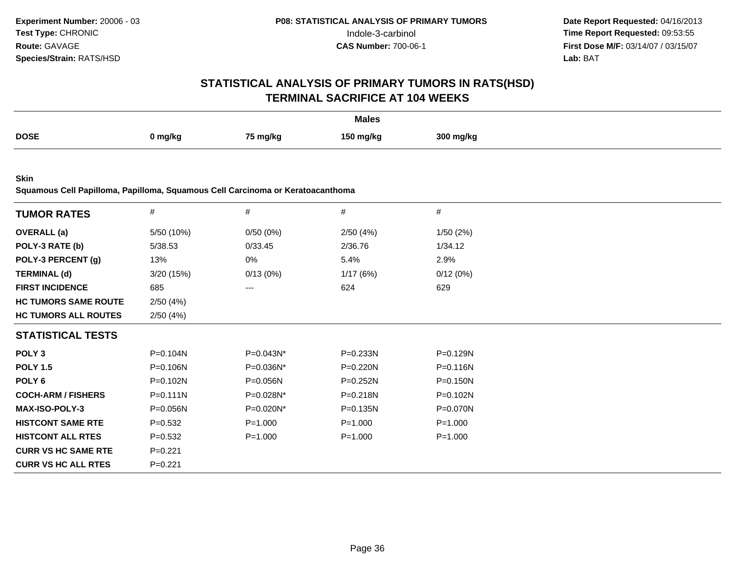# **STATISTICAL ANALYSIS OF PRIMARY TUMORS IN RATS(HSD)TERMINAL SACRIFICE AT 104 WEEKS**

|             |         |          | <b>Males</b> |           |
|-------------|---------|----------|--------------|-----------|
| <b>DOSE</b> | 0 mg/kg | 75 mg/kg | 150 ma/ka    | 300 ma/ka |

**Skin**

**Squamous Cell Papilloma, Papilloma, Squamous Cell Carcinoma or Keratoacanthoma**

| <b>TUMOR RATES</b>          | $\#$         | #            | #            | #            |  |
|-----------------------------|--------------|--------------|--------------|--------------|--|
| <b>OVERALL</b> (a)          | 5/50 (10%)   | 0/50(0%)     | 2/50(4%)     | 1/50(2%)     |  |
| POLY-3 RATE (b)             | 5/38.53      | 0/33.45      | 2/36.76      | 1/34.12      |  |
| POLY-3 PERCENT (g)          | 13%          | 0%           | 5.4%         | 2.9%         |  |
| <b>TERMINAL (d)</b>         | 3/20(15%)    | 0/13(0%)     | 1/17(6%)     | 0/12(0%)     |  |
| <b>FIRST INCIDENCE</b>      | 685          | ---          | 624          | 629          |  |
| <b>HC TUMORS SAME ROUTE</b> | 2/50(4%)     |              |              |              |  |
| <b>HC TUMORS ALL ROUTES</b> | 2/50(4%)     |              |              |              |  |
| <b>STATISTICAL TESTS</b>    |              |              |              |              |  |
| POLY <sub>3</sub>           | P=0.104N     | P=0.043N*    | P=0.233N     | P=0.129N     |  |
| <b>POLY 1.5</b>             | P=0.106N     | P=0.036N*    | P=0.220N     | P=0.116N     |  |
| POLY 6                      | $P = 0.102N$ | $P = 0.056N$ | $P = 0.252N$ | $P = 0.150N$ |  |
| <b>COCH-ARM / FISHERS</b>   | $P = 0.111N$ | P=0.028N*    | P=0.218N     | P=0.102N     |  |
| <b>MAX-ISO-POLY-3</b>       | P=0.056N     | P=0.020N*    | P=0.135N     | P=0.070N     |  |
| <b>HISTCONT SAME RTE</b>    | $P=0.532$    | $P = 1.000$  | $P = 1.000$  | $P = 1.000$  |  |
| <b>HISTCONT ALL RTES</b>    | $P = 0.532$  | $P = 1.000$  | $P = 1.000$  | $P = 1.000$  |  |
| <b>CURR VS HC SAME RTE</b>  | $P=0.221$    |              |              |              |  |
| <b>CURR VS HC ALL RTES</b>  | $P=0.221$    |              |              |              |  |
|                             |              |              |              |              |  |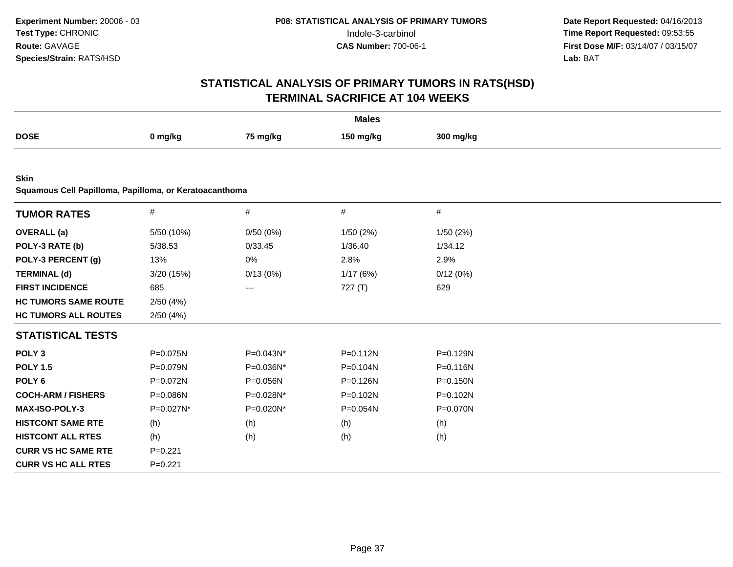| <b>Males</b>                                           |             |           |              |              |  |  |
|--------------------------------------------------------|-------------|-----------|--------------|--------------|--|--|
| <b>DOSE</b>                                            | 0 mg/kg     | 75 mg/kg  | 150 mg/kg    | 300 mg/kg    |  |  |
|                                                        |             |           |              |              |  |  |
| <b>Skin</b>                                            |             |           |              |              |  |  |
| Squamous Cell Papilloma, Papilloma, or Keratoacanthoma |             |           |              |              |  |  |
| <b>TUMOR RATES</b>                                     | $\#$        | $\#$      | $\#$         | $\#$         |  |  |
| <b>OVERALL</b> (a)                                     | 5/50 (10%)  | 0/50(0%)  | 1/50(2%)     | 1/50(2%)     |  |  |
| POLY-3 RATE (b)                                        | 5/38.53     | 0/33.45   | 1/36.40      | 1/34.12      |  |  |
| POLY-3 PERCENT (g)                                     | 13%         | $0\%$     | 2.8%         | 2.9%         |  |  |
| <b>TERMINAL (d)</b>                                    | 3/20 (15%)  | 0/13(0%)  | 1/17(6%)     | 0/12(0%)     |  |  |
| <b>FIRST INCIDENCE</b>                                 | 685         | ---       | 727(T)       | 629          |  |  |
| <b>HC TUMORS SAME ROUTE</b>                            | 2/50(4%)    |           |              |              |  |  |
| <b>HC TUMORS ALL ROUTES</b>                            | 2/50(4%)    |           |              |              |  |  |
| <b>STATISTICAL TESTS</b>                               |             |           |              |              |  |  |
| POLY <sub>3</sub>                                      | P=0.075N    | P=0.043N* | $P = 0.112N$ | P=0.129N     |  |  |
| <b>POLY 1.5</b>                                        | P=0.079N    | P=0.036N* | P=0.104N     | P=0.116N     |  |  |
| POLY <sub>6</sub>                                      | P=0.072N    | P=0.056N  | P=0.126N     | $P = 0.150N$ |  |  |
| <b>COCH-ARM / FISHERS</b>                              | P=0.086N    | P=0.028N* | P=0.102N     | P=0.102N     |  |  |
| MAX-ISO-POLY-3                                         | P=0.027N*   | P=0.020N* | P=0.054N     | P=0.070N     |  |  |
| <b>HISTCONT SAME RTE</b>                               | (h)         | (h)       | (h)          | (h)          |  |  |
| <b>HISTCONT ALL RTES</b>                               | (h)         | (h)       | (h)          | (h)          |  |  |
| <b>CURR VS HC SAME RTE</b>                             | $P=0.221$   |           |              |              |  |  |
| <b>CURR VS HC ALL RTES</b>                             | $P = 0.221$ |           |              |              |  |  |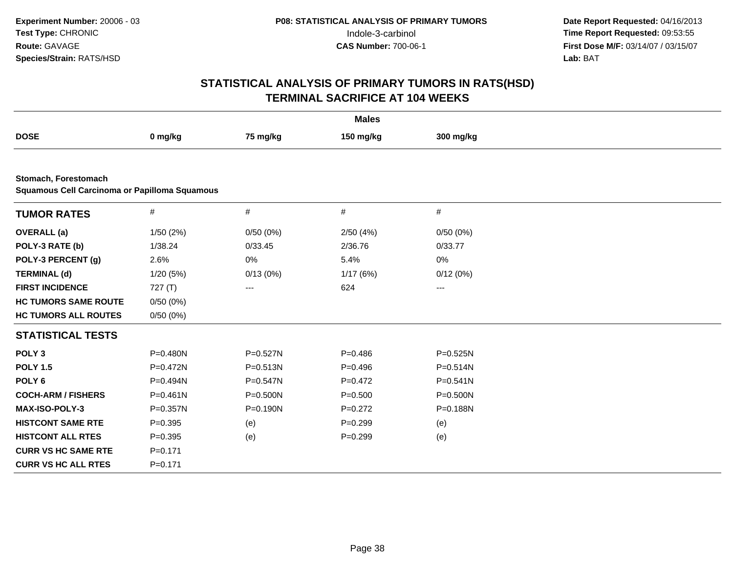| <b>Males</b>                                                          |              |          |             |              |  |  |  |
|-----------------------------------------------------------------------|--------------|----------|-------------|--------------|--|--|--|
| <b>DOSE</b>                                                           | 0 mg/kg      | 75 mg/kg | 150 mg/kg   | 300 mg/kg    |  |  |  |
|                                                                       |              |          |             |              |  |  |  |
| Stomach, Forestomach<br>Squamous Cell Carcinoma or Papilloma Squamous |              |          |             |              |  |  |  |
| <b>TUMOR RATES</b>                                                    | $\#$         | $\#$     | $\#$        | $\#$         |  |  |  |
| <b>OVERALL</b> (a)                                                    | 1/50(2%)     | 0/50(0%) | 2/50(4%)    | 0/50(0%)     |  |  |  |
| POLY-3 RATE (b)                                                       | 1/38.24      | 0/33.45  | 2/36.76     | 0/33.77      |  |  |  |
| POLY-3 PERCENT (g)                                                    | 2.6%         | 0%       | 5.4%        | 0%           |  |  |  |
| <b>TERMINAL (d)</b>                                                   | 1/20(5%)     | 0/13(0%) | 1/17(6%)    | 0/12(0%)     |  |  |  |
| <b>FIRST INCIDENCE</b>                                                | 727(T)       | $--$     | 624         | ---          |  |  |  |
| <b>HC TUMORS SAME ROUTE</b>                                           | 0/50(0%)     |          |             |              |  |  |  |
| <b>HC TUMORS ALL ROUTES</b>                                           | 0/50(0%)     |          |             |              |  |  |  |
| <b>STATISTICAL TESTS</b>                                              |              |          |             |              |  |  |  |
| POLY <sub>3</sub>                                                     | P=0.480N     | P=0.527N | $P=0.486$   | $P = 0.525N$ |  |  |  |
| <b>POLY 1.5</b>                                                       | $P = 0.472N$ | P=0.513N | $P=0.496$   | $P = 0.514N$ |  |  |  |
| POLY <sub>6</sub>                                                     | P=0.494N     | P=0.547N | $P=0.472$   | $P = 0.541N$ |  |  |  |
| <b>COCH-ARM / FISHERS</b>                                             | $P = 0.461N$ | P=0.500N | $P = 0.500$ | $P = 0.500N$ |  |  |  |
| <b>MAX-ISO-POLY-3</b>                                                 | $P = 0.357N$ | P=0.190N | $P=0.272$   | P=0.188N     |  |  |  |
| <b>HISTCONT SAME RTE</b>                                              | $P = 0.395$  | (e)      | $P=0.299$   | (e)          |  |  |  |
| <b>HISTCONT ALL RTES</b>                                              | $P = 0.395$  | (e)      | $P=0.299$   | (e)          |  |  |  |
| <b>CURR VS HC SAME RTE</b>                                            | $P = 0.171$  |          |             |              |  |  |  |
| <b>CURR VS HC ALL RTES</b>                                            | $P = 0.171$  |          |             |              |  |  |  |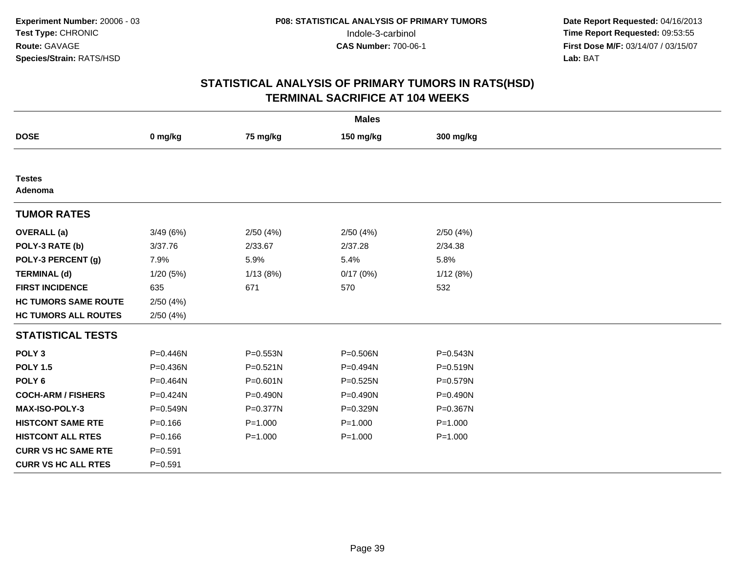|                             |             |              | <b>Males</b> |              |  |
|-----------------------------|-------------|--------------|--------------|--------------|--|
| <b>DOSE</b>                 | 0 mg/kg     | 75 mg/kg     | 150 mg/kg    | 300 mg/kg    |  |
|                             |             |              |              |              |  |
| <b>Testes</b><br>Adenoma    |             |              |              |              |  |
| <b>TUMOR RATES</b>          |             |              |              |              |  |
| <b>OVERALL</b> (a)          | 3/49(6%)    | 2/50(4%)     | 2/50(4%)     | 2/50(4%)     |  |
| POLY-3 RATE (b)             | 3/37.76     | 2/33.67      | 2/37.28      | 2/34.38      |  |
| POLY-3 PERCENT (g)          | 7.9%        | 5.9%         | 5.4%         | 5.8%         |  |
| <b>TERMINAL (d)</b>         | 1/20 (5%)   | 1/13(8%)     | 0/17(0%)     | 1/12(8%)     |  |
| <b>FIRST INCIDENCE</b>      | 635         | 671          | 570          | 532          |  |
| <b>HC TUMORS SAME ROUTE</b> | 2/50(4%)    |              |              |              |  |
| <b>HC TUMORS ALL ROUTES</b> | 2/50(4%)    |              |              |              |  |
| <b>STATISTICAL TESTS</b>    |             |              |              |              |  |
| POLY <sub>3</sub>           | P=0.446N    | P=0.553N     | P=0.506N     | $P = 0.543N$ |  |
| <b>POLY 1.5</b>             | P=0.436N    | $P = 0.521N$ | P=0.494N     | $P = 0.519N$ |  |
| POLY <sub>6</sub>           | P=0.464N    | $P = 0.601N$ | P=0.525N     | P=0.579N     |  |
| <b>COCH-ARM / FISHERS</b>   | P=0.424N    | $P = 0.490N$ | $P = 0.490N$ | P=0.490N     |  |
| <b>MAX-ISO-POLY-3</b>       | P=0.549N    | P=0.377N     | P=0.329N     | P=0.367N     |  |
| <b>HISTCONT SAME RTE</b>    | $P = 0.166$ | $P = 1.000$  | $P = 1.000$  | $P = 1.000$  |  |
| <b>HISTCONT ALL RTES</b>    | $P = 0.166$ | $P = 1.000$  | $P = 1.000$  | $P = 1.000$  |  |
| <b>CURR VS HC SAME RTE</b>  | $P = 0.591$ |              |              |              |  |
| <b>CURR VS HC ALL RTES</b>  | $P = 0.591$ |              |              |              |  |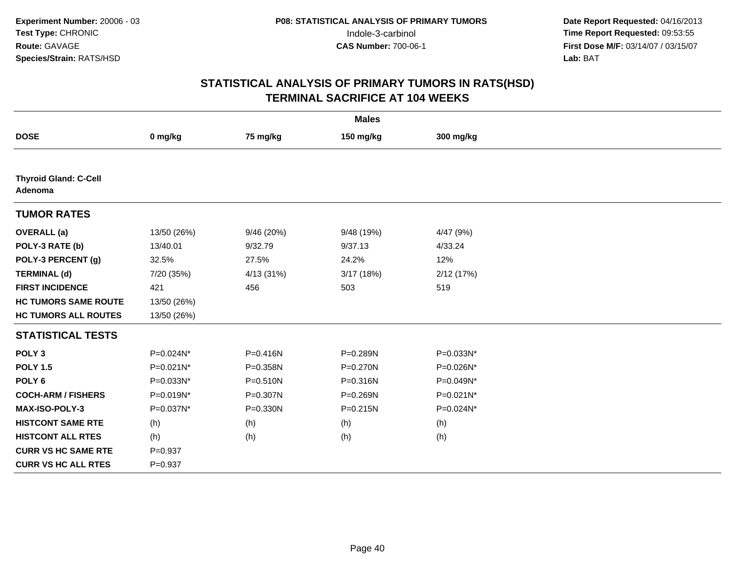| <b>Males</b>                            |             |            |              |            |  |  |
|-----------------------------------------|-------------|------------|--------------|------------|--|--|
| <b>DOSE</b>                             | 0 mg/kg     | 75 mg/kg   | 150 mg/kg    | 300 mg/kg  |  |  |
|                                         |             |            |              |            |  |  |
| <b>Thyroid Gland: C-Cell</b><br>Adenoma |             |            |              |            |  |  |
| <b>TUMOR RATES</b>                      |             |            |              |            |  |  |
| <b>OVERALL</b> (a)                      | 13/50 (26%) | 9/46 (20%) | 9/48 (19%)   | 4/47 (9%)  |  |  |
| POLY-3 RATE (b)                         | 13/40.01    | 9/32.79    | 9/37.13      | 4/33.24    |  |  |
| POLY-3 PERCENT (g)                      | 32.5%       | 27.5%      | 24.2%        | 12%        |  |  |
| <b>TERMINAL (d)</b>                     | 7/20 (35%)  | 4/13 (31%) | 3/17 (18%)   | 2/12 (17%) |  |  |
| <b>FIRST INCIDENCE</b>                  | 421         | 456        | 503          | 519        |  |  |
| <b>HC TUMORS SAME ROUTE</b>             | 13/50 (26%) |            |              |            |  |  |
| <b>HC TUMORS ALL ROUTES</b>             | 13/50 (26%) |            |              |            |  |  |
| <b>STATISTICAL TESTS</b>                |             |            |              |            |  |  |
| POLY <sub>3</sub>                       | P=0.024N*   | P=0.416N   | P=0.289N     | P=0.033N*  |  |  |
| <b>POLY 1.5</b>                         | P=0.021N*   | P=0.358N   | $P = 0.270N$ | P=0.026N*  |  |  |
| POLY <sub>6</sub>                       | P=0.033N*   | P=0.510N   | $P = 0.316N$ | P=0.049N*  |  |  |
| <b>COCH-ARM / FISHERS</b>               | P=0.019N*   | P=0.307N   | P=0.269N     | P=0.021N*  |  |  |
| <b>MAX-ISO-POLY-3</b>                   | P=0.037N*   | P=0.330N   | $P = 0.215N$ | P=0.024N*  |  |  |
| <b>HISTCONT SAME RTE</b>                | (h)         | (h)        | (h)          | (h)        |  |  |
| <b>HISTCONT ALL RTES</b>                | (h)         | (h)        | (h)          | (h)        |  |  |
| <b>CURR VS HC SAME RTE</b>              | $P = 0.937$ |            |              |            |  |  |
| <b>CURR VS HC ALL RTES</b>              | $P = 0.937$ |            |              |            |  |  |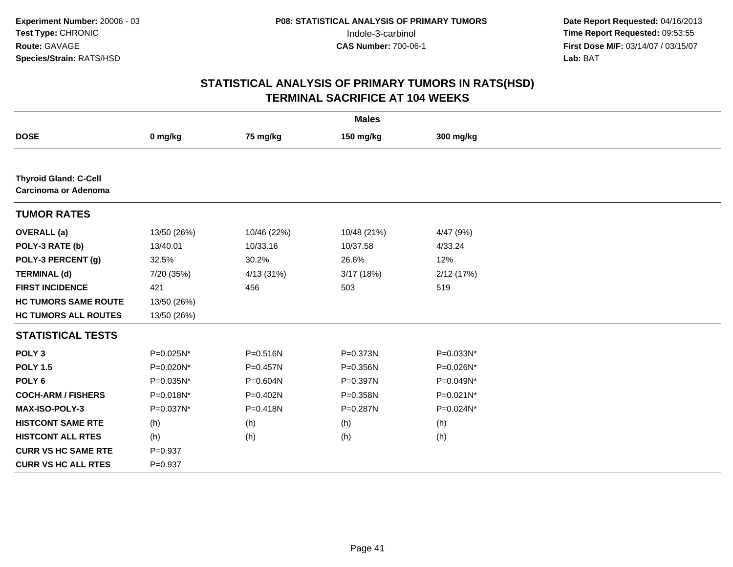| <b>Males</b>                                         |              |              |             |           |  |  |  |
|------------------------------------------------------|--------------|--------------|-------------|-----------|--|--|--|
| <b>DOSE</b>                                          | 0 mg/kg      | 75 mg/kg     | 150 mg/kg   | 300 mg/kg |  |  |  |
|                                                      |              |              |             |           |  |  |  |
| <b>Thyroid Gland: C-Cell</b><br>Carcinoma or Adenoma |              |              |             |           |  |  |  |
| <b>TUMOR RATES</b>                                   |              |              |             |           |  |  |  |
| <b>OVERALL</b> (a)                                   | 13/50 (26%)  | 10/46 (22%)  | 10/48 (21%) | 4/47 (9%) |  |  |  |
| POLY-3 RATE (b)                                      | 13/40.01     | 10/33.16     | 10/37.58    | 4/33.24   |  |  |  |
| POLY-3 PERCENT (g)                                   | 32.5%        | 30.2%        | 26.6%       | 12%       |  |  |  |
| <b>TERMINAL (d)</b>                                  | 7/20 (35%)   | 4/13 (31%)   | 3/17(18%)   | 2/12(17%) |  |  |  |
| <b>FIRST INCIDENCE</b>                               | 421          | 456          | 503         | 519       |  |  |  |
| <b>HC TUMORS SAME ROUTE</b>                          | 13/50 (26%)  |              |             |           |  |  |  |
| <b>HC TUMORS ALL ROUTES</b>                          | 13/50 (26%)  |              |             |           |  |  |  |
| <b>STATISTICAL TESTS</b>                             |              |              |             |           |  |  |  |
| POLY <sub>3</sub>                                    | P=0.025N*    | $P = 0.516N$ | P=0.373N    | P=0.033N* |  |  |  |
| <b>POLY 1.5</b>                                      | $P=0.020N^*$ | $P=0.457N$   | P=0.356N    | P=0.026N* |  |  |  |
| POLY <sub>6</sub>                                    | P=0.035N*    | P=0.604N     | P=0.397N    | P=0.049N* |  |  |  |
| <b>COCH-ARM / FISHERS</b>                            | $P=0.018N^*$ | $P=0.402N$   | P=0.358N    | P=0.021N* |  |  |  |
| <b>MAX-ISO-POLY-3</b>                                | P=0.037N*    | $P = 0.418N$ | P=0.287N    | P=0.024N* |  |  |  |
| <b>HISTCONT SAME RTE</b>                             | (h)          | (h)          | (h)         | (h)       |  |  |  |
| <b>HISTCONT ALL RTES</b>                             | (h)          | (h)          | (h)         | (h)       |  |  |  |
| <b>CURR VS HC SAME RTE</b>                           | $P = 0.937$  |              |             |           |  |  |  |
| <b>CURR VS HC ALL RTES</b>                           | $P = 0.937$  |              |             |           |  |  |  |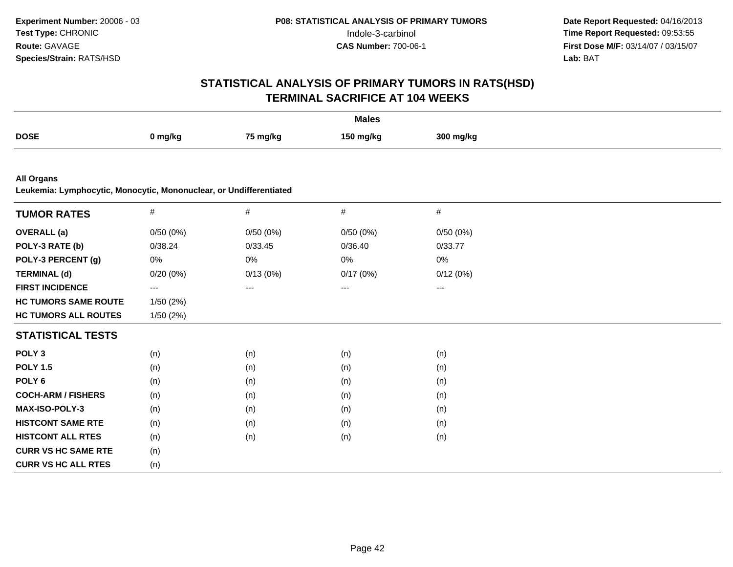| <b>Males</b>                                                                            |          |          |           |           |  |  |
|-----------------------------------------------------------------------------------------|----------|----------|-----------|-----------|--|--|
| <b>DOSE</b>                                                                             | 0 mg/kg  | 75 mg/kg | 150 mg/kg | 300 mg/kg |  |  |
|                                                                                         |          |          |           |           |  |  |
| <b>All Organs</b><br>Leukemia: Lymphocytic, Monocytic, Mononuclear, or Undifferentiated |          |          |           |           |  |  |
| <b>TUMOR RATES</b>                                                                      | #        | $\#$     | #         | $\#$      |  |  |
| <b>OVERALL</b> (a)                                                                      | 0/50(0%) | 0/50(0%) | 0/50(0%)  | 0/50(0%)  |  |  |
| POLY-3 RATE (b)                                                                         | 0/38.24  | 0/33.45  | 0/36.40   | 0/33.77   |  |  |
| POLY-3 PERCENT (g)                                                                      | 0%       | $0\%$    | $0\%$     | 0%        |  |  |
| <b>TERMINAL (d)</b>                                                                     | 0/20(0%) | 0/13(0%) | 0/17(0%)  | 0/12(0%)  |  |  |
| <b>FIRST INCIDENCE</b>                                                                  | ---      | $---$    | $\cdots$  | $---$     |  |  |
| <b>HC TUMORS SAME ROUTE</b>                                                             | 1/50(2%) |          |           |           |  |  |
| <b>HC TUMORS ALL ROUTES</b>                                                             | 1/50(2%) |          |           |           |  |  |
| <b>STATISTICAL TESTS</b>                                                                |          |          |           |           |  |  |
| POLY <sub>3</sub>                                                                       | (n)      | (n)      | (n)       | (n)       |  |  |
| <b>POLY 1.5</b>                                                                         | (n)      | (n)      | (n)       | (n)       |  |  |
| POLY <sub>6</sub>                                                                       | (n)      | (n)      | (n)       | (n)       |  |  |
| <b>COCH-ARM / FISHERS</b>                                                               | (n)      | (n)      | (n)       | (n)       |  |  |
| <b>MAX-ISO-POLY-3</b>                                                                   | (n)      | (n)      | (n)       | (n)       |  |  |
| <b>HISTCONT SAME RTE</b>                                                                | (n)      | (n)      | (n)       | (n)       |  |  |
| <b>HISTCONT ALL RTES</b>                                                                | (n)      | (n)      | (n)       | (n)       |  |  |
| <b>CURR VS HC SAME RTE</b>                                                              | (n)      |          |           |           |  |  |
| <b>CURR VS HC ALL RTES</b>                                                              | (n)      |          |           |           |  |  |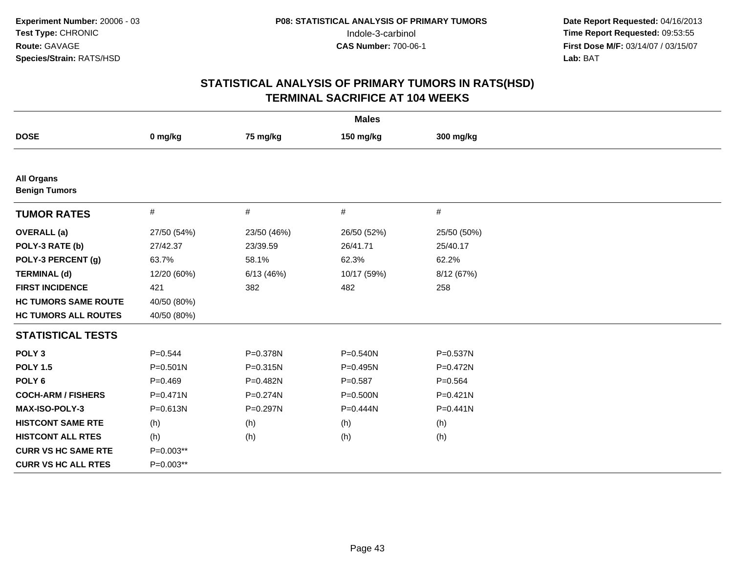| <b>Males</b>                              |              |             |              |             |  |  |  |
|-------------------------------------------|--------------|-------------|--------------|-------------|--|--|--|
| <b>DOSE</b>                               | 0 mg/kg      | 75 mg/kg    | 150 mg/kg    | 300 mg/kg   |  |  |  |
|                                           |              |             |              |             |  |  |  |
| <b>All Organs</b><br><b>Benign Tumors</b> |              |             |              |             |  |  |  |
| <b>TUMOR RATES</b>                        | #            | #           | #            | #           |  |  |  |
| <b>OVERALL</b> (a)                        | 27/50 (54%)  | 23/50 (46%) | 26/50 (52%)  | 25/50 (50%) |  |  |  |
| POLY-3 RATE (b)                           | 27/42.37     | 23/39.59    | 26/41.71     | 25/40.17    |  |  |  |
| POLY-3 PERCENT (g)                        | 63.7%        | 58.1%       | 62.3%        | 62.2%       |  |  |  |
| <b>TERMINAL (d)</b>                       | 12/20 (60%)  | 6/13(46%)   | 10/17 (59%)  | 8/12 (67%)  |  |  |  |
| <b>FIRST INCIDENCE</b>                    | 421          | 382         | 482          | 258         |  |  |  |
| <b>HC TUMORS SAME ROUTE</b>               | 40/50 (80%)  |             |              |             |  |  |  |
| <b>HC TUMORS ALL ROUTES</b>               | 40/50 (80%)  |             |              |             |  |  |  |
| <b>STATISTICAL TESTS</b>                  |              |             |              |             |  |  |  |
| POLY <sub>3</sub>                         | $P = 0.544$  | P=0.378N    | $P = 0.540N$ | P=0.537N    |  |  |  |
| <b>POLY 1.5</b>                           | $P = 0.501N$ | P=0.315N    | $P=0.495N$   | P=0.472N    |  |  |  |
| POLY <sub>6</sub>                         | $P=0.469$    | P=0.482N    | $P = 0.587$  | $P = 0.564$ |  |  |  |
| <b>COCH-ARM / FISHERS</b>                 | $P = 0.471N$ | P=0.274N    | $P = 0.500N$ | P=0.421N    |  |  |  |
| <b>MAX-ISO-POLY-3</b>                     | $P = 0.613N$ | P=0.297N    | $P=0.444N$   | $P=0.441N$  |  |  |  |
| <b>HISTCONT SAME RTE</b>                  | (h)          | (h)         | (h)          | (h)         |  |  |  |
| <b>HISTCONT ALL RTES</b>                  | (h)          | (h)         | (h)          | (h)         |  |  |  |
| <b>CURR VS HC SAME RTE</b>                | $P=0.003**$  |             |              |             |  |  |  |
| <b>CURR VS HC ALL RTES</b>                | P=0.003**    |             |              |             |  |  |  |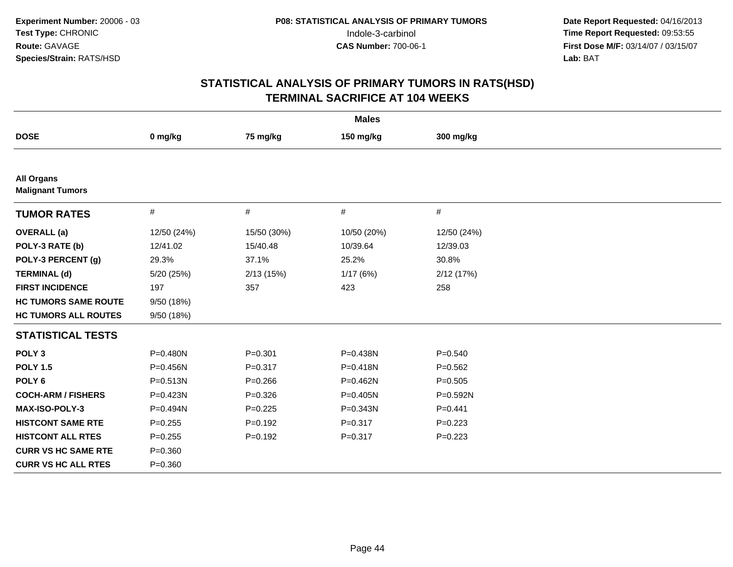| <b>Males</b>                                 |              |             |              |              |  |  |  |
|----------------------------------------------|--------------|-------------|--------------|--------------|--|--|--|
| <b>DOSE</b>                                  | 0 mg/kg      | 75 mg/kg    | 150 mg/kg    | 300 mg/kg    |  |  |  |
|                                              |              |             |              |              |  |  |  |
| <b>All Organs</b><br><b>Malignant Tumors</b> |              |             |              |              |  |  |  |
| <b>TUMOR RATES</b>                           | $\#$         | $\#$        | #            | #            |  |  |  |
| <b>OVERALL</b> (a)                           | 12/50 (24%)  | 15/50 (30%) | 10/50 (20%)  | 12/50 (24%)  |  |  |  |
| POLY-3 RATE (b)                              | 12/41.02     | 15/40.48    | 10/39.64     | 12/39.03     |  |  |  |
| POLY-3 PERCENT (g)                           | 29.3%        | 37.1%       | 25.2%        | 30.8%        |  |  |  |
| <b>TERMINAL (d)</b>                          | 5/20 (25%)   | 2/13(15%)   | 1/17(6%)     | 2/12 (17%)   |  |  |  |
| <b>FIRST INCIDENCE</b>                       | 197          | 357         | 423          | 258          |  |  |  |
| <b>HC TUMORS SAME ROUTE</b>                  | 9/50 (18%)   |             |              |              |  |  |  |
| <b>HC TUMORS ALL ROUTES</b>                  | 9/50 (18%)   |             |              |              |  |  |  |
| <b>STATISTICAL TESTS</b>                     |              |             |              |              |  |  |  |
| POLY <sub>3</sub>                            | P=0.480N     | $P = 0.301$ | P=0.438N     | $P = 0.540$  |  |  |  |
| <b>POLY 1.5</b>                              | P=0.456N     | $P = 0.317$ | $P = 0.418N$ | $P=0.562$    |  |  |  |
| POLY <sub>6</sub>                            | P=0.513N     | $P = 0.266$ | P=0.462N     | $P = 0.505$  |  |  |  |
| <b>COCH-ARM / FISHERS</b>                    | P=0.423N     | $P = 0.326$ | P=0.405N     | $P = 0.592N$ |  |  |  |
| <b>MAX-ISO-POLY-3</b>                        | $P = 0.494N$ | $P = 0.225$ | P=0.343N     | $P = 0.441$  |  |  |  |
| <b>HISTCONT SAME RTE</b>                     | $P = 0.255$  | $P = 0.192$ | $P = 0.317$  | $P=0.223$    |  |  |  |
| <b>HISTCONT ALL RTES</b>                     | $P = 0.255$  | $P=0.192$   | $P = 0.317$  | $P=0.223$    |  |  |  |
| <b>CURR VS HC SAME RTE</b>                   | $P = 0.360$  |             |              |              |  |  |  |
| <b>CURR VS HC ALL RTES</b>                   | $P = 0.360$  |             |              |              |  |  |  |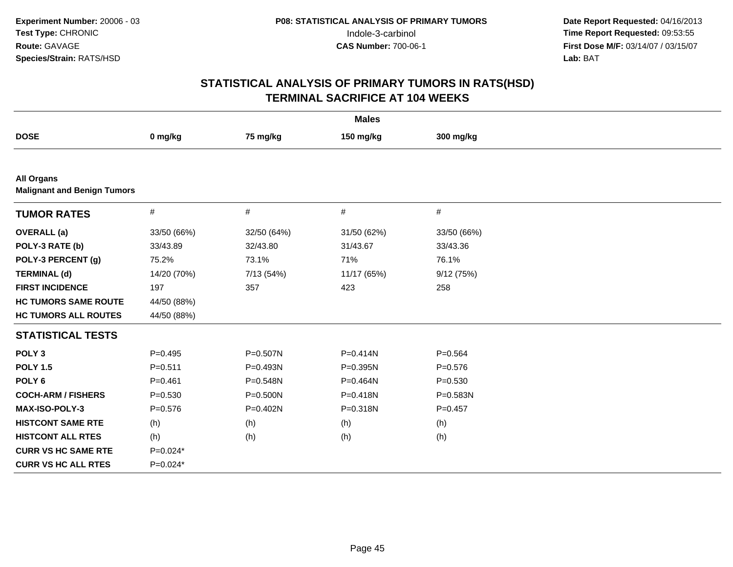| <b>Males</b>                                            |             |             |              |             |  |  |  |
|---------------------------------------------------------|-------------|-------------|--------------|-------------|--|--|--|
| <b>DOSE</b>                                             | 0 mg/kg     | 75 mg/kg    | 150 mg/kg    | 300 mg/kg   |  |  |  |
|                                                         |             |             |              |             |  |  |  |
| <b>All Organs</b><br><b>Malignant and Benign Tumors</b> |             |             |              |             |  |  |  |
| <b>TUMOR RATES</b>                                      | $\#$        | $\#$        | $\#$         | #           |  |  |  |
| <b>OVERALL</b> (a)                                      | 33/50 (66%) | 32/50 (64%) | 31/50 (62%)  | 33/50 (66%) |  |  |  |
| POLY-3 RATE (b)                                         | 33/43.89    | 32/43.80    | 31/43.67     | 33/43.36    |  |  |  |
| POLY-3 PERCENT (g)                                      | 75.2%       | 73.1%       | 71%          | 76.1%       |  |  |  |
| <b>TERMINAL (d)</b>                                     | 14/20 (70%) | 7/13 (54%)  | 11/17 (65%)  | 9/12(75%)   |  |  |  |
| <b>FIRST INCIDENCE</b>                                  | 197         | 357         | 423          | 258         |  |  |  |
| <b>HC TUMORS SAME ROUTE</b>                             | 44/50 (88%) |             |              |             |  |  |  |
| <b>HC TUMORS ALL ROUTES</b>                             | 44/50 (88%) |             |              |             |  |  |  |
| <b>STATISTICAL TESTS</b>                                |             |             |              |             |  |  |  |
| POLY <sub>3</sub>                                       | $P=0.495$   | P=0.507N    | $P = 0.414N$ | $P = 0.564$ |  |  |  |
| <b>POLY 1.5</b>                                         | $P = 0.511$ | $P=0.493N$  | $P = 0.395N$ | $P = 0.576$ |  |  |  |
| POLY <sub>6</sub>                                       | $P = 0.461$ | P=0.548N    | P=0.464N     | $P = 0.530$ |  |  |  |
| <b>COCH-ARM / FISHERS</b>                               | $P = 0.530$ | P=0.500N    | $P = 0.418N$ | P=0.583N    |  |  |  |
| <b>MAX-ISO-POLY-3</b>                                   | $P = 0.576$ | P=0.402N    | P=0.318N     | $P = 0.457$ |  |  |  |
| <b>HISTCONT SAME RTE</b>                                | (h)         | (h)         | (h)          | (h)         |  |  |  |
| <b>HISTCONT ALL RTES</b>                                | (h)         | (h)         | (h)          | (h)         |  |  |  |
| <b>CURR VS HC SAME RTE</b>                              | $P=0.024*$  |             |              |             |  |  |  |
| <b>CURR VS HC ALL RTES</b>                              | $P=0.024*$  |             |              |             |  |  |  |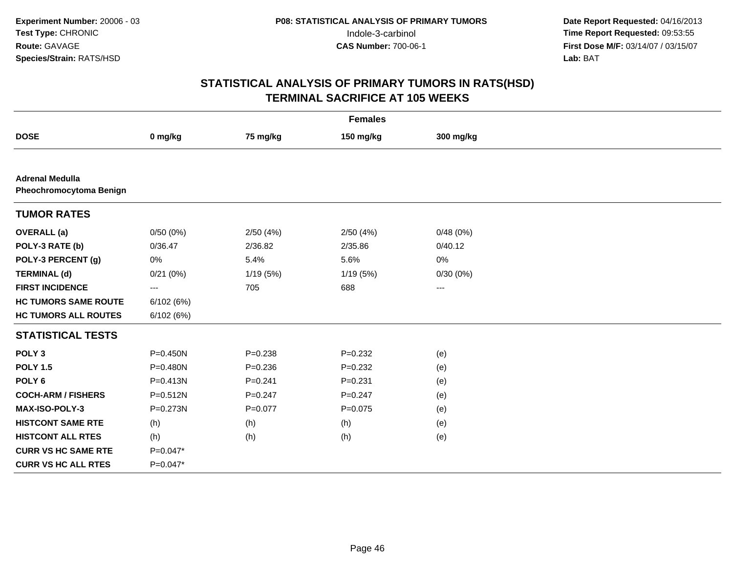| <b>Females</b>                                    |              |             |             |           |  |  |  |
|---------------------------------------------------|--------------|-------------|-------------|-----------|--|--|--|
| <b>DOSE</b>                                       | 0 mg/kg      | 75 mg/kg    | 150 mg/kg   | 300 mg/kg |  |  |  |
|                                                   |              |             |             |           |  |  |  |
| <b>Adrenal Medulla</b><br>Pheochromocytoma Benign |              |             |             |           |  |  |  |
| <b>TUMOR RATES</b>                                |              |             |             |           |  |  |  |
| <b>OVERALL</b> (a)                                | 0/50(0%)     | 2/50(4%)    | 2/50(4%)    | 0/48(0%)  |  |  |  |
| POLY-3 RATE (b)                                   | 0/36.47      | 2/36.82     | 2/35.86     | 0/40.12   |  |  |  |
| POLY-3 PERCENT (g)                                | 0%           | 5.4%        | 5.6%        | 0%        |  |  |  |
| <b>TERMINAL (d)</b>                               | 0/21(0%)     | 1/19(5%)    | 1/19 (5%)   | 0/30(0%)  |  |  |  |
| <b>FIRST INCIDENCE</b>                            | $\cdots$     | 705         | 688         | $\cdots$  |  |  |  |
| <b>HC TUMORS SAME ROUTE</b>                       | 6/102 (6%)   |             |             |           |  |  |  |
| <b>HC TUMORS ALL ROUTES</b>                       | 6/102(6%)    |             |             |           |  |  |  |
| <b>STATISTICAL TESTS</b>                          |              |             |             |           |  |  |  |
| POLY <sub>3</sub>                                 | $P = 0.450N$ | $P = 0.238$ | $P = 0.232$ | (e)       |  |  |  |
| <b>POLY 1.5</b>                                   | P=0.480N     | $P = 0.236$ | $P = 0.232$ | (e)       |  |  |  |
| POLY <sub>6</sub>                                 | $P = 0.413N$ | $P = 0.241$ | $P = 0.231$ | (e)       |  |  |  |
| <b>COCH-ARM / FISHERS</b>                         | $P = 0.512N$ | $P = 0.247$ | $P=0.247$   | (e)       |  |  |  |
| MAX-ISO-POLY-3                                    | P=0.273N     | $P = 0.077$ | $P = 0.075$ | (e)       |  |  |  |
| <b>HISTCONT SAME RTE</b>                          | (h)          | (h)         | (h)         | (e)       |  |  |  |
| <b>HISTCONT ALL RTES</b>                          | (h)          | (h)         | (h)         | (e)       |  |  |  |
| <b>CURR VS HC SAME RTE</b>                        | $P=0.047*$   |             |             |           |  |  |  |
| <b>CURR VS HC ALL RTES</b>                        | $P=0.047*$   |             |             |           |  |  |  |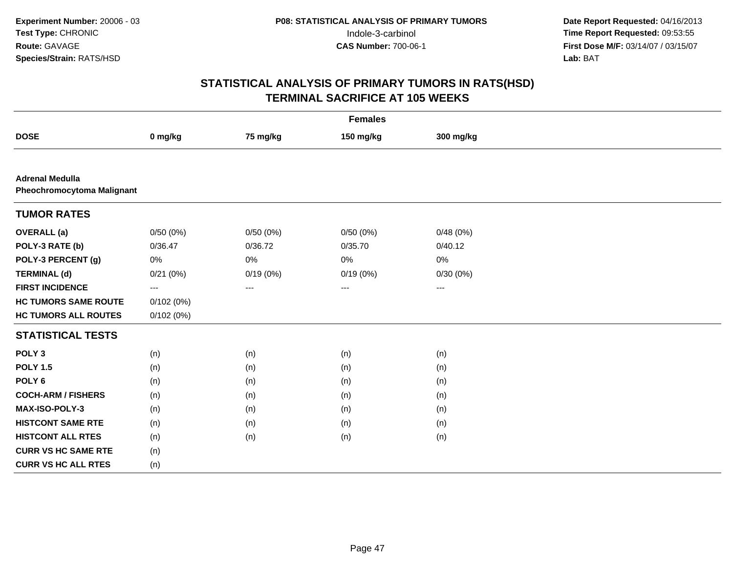| <b>Females</b>                                              |           |          |           |           |  |  |  |
|-------------------------------------------------------------|-----------|----------|-----------|-----------|--|--|--|
| <b>DOSE</b>                                                 | 0 mg/kg   | 75 mg/kg | 150 mg/kg | 300 mg/kg |  |  |  |
|                                                             |           |          |           |           |  |  |  |
| <b>Adrenal Medulla</b><br><b>Pheochromocytoma Malignant</b> |           |          |           |           |  |  |  |
| <b>TUMOR RATES</b>                                          |           |          |           |           |  |  |  |
| <b>OVERALL</b> (a)                                          | 0/50(0%)  | 0/50(0%) | 0/50(0%)  | 0/48(0%)  |  |  |  |
| POLY-3 RATE (b)                                             | 0/36.47   | 0/36.72  | 0/35.70   | 0/40.12   |  |  |  |
| POLY-3 PERCENT (g)                                          | 0%        | 0%       | 0%        | 0%        |  |  |  |
| <b>TERMINAL (d)</b>                                         | 0/21(0%)  | 0/19(0%) | 0/19(0%)  | 0/30(0%)  |  |  |  |
| <b>FIRST INCIDENCE</b>                                      | $\cdots$  | $---$    | $---$     | $\cdots$  |  |  |  |
| <b>HC TUMORS SAME ROUTE</b>                                 | 0/102(0%) |          |           |           |  |  |  |
| <b>HC TUMORS ALL ROUTES</b>                                 | 0/102(0%) |          |           |           |  |  |  |
| <b>STATISTICAL TESTS</b>                                    |           |          |           |           |  |  |  |
| POLY <sub>3</sub>                                           | (n)       | (n)      | (n)       | (n)       |  |  |  |
| <b>POLY 1.5</b>                                             | (n)       | (n)      | (n)       | (n)       |  |  |  |
| POLY <sub>6</sub>                                           | (n)       | (n)      | (n)       | (n)       |  |  |  |
| <b>COCH-ARM / FISHERS</b>                                   | (n)       | (n)      | (n)       | (n)       |  |  |  |
| MAX-ISO-POLY-3                                              | (n)       | (n)      | (n)       | (n)       |  |  |  |
| <b>HISTCONT SAME RTE</b>                                    | (n)       | (n)      | (n)       | (n)       |  |  |  |
| <b>HISTCONT ALL RTES</b>                                    | (n)       | (n)      | (n)       | (n)       |  |  |  |
| <b>CURR VS HC SAME RTE</b>                                  | (n)       |          |           |           |  |  |  |
| <b>CURR VS HC ALL RTES</b>                                  | (n)       |          |           |           |  |  |  |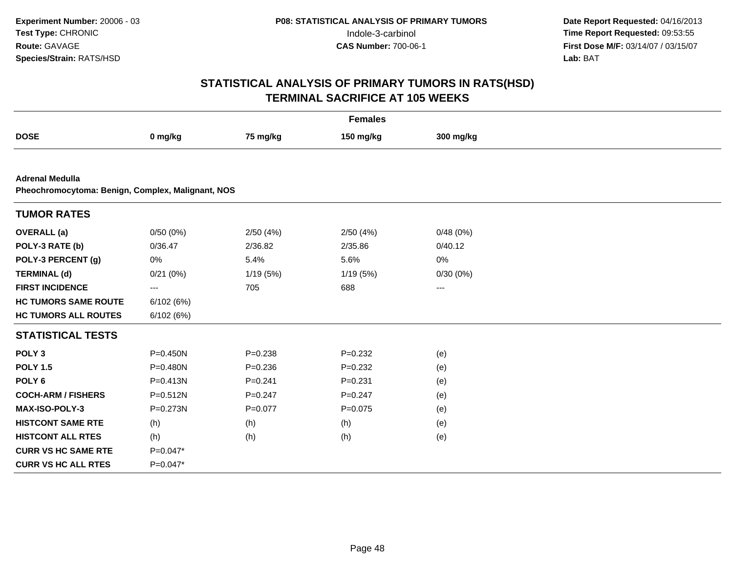|                                                                             | <b>Females</b> |             |             |                        |  |  |  |  |
|-----------------------------------------------------------------------------|----------------|-------------|-------------|------------------------|--|--|--|--|
| <b>DOSE</b>                                                                 | 0 mg/kg        | 75 mg/kg    | 150 mg/kg   | 300 mg/kg              |  |  |  |  |
|                                                                             |                |             |             |                        |  |  |  |  |
| <b>Adrenal Medulla</b><br>Pheochromocytoma: Benign, Complex, Malignant, NOS |                |             |             |                        |  |  |  |  |
| <b>TUMOR RATES</b>                                                          |                |             |             |                        |  |  |  |  |
| <b>OVERALL</b> (a)                                                          | 0/50(0%)       | 2/50(4%)    | 2/50(4%)    | 0/48(0%)               |  |  |  |  |
| POLY-3 RATE (b)                                                             | 0/36.47        | 2/36.82     | 2/35.86     | 0/40.12                |  |  |  |  |
| POLY-3 PERCENT (g)                                                          | 0%             | 5.4%        | 5.6%        | 0%                     |  |  |  |  |
| <b>TERMINAL (d)</b>                                                         | 0/21(0%)       | 1/19(5%)    | 1/19(5%)    | 0/30(0%)               |  |  |  |  |
| <b>FIRST INCIDENCE</b>                                                      | $--$           | 705         | 688         | $\qquad \qquad \cdots$ |  |  |  |  |
| <b>HC TUMORS SAME ROUTE</b>                                                 | 6/102(6%)      |             |             |                        |  |  |  |  |
| <b>HC TUMORS ALL ROUTES</b>                                                 | 6/102(6%)      |             |             |                        |  |  |  |  |
| <b>STATISTICAL TESTS</b>                                                    |                |             |             |                        |  |  |  |  |
| POLY <sub>3</sub>                                                           | $P = 0.450N$   | $P = 0.238$ | $P=0.232$   | (e)                    |  |  |  |  |
| <b>POLY 1.5</b>                                                             | $P = 0.480N$   | $P = 0.236$ | $P=0.232$   | (e)                    |  |  |  |  |
| POLY <sub>6</sub>                                                           | $P = 0.413N$   | $P = 0.241$ | $P = 0.231$ | (e)                    |  |  |  |  |
| <b>COCH-ARM / FISHERS</b>                                                   | $P = 0.512N$   | $P=0.247$   | $P=0.247$   | (e)                    |  |  |  |  |
| <b>MAX-ISO-POLY-3</b>                                                       | P=0.273N       | $P = 0.077$ | $P=0.075$   | (e)                    |  |  |  |  |
| <b>HISTCONT SAME RTE</b>                                                    | (h)            | (h)         | (h)         | (e)                    |  |  |  |  |
| <b>HISTCONT ALL RTES</b>                                                    | (h)            | (h)         | (h)         | (e)                    |  |  |  |  |
| <b>CURR VS HC SAME RTE</b>                                                  | $P=0.047*$     |             |             |                        |  |  |  |  |
| <b>CURR VS HC ALL RTES</b>                                                  | $P=0.047*$     |             |             |                        |  |  |  |  |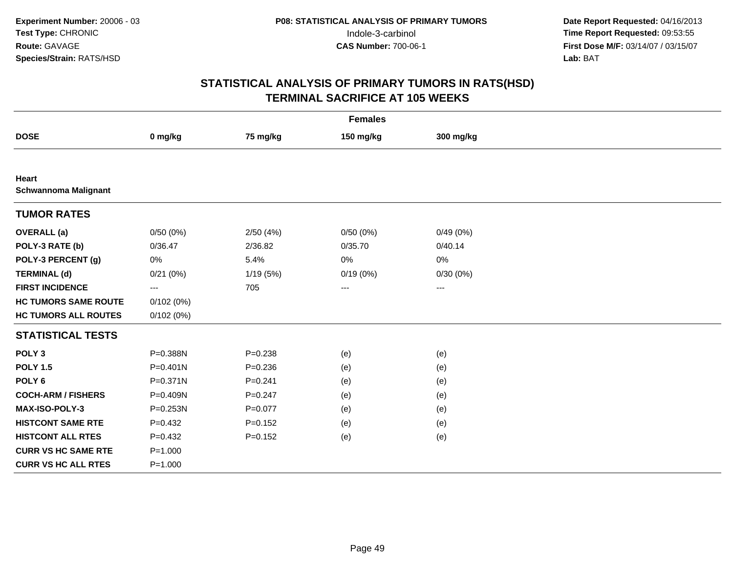| <b>Females</b>                              |              |             |           |                   |  |  |  |
|---------------------------------------------|--------------|-------------|-----------|-------------------|--|--|--|
| <b>DOSE</b>                                 | 0 mg/kg      | 75 mg/kg    | 150 mg/kg | 300 mg/kg         |  |  |  |
|                                             |              |             |           |                   |  |  |  |
| <b>Heart</b><br><b>Schwannoma Malignant</b> |              |             |           |                   |  |  |  |
| <b>TUMOR RATES</b>                          |              |             |           |                   |  |  |  |
| <b>OVERALL</b> (a)                          | 0/50(0%)     | 2/50(4%)    | 0/50(0%)  | 0/49(0%)          |  |  |  |
| POLY-3 RATE (b)                             | 0/36.47      | 2/36.82     | 0/35.70   | 0/40.14           |  |  |  |
| POLY-3 PERCENT (g)                          | 0%           | 5.4%        | 0%        | 0%                |  |  |  |
| <b>TERMINAL (d)</b>                         | 0/21(0%)     | 1/19(5%)    | 0/19(0%)  | 0/30(0%)          |  |  |  |
| <b>FIRST INCIDENCE</b>                      | $---$        | 705         | $---$     | $\qquad \qquad -$ |  |  |  |
| <b>HC TUMORS SAME ROUTE</b>                 | 0/102(0%)    |             |           |                   |  |  |  |
| <b>HC TUMORS ALL ROUTES</b>                 | 0/102(0%)    |             |           |                   |  |  |  |
| <b>STATISTICAL TESTS</b>                    |              |             |           |                   |  |  |  |
| POLY <sub>3</sub>                           | P=0.388N     | $P = 0.238$ | (e)       | (e)               |  |  |  |
| <b>POLY 1.5</b>                             | $P = 0.401N$ | $P = 0.236$ | (e)       | (e)               |  |  |  |
| POLY <sub>6</sub>                           | P=0.371N     | $P=0.241$   | (e)       | (e)               |  |  |  |
| <b>COCH-ARM / FISHERS</b>                   | P=0.409N     | $P = 0.247$ | (e)       | (e)               |  |  |  |
| MAX-ISO-POLY-3                              | P=0.253N     | $P = 0.077$ | (e)       | (e)               |  |  |  |
| <b>HISTCONT SAME RTE</b>                    | $P = 0.432$  | $P = 0.152$ | (e)       | (e)               |  |  |  |
| <b>HISTCONT ALL RTES</b>                    | $P = 0.432$  | $P=0.152$   | (e)       | (e)               |  |  |  |
| <b>CURR VS HC SAME RTE</b>                  | $P = 1.000$  |             |           |                   |  |  |  |
| <b>CURR VS HC ALL RTES</b>                  | $P = 1.000$  |             |           |                   |  |  |  |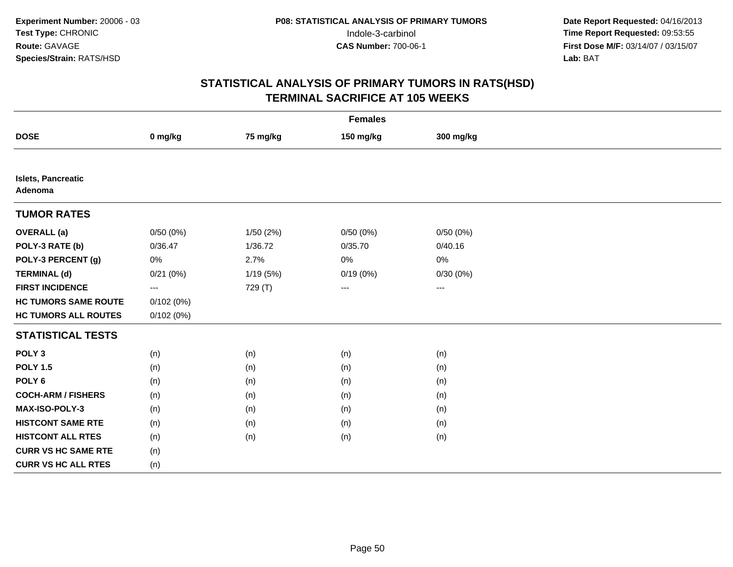|                                      | <b>Females</b>         |          |           |                         |  |  |  |  |
|--------------------------------------|------------------------|----------|-----------|-------------------------|--|--|--|--|
| <b>DOSE</b>                          | 0 mg/kg                | 75 mg/kg | 150 mg/kg | 300 mg/kg               |  |  |  |  |
|                                      |                        |          |           |                         |  |  |  |  |
| <b>Islets, Pancreatic</b><br>Adenoma |                        |          |           |                         |  |  |  |  |
| <b>TUMOR RATES</b>                   |                        |          |           |                         |  |  |  |  |
| <b>OVERALL</b> (a)                   | 0/50(0%)               | 1/50(2%) | 0/50(0%)  | 0/50(0%)                |  |  |  |  |
| POLY-3 RATE (b)                      | 0/36.47                | 1/36.72  | 0/35.70   | 0/40.16                 |  |  |  |  |
| POLY-3 PERCENT (g)                   | 0%                     | 2.7%     | $0\%$     | 0%                      |  |  |  |  |
| <b>TERMINAL (d)</b>                  | 0/21(0%)               | 1/19(5%) | 0/19(0%)  | 0/30(0%)                |  |  |  |  |
| <b>FIRST INCIDENCE</b>               | $\qquad \qquad \cdots$ | 729 (T)  | ---       | $\qquad \qquad -\qquad$ |  |  |  |  |
| <b>HC TUMORS SAME ROUTE</b>          | 0/102(0%)              |          |           |                         |  |  |  |  |
| <b>HC TUMORS ALL ROUTES</b>          | 0/102(0%)              |          |           |                         |  |  |  |  |
| <b>STATISTICAL TESTS</b>             |                        |          |           |                         |  |  |  |  |
| POLY <sub>3</sub>                    | (n)                    | (n)      | (n)       | (n)                     |  |  |  |  |
| <b>POLY 1.5</b>                      | (n)                    | (n)      | (n)       | (n)                     |  |  |  |  |
| POLY <sub>6</sub>                    | (n)                    | (n)      | (n)       | (n)                     |  |  |  |  |
| <b>COCH-ARM / FISHERS</b>            | (n)                    | (n)      | (n)       | (n)                     |  |  |  |  |
| MAX-ISO-POLY-3                       | (n)                    | (n)      | (n)       | (n)                     |  |  |  |  |
| <b>HISTCONT SAME RTE</b>             | (n)                    | (n)      | (n)       | (n)                     |  |  |  |  |
| <b>HISTCONT ALL RTES</b>             | (n)                    | (n)      | (n)       | (n)                     |  |  |  |  |
| <b>CURR VS HC SAME RTE</b>           | (n)                    |          |           |                         |  |  |  |  |
| <b>CURR VS HC ALL RTES</b>           | (n)                    |          |           |                         |  |  |  |  |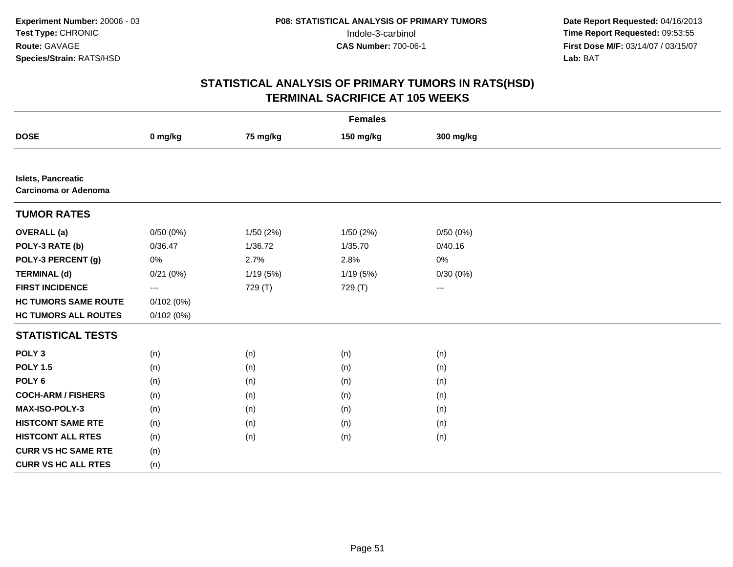|                                                          | <b>Females</b>           |           |           |           |  |  |  |  |
|----------------------------------------------------------|--------------------------|-----------|-----------|-----------|--|--|--|--|
| <b>DOSE</b>                                              | 0 mg/kg                  | 75 mg/kg  | 150 mg/kg | 300 mg/kg |  |  |  |  |
|                                                          |                          |           |           |           |  |  |  |  |
| <b>Islets, Pancreatic</b><br><b>Carcinoma or Adenoma</b> |                          |           |           |           |  |  |  |  |
| <b>TUMOR RATES</b>                                       |                          |           |           |           |  |  |  |  |
| <b>OVERALL</b> (a)                                       | 0/50(0%)                 | 1/50 (2%) | 1/50(2%)  | 0/50(0%)  |  |  |  |  |
| POLY-3 RATE (b)                                          | 0/36.47                  | 1/36.72   | 1/35.70   | 0/40.16   |  |  |  |  |
| POLY-3 PERCENT (g)                                       | 0%                       | 2.7%      | 2.8%      | 0%        |  |  |  |  |
| <b>TERMINAL (d)</b>                                      | 0/21(0%)                 | 1/19(5%)  | 1/19(5%)  | 0/30(0%)  |  |  |  |  |
| <b>FIRST INCIDENCE</b>                                   | $\hspace{0.05cm} \ldots$ | 729 (T)   | 729 (T)   | $--$      |  |  |  |  |
| <b>HC TUMORS SAME ROUTE</b>                              | 0/102(0%)                |           |           |           |  |  |  |  |
| <b>HC TUMORS ALL ROUTES</b>                              | 0/102(0%)                |           |           |           |  |  |  |  |
| <b>STATISTICAL TESTS</b>                                 |                          |           |           |           |  |  |  |  |
| POLY <sub>3</sub>                                        | (n)                      | (n)       | (n)       | (n)       |  |  |  |  |
| <b>POLY 1.5</b>                                          | (n)                      | (n)       | (n)       | (n)       |  |  |  |  |
| POLY <sub>6</sub>                                        | (n)                      | (n)       | (n)       | (n)       |  |  |  |  |
| <b>COCH-ARM / FISHERS</b>                                | (n)                      | (n)       | (n)       | (n)       |  |  |  |  |
| MAX-ISO-POLY-3                                           | (n)                      | (n)       | (n)       | (n)       |  |  |  |  |
| <b>HISTCONT SAME RTE</b>                                 | (n)                      | (n)       | (n)       | (n)       |  |  |  |  |
| <b>HISTCONT ALL RTES</b>                                 | (n)                      | (n)       | (n)       | (n)       |  |  |  |  |
| <b>CURR VS HC SAME RTE</b>                               | (n)                      |           |           |           |  |  |  |  |
| <b>CURR VS HC ALL RTES</b>                               | (n)                      |           |           |           |  |  |  |  |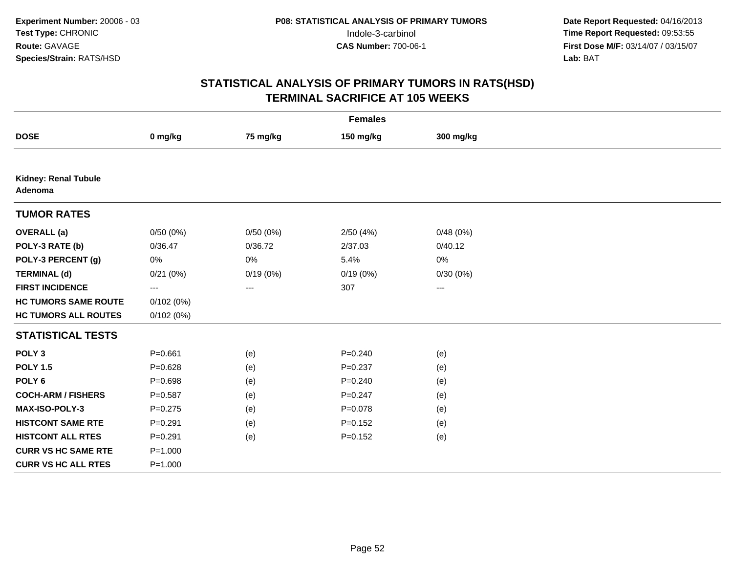| <b>Females</b>                         |                                          |          |             |           |  |  |  |
|----------------------------------------|------------------------------------------|----------|-------------|-----------|--|--|--|
| <b>DOSE</b>                            | 0 mg/kg                                  | 75 mg/kg | 150 mg/kg   | 300 mg/kg |  |  |  |
|                                        |                                          |          |             |           |  |  |  |
| <b>Kidney: Renal Tubule</b><br>Adenoma |                                          |          |             |           |  |  |  |
| <b>TUMOR RATES</b>                     |                                          |          |             |           |  |  |  |
| <b>OVERALL</b> (a)                     | 0/50(0%)                                 | 0/50(0%) | 2/50(4%)    | 0/48(0%)  |  |  |  |
| POLY-3 RATE (b)                        | 0/36.47                                  | 0/36.72  | 2/37.03     | 0/40.12   |  |  |  |
| POLY-3 PERCENT (g)                     | 0%                                       | 0%       | 5.4%        | 0%        |  |  |  |
| <b>TERMINAL (d)</b>                    | 0/21(0%)                                 | 0/19(0%) | 0/19(0%)    | 0/30(0%)  |  |  |  |
| <b>FIRST INCIDENCE</b>                 | $\hspace{0.05cm} \ldots \hspace{0.05cm}$ | $---$    | 307         | $\cdots$  |  |  |  |
| <b>HC TUMORS SAME ROUTE</b>            | 0/102(0%)                                |          |             |           |  |  |  |
| <b>HC TUMORS ALL ROUTES</b>            | 0/102(0%)                                |          |             |           |  |  |  |
| <b>STATISTICAL TESTS</b>               |                                          |          |             |           |  |  |  |
| POLY <sub>3</sub>                      | $P = 0.661$                              | (e)      | $P = 0.240$ | (e)       |  |  |  |
| <b>POLY 1.5</b>                        | $P = 0.628$                              | (e)      | $P = 0.237$ | (e)       |  |  |  |
| POLY <sub>6</sub>                      | $P = 0.698$                              | (e)      | $P = 0.240$ | (e)       |  |  |  |
| <b>COCH-ARM / FISHERS</b>              | $P = 0.587$                              | (e)      | $P = 0.247$ | (e)       |  |  |  |
| MAX-ISO-POLY-3                         | $P = 0.275$                              | (e)      | $P = 0.078$ | (e)       |  |  |  |
| <b>HISTCONT SAME RTE</b>               | $P = 0.291$                              | (e)      | $P = 0.152$ | (e)       |  |  |  |
| <b>HISTCONT ALL RTES</b>               | $P = 0.291$                              | (e)      | $P = 0.152$ | (e)       |  |  |  |
| <b>CURR VS HC SAME RTE</b>             | $P = 1.000$                              |          |             |           |  |  |  |
| <b>CURR VS HC ALL RTES</b>             | $P = 1.000$                              |          |             |           |  |  |  |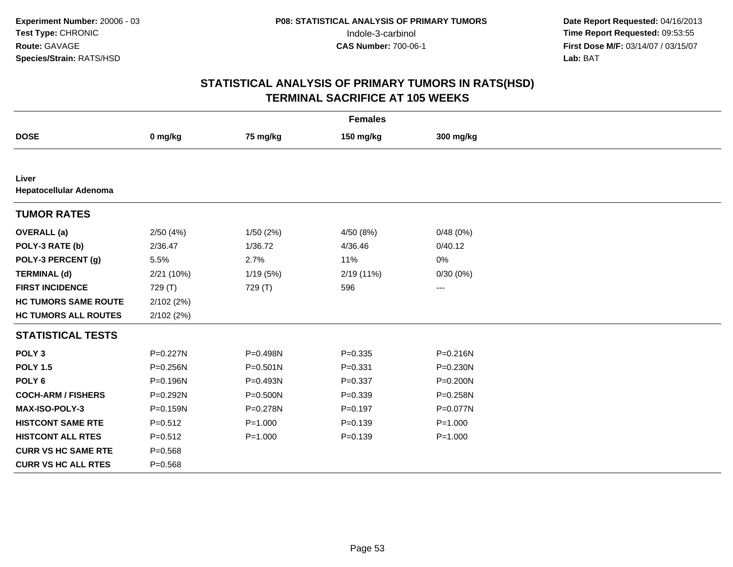| <b>Females</b>                  |             |             |             |                        |  |  |  |
|---------------------------------|-------------|-------------|-------------|------------------------|--|--|--|
| <b>DOSE</b>                     | 0 mg/kg     | 75 mg/kg    | 150 mg/kg   | 300 mg/kg              |  |  |  |
|                                 |             |             |             |                        |  |  |  |
| Liver<br>Hepatocellular Adenoma |             |             |             |                        |  |  |  |
| <b>TUMOR RATES</b>              |             |             |             |                        |  |  |  |
| <b>OVERALL</b> (a)              | 2/50(4%)    | 1/50(2%)    | 4/50 (8%)   | 0/48(0%)               |  |  |  |
| POLY-3 RATE (b)                 | 2/36.47     | 1/36.72     | 4/36.46     | 0/40.12                |  |  |  |
| POLY-3 PERCENT (g)              | 5.5%        | 2.7%        | 11%         | 0%                     |  |  |  |
| <b>TERMINAL (d)</b>             | 2/21 (10%)  | 1/19 (5%)   | 2/19 (11%)  | 0/30(0%)               |  |  |  |
| <b>FIRST INCIDENCE</b>          | 729 (T)     | 729 (T)     | 596         | $\qquad \qquad \cdots$ |  |  |  |
| <b>HC TUMORS SAME ROUTE</b>     | 2/102(2%)   |             |             |                        |  |  |  |
| <b>HC TUMORS ALL ROUTES</b>     | 2/102(2%)   |             |             |                        |  |  |  |
| <b>STATISTICAL TESTS</b>        |             |             |             |                        |  |  |  |
| POLY <sub>3</sub>               | P=0.227N    | P=0.498N    | $P = 0.335$ | $P = 0.216N$           |  |  |  |
| <b>POLY 1.5</b>                 | P=0.256N    | P=0.501N    | $P = 0.331$ | P=0.230N               |  |  |  |
| POLY <sub>6</sub>               | P=0.196N    | P=0.493N    | $P = 0.337$ | P=0.200N               |  |  |  |
| <b>COCH-ARM / FISHERS</b>       | P=0.292N    | P=0.500N    | $P = 0.339$ | P=0.258N               |  |  |  |
| <b>MAX-ISO-POLY-3</b>           | P=0.159N    | P=0.278N    | $P=0.197$   | P=0.077N               |  |  |  |
| <b>HISTCONT SAME RTE</b>        | $P = 0.512$ | $P = 1.000$ | $P = 0.139$ | $P = 1.000$            |  |  |  |
| <b>HISTCONT ALL RTES</b>        | $P = 0.512$ | $P = 1.000$ | $P = 0.139$ | $P = 1.000$            |  |  |  |
| <b>CURR VS HC SAME RTE</b>      | $P = 0.568$ |             |             |                        |  |  |  |
| <b>CURR VS HC ALL RTES</b>      | $P = 0.568$ |             |             |                        |  |  |  |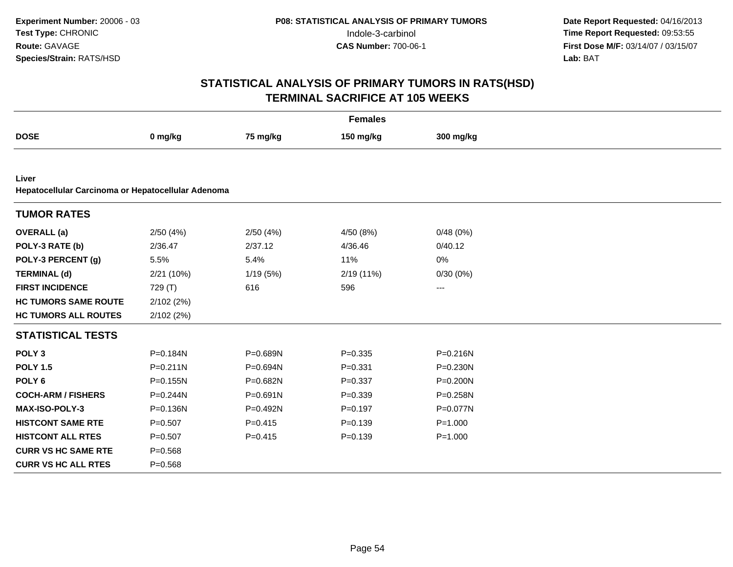| <b>Females</b>                                              |              |             |             |              |  |  |  |
|-------------------------------------------------------------|--------------|-------------|-------------|--------------|--|--|--|
| <b>DOSE</b>                                                 | 0 mg/kg      | 75 mg/kg    | 150 mg/kg   | 300 mg/kg    |  |  |  |
|                                                             |              |             |             |              |  |  |  |
| Liver<br>Hepatocellular Carcinoma or Hepatocellular Adenoma |              |             |             |              |  |  |  |
| <b>TUMOR RATES</b>                                          |              |             |             |              |  |  |  |
| <b>OVERALL</b> (a)                                          | 2/50(4%)     | 2/50(4%)    | 4/50 (8%)   | 0/48(0%)     |  |  |  |
| POLY-3 RATE (b)                                             | 2/36.47      | 2/37.12     | 4/36.46     | 0/40.12      |  |  |  |
| POLY-3 PERCENT (g)                                          | 5.5%         | 5.4%        | 11%         | $0\%$        |  |  |  |
| <b>TERMINAL (d)</b>                                         | 2/21 (10%)   | 1/19(5%)    | 2/19 (11%)  | 0/30(0%)     |  |  |  |
| <b>FIRST INCIDENCE</b>                                      | 729 (T)      | 616         | 596         | ---          |  |  |  |
| <b>HC TUMORS SAME ROUTE</b>                                 | 2/102(2%)    |             |             |              |  |  |  |
| <b>HC TUMORS ALL ROUTES</b>                                 | 2/102(2%)    |             |             |              |  |  |  |
| <b>STATISTICAL TESTS</b>                                    |              |             |             |              |  |  |  |
| POLY <sub>3</sub>                                           | P=0.184N     | P=0.689N    | $P = 0.335$ | $P = 0.216N$ |  |  |  |
| <b>POLY 1.5</b>                                             | $P = 0.211N$ | P=0.694N    | $P = 0.331$ | $P = 0.230N$ |  |  |  |
| POLY <sub>6</sub>                                           | $P = 0.155N$ | P=0.682N    | $P = 0.337$ | P=0.200N     |  |  |  |
| <b>COCH-ARM / FISHERS</b>                                   | P=0.244N     | P=0.691N    | $P = 0.339$ | $P = 0.258N$ |  |  |  |
| <b>MAX-ISO-POLY-3</b>                                       | P=0.136N     | P=0.492N    | $P = 0.197$ | P=0.077N     |  |  |  |
| <b>HISTCONT SAME RTE</b>                                    | $P=0.507$    | $P = 0.415$ | $P = 0.139$ | $P = 1.000$  |  |  |  |
| <b>HISTCONT ALL RTES</b>                                    | $P=0.507$    | $P = 0.415$ | $P = 0.139$ | $P = 1.000$  |  |  |  |
| <b>CURR VS HC SAME RTE</b>                                  | $P = 0.568$  |             |             |              |  |  |  |
| <b>CURR VS HC ALL RTES</b>                                  | $P = 0.568$  |             |             |              |  |  |  |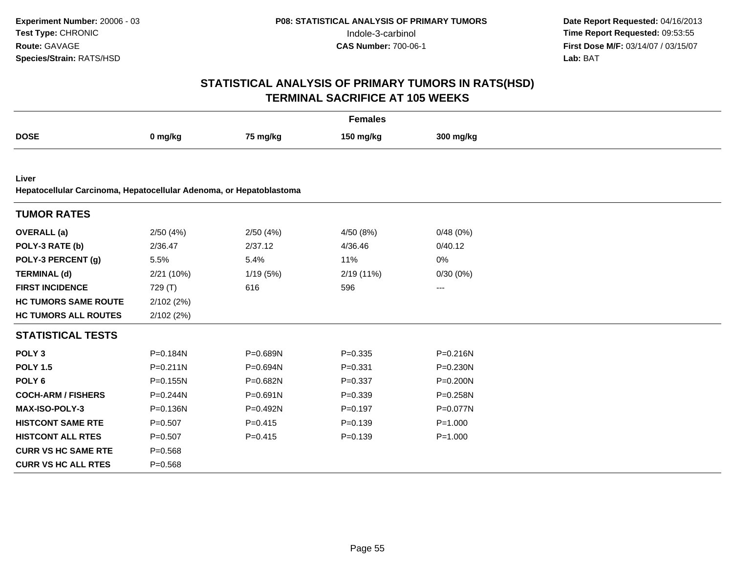| <b>Females</b>                                                      |              |             |             |              |  |  |  |  |
|---------------------------------------------------------------------|--------------|-------------|-------------|--------------|--|--|--|--|
| <b>DOSE</b>                                                         | 0 mg/kg      | 75 mg/kg    | 150 mg/kg   | 300 mg/kg    |  |  |  |  |
|                                                                     |              |             |             |              |  |  |  |  |
| Liver                                                               |              |             |             |              |  |  |  |  |
| Hepatocellular Carcinoma, Hepatocellular Adenoma, or Hepatoblastoma |              |             |             |              |  |  |  |  |
| <b>TUMOR RATES</b>                                                  |              |             |             |              |  |  |  |  |
| <b>OVERALL</b> (a)                                                  | 2/50(4%)     | 2/50(4%)    | 4/50 (8%)   | 0/48(0%)     |  |  |  |  |
| POLY-3 RATE (b)                                                     | 2/36.47      | 2/37.12     | 4/36.46     | 0/40.12      |  |  |  |  |
| POLY-3 PERCENT (g)                                                  | 5.5%         | 5.4%        | 11%         | 0%           |  |  |  |  |
| <b>TERMINAL (d)</b>                                                 | 2/21 (10%)   | 1/19(5%)    | 2/19 (11%)  | 0/30(0%)     |  |  |  |  |
| <b>FIRST INCIDENCE</b>                                              | 729 (T)      | 616         | 596         | $---$        |  |  |  |  |
| <b>HC TUMORS SAME ROUTE</b>                                         | 2/102(2%)    |             |             |              |  |  |  |  |
| <b>HC TUMORS ALL ROUTES</b>                                         | 2/102(2%)    |             |             |              |  |  |  |  |
| <b>STATISTICAL TESTS</b>                                            |              |             |             |              |  |  |  |  |
| POLY <sub>3</sub>                                                   | P=0.184N     | P=0.689N    | $P = 0.335$ | $P = 0.216N$ |  |  |  |  |
| <b>POLY 1.5</b>                                                     | $P = 0.211N$ | P=0.694N    | $P = 0.331$ | P=0.230N     |  |  |  |  |
| POLY <sub>6</sub>                                                   | $P = 0.155N$ | P=0.682N    | $P = 0.337$ | P=0.200N     |  |  |  |  |
| <b>COCH-ARM / FISHERS</b>                                           | $P = 0.244N$ | P=0.691N    | $P = 0.339$ | P=0.258N     |  |  |  |  |
| <b>MAX-ISO-POLY-3</b>                                               | $P = 0.136N$ | $P=0.492N$  | $P = 0.197$ | $P = 0.077N$ |  |  |  |  |
| <b>HISTCONT SAME RTE</b>                                            | $P = 0.507$  | $P = 0.415$ | $P = 0.139$ | $P = 1.000$  |  |  |  |  |
| <b>HISTCONT ALL RTES</b>                                            | $P = 0.507$  | $P=0.415$   | $P = 0.139$ | $P = 1.000$  |  |  |  |  |
| <b>CURR VS HC SAME RTE</b>                                          | $P = 0.568$  |             |             |              |  |  |  |  |
| <b>CURR VS HC ALL RTES</b>                                          | $P = 0.568$  |             |             |              |  |  |  |  |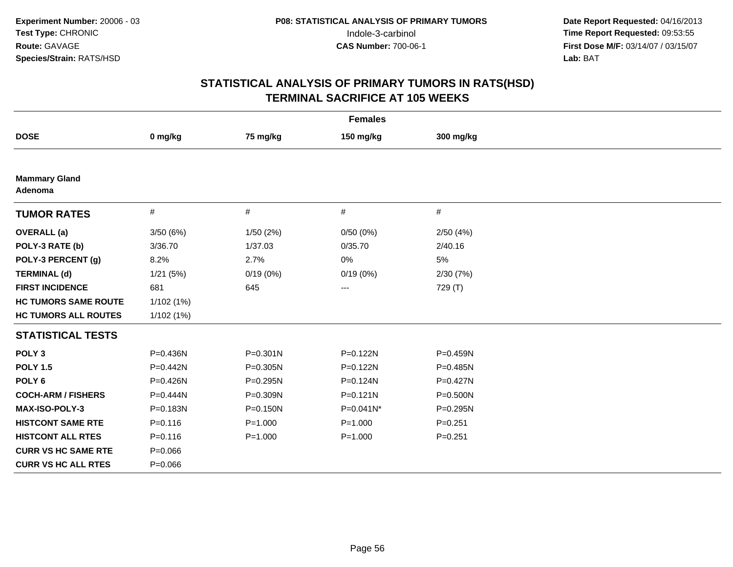| <b>Females</b>                  |              |              |              |              |  |  |  |  |
|---------------------------------|--------------|--------------|--------------|--------------|--|--|--|--|
| <b>DOSE</b>                     | 0 mg/kg      | 75 mg/kg     | 150 mg/kg    | 300 mg/kg    |  |  |  |  |
|                                 |              |              |              |              |  |  |  |  |
| <b>Mammary Gland</b><br>Adenoma |              |              |              |              |  |  |  |  |
| <b>TUMOR RATES</b>              | #            | #            | #            | #            |  |  |  |  |
| <b>OVERALL</b> (a)              | 3/50(6%)     | 1/50 (2%)    | 0/50(0%)     | 2/50(4%)     |  |  |  |  |
| POLY-3 RATE (b)                 | 3/36.70      | 1/37.03      | 0/35.70      | 2/40.16      |  |  |  |  |
| POLY-3 PERCENT (g)              | 8.2%         | 2.7%         | 0%           | 5%           |  |  |  |  |
| <b>TERMINAL (d)</b>             | 1/21(5%)     | 0/19(0%)     | 0/19(0%)     | 2/30(7%)     |  |  |  |  |
| <b>FIRST INCIDENCE</b>          | 681          | 645          | ---          | 729 (T)      |  |  |  |  |
| <b>HC TUMORS SAME ROUTE</b>     | 1/102(1%)    |              |              |              |  |  |  |  |
| <b>HC TUMORS ALL ROUTES</b>     | 1/102(1%)    |              |              |              |  |  |  |  |
| <b>STATISTICAL TESTS</b>        |              |              |              |              |  |  |  |  |
| POLY <sub>3</sub>               | $P = 0.436N$ | $P = 0.301N$ | P=0.122N     | P=0.459N     |  |  |  |  |
| <b>POLY 1.5</b>                 | $P = 0.442N$ | P=0.305N     | P=0.122N     | $P = 0.485N$ |  |  |  |  |
| POLY <sub>6</sub>               | P=0.426N     | P=0.295N     | P=0.124N     | P=0.427N     |  |  |  |  |
| <b>COCH-ARM / FISHERS</b>       | P=0.444N     | P=0.309N     | $P = 0.121N$ | $P = 0.500N$ |  |  |  |  |
| <b>MAX-ISO-POLY-3</b>           | $P = 0.183N$ | $P = 0.150N$ | P=0.041N*    | $P = 0.295N$ |  |  |  |  |
| <b>HISTCONT SAME RTE</b>        | $P = 0.116$  | $P = 1.000$  | $P = 1.000$  | $P = 0.251$  |  |  |  |  |
| <b>HISTCONT ALL RTES</b>        | $P = 0.116$  | $P = 1.000$  | $P = 1.000$  | $P=0.251$    |  |  |  |  |
| <b>CURR VS HC SAME RTE</b>      | $P = 0.066$  |              |              |              |  |  |  |  |
| <b>CURR VS HC ALL RTES</b>      | $P = 0.066$  |              |              |              |  |  |  |  |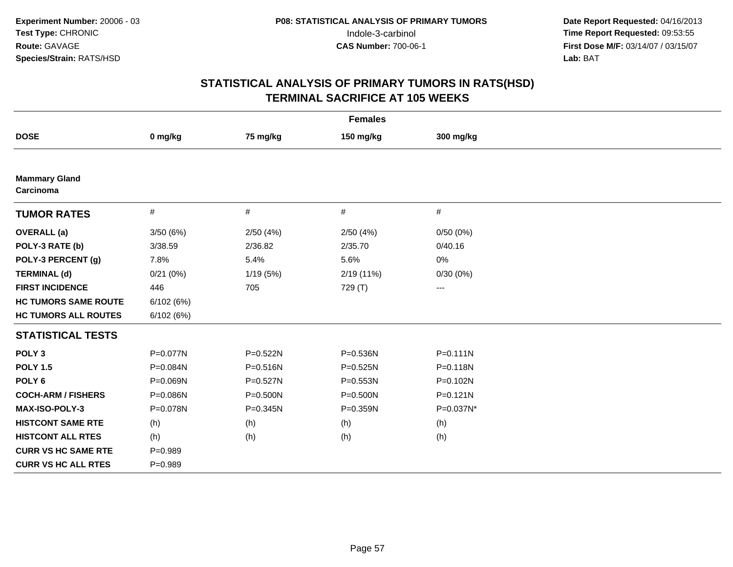| <b>Females</b>                    |             |              |            |                   |  |  |  |
|-----------------------------------|-------------|--------------|------------|-------------------|--|--|--|
| <b>DOSE</b>                       | 0 mg/kg     | 75 mg/kg     | 150 mg/kg  | 300 mg/kg         |  |  |  |
|                                   |             |              |            |                   |  |  |  |
| <b>Mammary Gland</b><br>Carcinoma |             |              |            |                   |  |  |  |
| <b>TUMOR RATES</b>                | #           | $\#$         | #          | #                 |  |  |  |
| <b>OVERALL</b> (a)                | 3/50(6%)    | 2/50(4%)     | 2/50(4%)   | 0/50(0%)          |  |  |  |
| POLY-3 RATE (b)                   | 3/38.59     | 2/36.82      | 2/35.70    | 0/40.16           |  |  |  |
| POLY-3 PERCENT (g)                | 7.8%        | 5.4%         | 5.6%       | 0%                |  |  |  |
| <b>TERMINAL (d)</b>               | 0/21(0%)    | 1/19 (5%)    | 2/19 (11%) | 0/30(0%)          |  |  |  |
| <b>FIRST INCIDENCE</b>            | 446         | 705          | 729 (T)    | $\qquad \qquad -$ |  |  |  |
| <b>HC TUMORS SAME ROUTE</b>       | 6/102(6%)   |              |            |                   |  |  |  |
| <b>HC TUMORS ALL ROUTES</b>       | 6/102(6%)   |              |            |                   |  |  |  |
| <b>STATISTICAL TESTS</b>          |             |              |            |                   |  |  |  |
| POLY <sub>3</sub>                 | P=0.077N    | P=0.522N     | P=0.536N   | $P = 0.111N$      |  |  |  |
| <b>POLY 1.5</b>                   | P=0.084N    | P=0.516N     | P=0.525N   | P=0.118N          |  |  |  |
| POLY <sub>6</sub>                 | P=0.069N    | P=0.527N     | P=0.553N   | P=0.102N          |  |  |  |
| <b>COCH-ARM / FISHERS</b>         | P=0.086N    | $P = 0.500N$ | P=0.500N   | $P = 0.121N$      |  |  |  |
| <b>MAX-ISO-POLY-3</b>             | P=0.078N    | $P = 0.345N$ | P=0.359N   | P=0.037N*         |  |  |  |
| <b>HISTCONT SAME RTE</b>          | (h)         | (h)          | (h)        | (h)               |  |  |  |
| <b>HISTCONT ALL RTES</b>          | (h)         | (h)          | (h)        | (h)               |  |  |  |
| <b>CURR VS HC SAME RTE</b>        | $P=0.989$   |              |            |                   |  |  |  |
| <b>CURR VS HC ALL RTES</b>        | $P = 0.989$ |              |            |                   |  |  |  |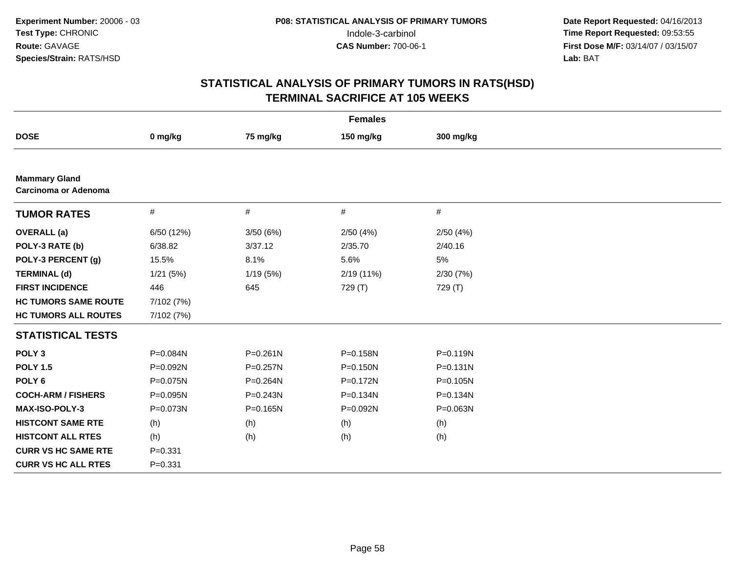| <b>Females</b>                                      |             |              |              |              |  |  |  |
|-----------------------------------------------------|-------------|--------------|--------------|--------------|--|--|--|
| <b>DOSE</b>                                         | 0 mg/kg     | 75 mg/kg     | 150 mg/kg    | 300 mg/kg    |  |  |  |
|                                                     |             |              |              |              |  |  |  |
| <b>Mammary Gland</b><br><b>Carcinoma or Adenoma</b> |             |              |              |              |  |  |  |
| <b>TUMOR RATES</b>                                  | #           | #            | #            | #            |  |  |  |
| <b>OVERALL</b> (a)                                  | 6/50 (12%)  | 3/50(6%)     | 2/50(4%)     | 2/50(4%)     |  |  |  |
| POLY-3 RATE (b)                                     | 6/38.82     | 3/37.12      | 2/35.70      | 2/40.16      |  |  |  |
| POLY-3 PERCENT (g)                                  | 15.5%       | 8.1%         | 5.6%         | 5%           |  |  |  |
| <b>TERMINAL (d)</b>                                 | 1/21(5%)    | 1/19(5%)     | 2/19 (11%)   | 2/30(7%)     |  |  |  |
| <b>FIRST INCIDENCE</b>                              | 446         | 645          | 729 (T)      | 729 (T)      |  |  |  |
| <b>HC TUMORS SAME ROUTE</b>                         | 7/102 (7%)  |              |              |              |  |  |  |
| <b>HC TUMORS ALL ROUTES</b>                         | 7/102 (7%)  |              |              |              |  |  |  |
| <b>STATISTICAL TESTS</b>                            |             |              |              |              |  |  |  |
| POLY <sub>3</sub>                                   | P=0.084N    | $P = 0.261N$ | P=0.158N     | $P = 0.119N$ |  |  |  |
| <b>POLY 1.5</b>                                     | P=0.092N    | P=0.257N     | $P = 0.150N$ | $P = 0.131N$ |  |  |  |
| POLY <sub>6</sub>                                   | P=0.075N    | P=0.264N     | P=0.172N     | P=0.105N     |  |  |  |
| <b>COCH-ARM / FISHERS</b>                           | P=0.095N    | $P = 0.243N$ | $P = 0.134N$ | P=0.134N     |  |  |  |
| <b>MAX-ISO-POLY-3</b>                               | P=0.073N    | $P = 0.165N$ | P=0.092N     | P=0.063N     |  |  |  |
| <b>HISTCONT SAME RTE</b>                            | (h)         | (h)          | (h)          | (h)          |  |  |  |
| <b>HISTCONT ALL RTES</b>                            | (h)         | (h)          | (h)          | (h)          |  |  |  |
| <b>CURR VS HC SAME RTE</b>                          | $P = 0.331$ |              |              |              |  |  |  |
| <b>CURR VS HC ALL RTES</b>                          | $P = 0.331$ |              |              |              |  |  |  |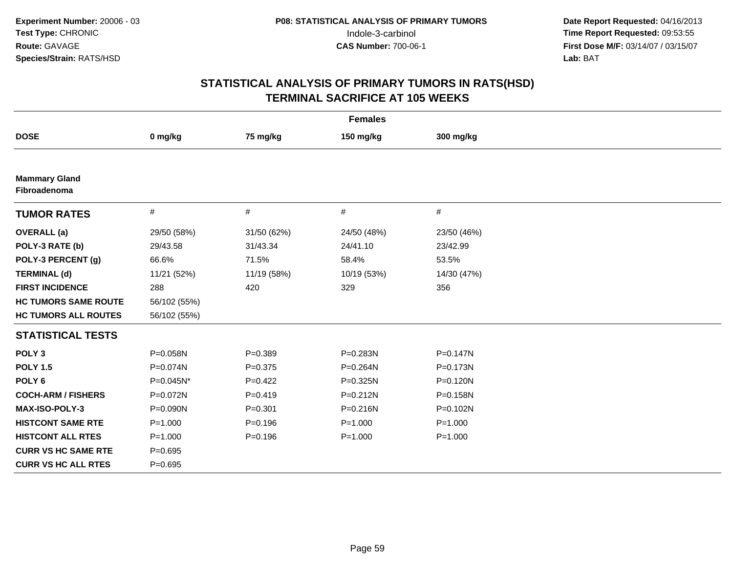| <b>Females</b>                       |              |             |             |              |  |  |  |
|--------------------------------------|--------------|-------------|-------------|--------------|--|--|--|
| <b>DOSE</b>                          | 0 mg/kg      | 75 mg/kg    | 150 mg/kg   | 300 mg/kg    |  |  |  |
|                                      |              |             |             |              |  |  |  |
| <b>Mammary Gland</b><br>Fibroadenoma |              |             |             |              |  |  |  |
| <b>TUMOR RATES</b>                   | $\#$         | $\#$        | #           | #            |  |  |  |
| <b>OVERALL</b> (a)                   | 29/50 (58%)  | 31/50 (62%) | 24/50 (48%) | 23/50 (46%)  |  |  |  |
| POLY-3 RATE (b)                      | 29/43.58     | 31/43.34    | 24/41.10    | 23/42.99     |  |  |  |
| POLY-3 PERCENT (g)                   | 66.6%        | 71.5%       | 58.4%       | 53.5%        |  |  |  |
| <b>TERMINAL (d)</b>                  | 11/21 (52%)  | 11/19 (58%) | 10/19 (53%) | 14/30 (47%)  |  |  |  |
| <b>FIRST INCIDENCE</b>               | 288          | 420         | 329         | 356          |  |  |  |
| <b>HC TUMORS SAME ROUTE</b>          | 56/102 (55%) |             |             |              |  |  |  |
| <b>HC TUMORS ALL ROUTES</b>          | 56/102 (55%) |             |             |              |  |  |  |
| <b>STATISTICAL TESTS</b>             |              |             |             |              |  |  |  |
| POLY <sub>3</sub>                    | P=0.058N     | $P = 0.389$ | P=0.283N    | $P = 0.147N$ |  |  |  |
| <b>POLY 1.5</b>                      | P=0.074N     | $P=0.375$   | P=0.264N    | $P = 0.173N$ |  |  |  |
| POLY <sub>6</sub>                    | P=0.045N*    | $P=0.422$   | P=0.325N    | $P = 0.120N$ |  |  |  |
| <b>COCH-ARM / FISHERS</b>            | P=0.072N     | $P=0.419$   | P=0.212N    | P=0.158N     |  |  |  |
| <b>MAX-ISO-POLY-3</b>                | P=0.090N     | $P = 0.301$ | P=0.216N    | $P = 0.102N$ |  |  |  |
| <b>HISTCONT SAME RTE</b>             | $P = 1.000$  | $P = 0.196$ | $P = 1.000$ | $P = 1.000$  |  |  |  |
| <b>HISTCONT ALL RTES</b>             | $P = 1.000$  | $P = 0.196$ | $P = 1.000$ | $P = 1.000$  |  |  |  |
| <b>CURR VS HC SAME RTE</b>           | $P = 0.695$  |             |             |              |  |  |  |
| <b>CURR VS HC ALL RTES</b>           | $P = 0.695$  |             |             |              |  |  |  |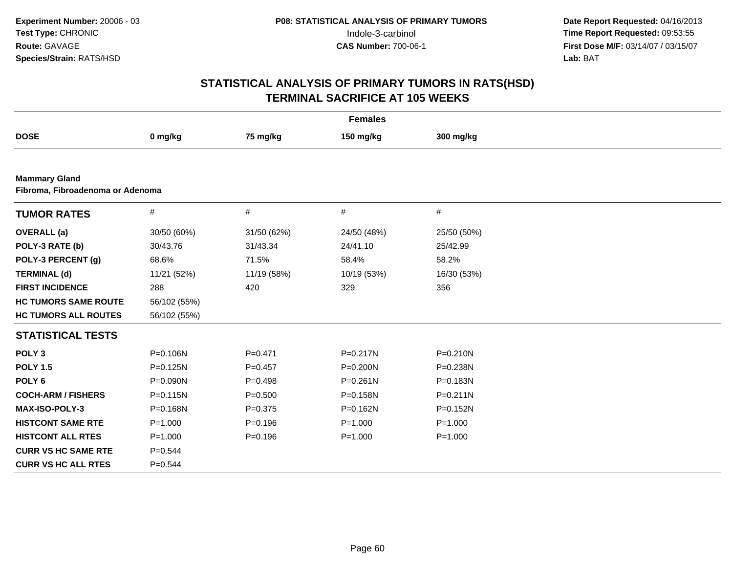| <b>Females</b>                                           |              |             |              |              |  |  |  |
|----------------------------------------------------------|--------------|-------------|--------------|--------------|--|--|--|
| <b>DOSE</b>                                              | 0 mg/kg      | 75 mg/kg    | 150 mg/kg    | 300 mg/kg    |  |  |  |
|                                                          |              |             |              |              |  |  |  |
| <b>Mammary Gland</b><br>Fibroma, Fibroadenoma or Adenoma |              |             |              |              |  |  |  |
| <b>TUMOR RATES</b>                                       | $\#$         | $\#$        | $\#$         | $\#$         |  |  |  |
| <b>OVERALL</b> (a)                                       | 30/50 (60%)  | 31/50 (62%) | 24/50 (48%)  | 25/50 (50%)  |  |  |  |
| POLY-3 RATE (b)                                          | 30/43.76     | 31/43.34    | 24/41.10     | 25/42.99     |  |  |  |
| POLY-3 PERCENT (g)                                       | 68.6%        | 71.5%       | 58.4%        | 58.2%        |  |  |  |
| <b>TERMINAL (d)</b>                                      | 11/21 (52%)  | 11/19 (58%) | 10/19 (53%)  | 16/30 (53%)  |  |  |  |
| <b>FIRST INCIDENCE</b>                                   | 288          | 420         | 329          | 356          |  |  |  |
| <b>HC TUMORS SAME ROUTE</b>                              | 56/102 (55%) |             |              |              |  |  |  |
| <b>HC TUMORS ALL ROUTES</b>                              | 56/102 (55%) |             |              |              |  |  |  |
| <b>STATISTICAL TESTS</b>                                 |              |             |              |              |  |  |  |
| POLY <sub>3</sub>                                        | P=0.106N     | $P = 0.471$ | P=0.217N     | $P = 0.210N$ |  |  |  |
| <b>POLY 1.5</b>                                          | P=0.125N     | $P = 0.457$ | P=0.200N     | P=0.238N     |  |  |  |
| POLY <sub>6</sub>                                        | P=0.090N     | $P=0.498$   | $P = 0.261N$ | P=0.183N     |  |  |  |
| <b>COCH-ARM / FISHERS</b>                                | $P = 0.115N$ | $P = 0.500$ | P=0.158N     | $P = 0.211N$ |  |  |  |
| MAX-ISO-POLY-3                                           | P=0.168N     | $P = 0.375$ | P=0.162N     | P=0.152N     |  |  |  |
| <b>HISTCONT SAME RTE</b>                                 | $P = 1.000$  | $P = 0.196$ | $P = 1.000$  | $P = 1.000$  |  |  |  |
| <b>HISTCONT ALL RTES</b>                                 | $P = 1.000$  | $P = 0.196$ | $P = 1.000$  | $P = 1.000$  |  |  |  |
| <b>CURR VS HC SAME RTE</b>                               | $P = 0.544$  |             |              |              |  |  |  |
| <b>CURR VS HC ALL RTES</b>                               | $P=0.544$    |             |              |              |  |  |  |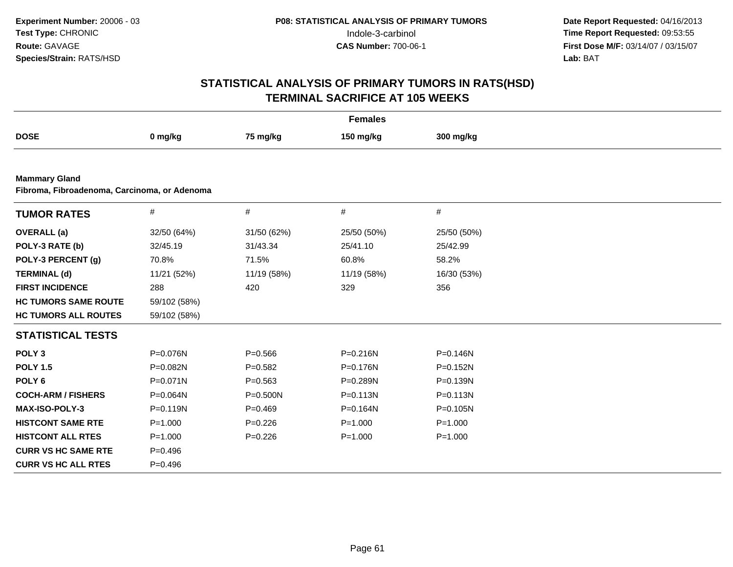|                                                                      |              |              | <b>Females</b> |              |  |
|----------------------------------------------------------------------|--------------|--------------|----------------|--------------|--|
| <b>DOSE</b>                                                          | 0 mg/kg      | 75 mg/kg     | 150 mg/kg      | 300 mg/kg    |  |
|                                                                      |              |              |                |              |  |
| <b>Mammary Gland</b><br>Fibroma, Fibroadenoma, Carcinoma, or Adenoma |              |              |                |              |  |
| <b>TUMOR RATES</b>                                                   | $\#$         | #            | #              | $\#$         |  |
| <b>OVERALL</b> (a)                                                   | 32/50 (64%)  | 31/50 (62%)  | 25/50 (50%)    | 25/50 (50%)  |  |
| POLY-3 RATE (b)                                                      | 32/45.19     | 31/43.34     | 25/41.10       | 25/42.99     |  |
| POLY-3 PERCENT (g)                                                   | 70.8%        | 71.5%        | 60.8%          | 58.2%        |  |
| <b>TERMINAL (d)</b>                                                  | 11/21 (52%)  | 11/19 (58%)  | 11/19 (58%)    | 16/30 (53%)  |  |
| <b>FIRST INCIDENCE</b>                                               | 288          | 420          | 329            | 356          |  |
| <b>HC TUMORS SAME ROUTE</b>                                          | 59/102 (58%) |              |                |              |  |
| <b>HC TUMORS ALL ROUTES</b>                                          | 59/102 (58%) |              |                |              |  |
| <b>STATISTICAL TESTS</b>                                             |              |              |                |              |  |
| POLY <sub>3</sub>                                                    | P=0.076N     | $P = 0.566$  | $P = 0.216N$   | P=0.146N     |  |
| <b>POLY 1.5</b>                                                      | P=0.082N     | $P=0.582$    | P=0.176N       | $P = 0.152N$ |  |
| POLY <sub>6</sub>                                                    | P=0.071N     | $P = 0.563$  | P=0.289N       | P=0.139N     |  |
| <b>COCH-ARM / FISHERS</b>                                            | P=0.064N     | $P = 0.500N$ | $P = 0.113N$   | $P = 0.113N$ |  |
| <b>MAX-ISO-POLY-3</b>                                                | $P = 0.119N$ | $P=0.469$    | P=0.164N       | P=0.105N     |  |
| <b>HISTCONT SAME RTE</b>                                             | $P = 1.000$  | $P=0.226$    | $P = 1.000$    | $P = 1.000$  |  |
| <b>HISTCONT ALL RTES</b>                                             | $P = 1.000$  | $P=0.226$    | $P = 1.000$    | $P = 1.000$  |  |
| <b>CURR VS HC SAME RTE</b>                                           | $P = 0.496$  |              |                |              |  |
| <b>CURR VS HC ALL RTES</b>                                           | $P = 0.496$  |              |                |              |  |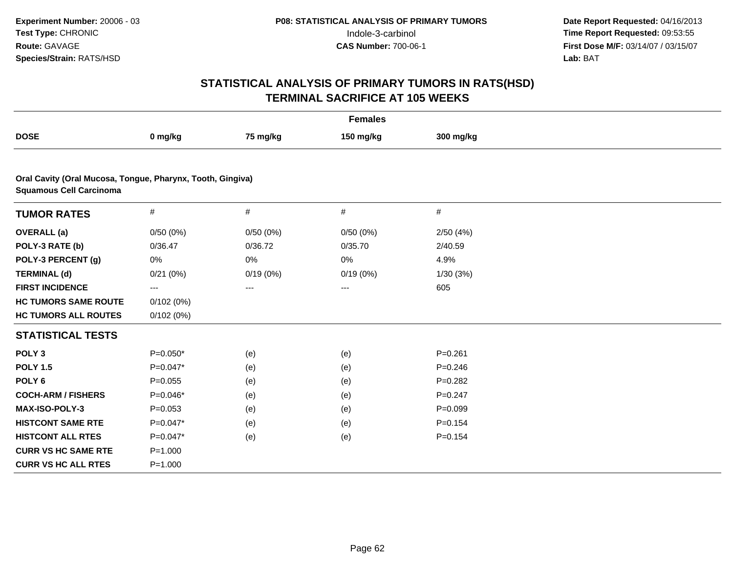|                                                                                              |             |          | <b>Females</b> |             |  |
|----------------------------------------------------------------------------------------------|-------------|----------|----------------|-------------|--|
| <b>DOSE</b>                                                                                  | 0 mg/kg     | 75 mg/kg | 150 mg/kg      | 300 mg/kg   |  |
|                                                                                              |             |          |                |             |  |
| Oral Cavity (Oral Mucosa, Tongue, Pharynx, Tooth, Gingiva)<br><b>Squamous Cell Carcinoma</b> |             |          |                |             |  |
| <b>TUMOR RATES</b>                                                                           | $\#$        | #        | #              | #           |  |
| <b>OVERALL</b> (a)                                                                           | 0/50(0%)    | 0/50(0%) | 0/50(0%)       | 2/50(4%)    |  |
| POLY-3 RATE (b)                                                                              | 0/36.47     | 0/36.72  | 0/35.70        | 2/40.59     |  |
| POLY-3 PERCENT (g)                                                                           | 0%          | 0%       | 0%             | 4.9%        |  |
| <b>TERMINAL (d)</b>                                                                          | 0/21(0%)    | 0/19(0%) | 0/19(0%)       | 1/30 (3%)   |  |
| <b>FIRST INCIDENCE</b>                                                                       | ---         | $\cdots$ | $\cdots$       | 605         |  |
| <b>HC TUMORS SAME ROUTE</b>                                                                  | 0/102(0%)   |          |                |             |  |
| <b>HC TUMORS ALL ROUTES</b>                                                                  | 0/102(0%)   |          |                |             |  |
| <b>STATISTICAL TESTS</b>                                                                     |             |          |                |             |  |
| POLY <sub>3</sub>                                                                            | $P=0.050*$  | (e)      | (e)            | $P = 0.261$ |  |
| <b>POLY 1.5</b>                                                                              | $P=0.047*$  | (e)      | (e)            | $P = 0.246$ |  |
| POLY <sub>6</sub>                                                                            | $P=0.055$   | (e)      | (e)            | $P=0.282$   |  |
| <b>COCH-ARM / FISHERS</b>                                                                    | $P=0.046*$  | (e)      | (e)            | $P = 0.247$ |  |
| MAX-ISO-POLY-3                                                                               | $P = 0.053$ | (e)      | (e)            | $P = 0.099$ |  |
| <b>HISTCONT SAME RTE</b>                                                                     | $P=0.047*$  | (e)      | (e)            | $P = 0.154$ |  |
| <b>HISTCONT ALL RTES</b>                                                                     | $P=0.047*$  | (e)      | (e)            | $P = 0.154$ |  |
| <b>CURR VS HC SAME RTE</b>                                                                   | $P = 1.000$ |          |                |             |  |
| <b>CURR VS HC ALL RTES</b>                                                                   | $P = 1.000$ |          |                |             |  |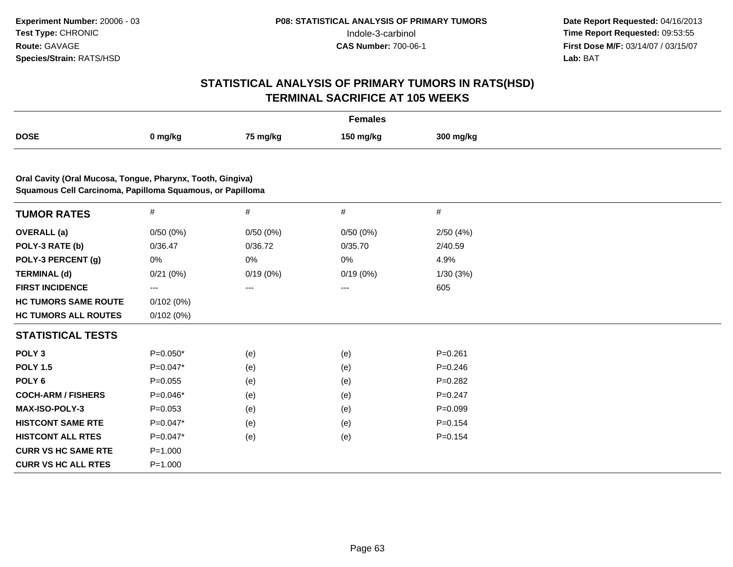|                                                                                                                         |                          |          | <b>Females</b> |             |  |
|-------------------------------------------------------------------------------------------------------------------------|--------------------------|----------|----------------|-------------|--|
| <b>DOSE</b>                                                                                                             | 0 mg/kg                  | 75 mg/kg | 150 mg/kg      | 300 mg/kg   |  |
|                                                                                                                         |                          |          |                |             |  |
| Oral Cavity (Oral Mucosa, Tongue, Pharynx, Tooth, Gingiva)<br>Squamous Cell Carcinoma, Papilloma Squamous, or Papilloma |                          |          |                |             |  |
| <b>TUMOR RATES</b>                                                                                                      | $\#$                     | $\#$     | $\#$           | $\#$        |  |
| <b>OVERALL</b> (a)                                                                                                      | 0/50(0%)                 | 0/50(0%) | 0/50(0%)       | 2/50(4%)    |  |
| POLY-3 RATE (b)                                                                                                         | 0/36.47                  | 0/36.72  | 0/35.70        | 2/40.59     |  |
| POLY-3 PERCENT (g)                                                                                                      | 0%                       | 0%       | 0%             | 4.9%        |  |
| <b>TERMINAL (d)</b>                                                                                                     | 0/21(0%)                 | 0/19(0%) | 0/19(0%)       | 1/30(3%)    |  |
| <b>FIRST INCIDENCE</b>                                                                                                  | $\hspace{0.05cm} \ldots$ | ---      | ---            | 605         |  |
| <b>HC TUMORS SAME ROUTE</b>                                                                                             | 0/102(0%)                |          |                |             |  |
| <b>HC TUMORS ALL ROUTES</b>                                                                                             | 0/102(0%)                |          |                |             |  |
| <b>STATISTICAL TESTS</b>                                                                                                |                          |          |                |             |  |
| POLY <sub>3</sub>                                                                                                       | $P=0.050*$               | (e)      | (e)            | $P = 0.261$ |  |
| <b>POLY 1.5</b>                                                                                                         | $P=0.047*$               | (e)      | (e)            | $P = 0.246$ |  |
| POLY <sub>6</sub>                                                                                                       | $P=0.055$                | (e)      | (e)            | $P = 0.282$ |  |
| <b>COCH-ARM / FISHERS</b>                                                                                               | $P=0.046*$               | (e)      | (e)            | $P = 0.247$ |  |
| <b>MAX-ISO-POLY-3</b>                                                                                                   | $P=0.053$                | (e)      | (e)            | $P = 0.099$ |  |
| <b>HISTCONT SAME RTE</b>                                                                                                | $P=0.047*$               | (e)      | (e)            | $P = 0.154$ |  |
| <b>HISTCONT ALL RTES</b>                                                                                                | $P=0.047*$               | (e)      | (e)            | $P = 0.154$ |  |
| <b>CURR VS HC SAME RTE</b>                                                                                              | $P = 1.000$              |          |                |             |  |
| <b>CURR VS HC ALL RTES</b>                                                                                              | $P = 1.000$              |          |                |             |  |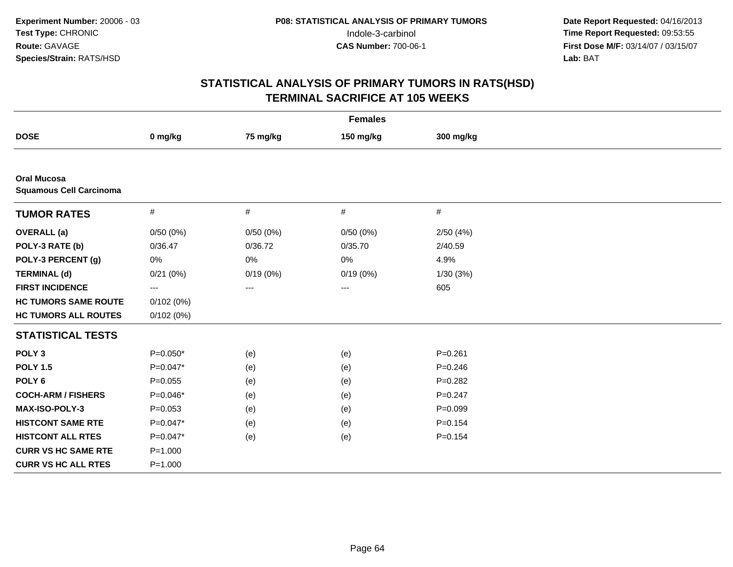|                                                      |             |                   | <b>Females</b>    |             |  |
|------------------------------------------------------|-------------|-------------------|-------------------|-------------|--|
| <b>DOSE</b>                                          | 0 mg/kg     | 75 mg/kg          | 150 mg/kg         | 300 mg/kg   |  |
|                                                      |             |                   |                   |             |  |
| <b>Oral Mucosa</b><br><b>Squamous Cell Carcinoma</b> |             |                   |                   |             |  |
| <b>TUMOR RATES</b>                                   | $\#$        | $\#$              | $\#$              | #           |  |
| <b>OVERALL</b> (a)                                   | 0/50(0%)    | 0/50(0%)          | 0/50(0%)          | 2/50(4%)    |  |
| POLY-3 RATE (b)                                      | 0/36.47     | 0/36.72           | 0/35.70           | 2/40.59     |  |
| POLY-3 PERCENT (g)                                   | 0%          | 0%                | 0%                | 4.9%        |  |
| <b>TERMINAL (d)</b>                                  | 0/21(0%)    | 0/19(0%)          | 0/19(0%)          | 1/30(3%)    |  |
| <b>FIRST INCIDENCE</b>                               | ---         | $\qquad \qquad -$ | $\qquad \qquad -$ | 605         |  |
| <b>HC TUMORS SAME ROUTE</b>                          | 0/102(0%)   |                   |                   |             |  |
| <b>HC TUMORS ALL ROUTES</b>                          | 0/102(0%)   |                   |                   |             |  |
| <b>STATISTICAL TESTS</b>                             |             |                   |                   |             |  |
| POLY <sub>3</sub>                                    | $P=0.050*$  | (e)               | (e)               | $P = 0.261$ |  |
| <b>POLY 1.5</b>                                      | $P=0.047*$  | (e)               | (e)               | $P = 0.246$ |  |
| POLY <sub>6</sub>                                    | $P = 0.055$ | (e)               | (e)               | $P = 0.282$ |  |
| <b>COCH-ARM / FISHERS</b>                            | $P=0.046*$  | (e)               | (e)               | $P = 0.247$ |  |
| MAX-ISO-POLY-3                                       | $P = 0.053$ | (e)               | (e)               | $P = 0.099$ |  |
| <b>HISTCONT SAME RTE</b>                             | $P=0.047*$  | (e)               | (e)               | $P = 0.154$ |  |
| <b>HISTCONT ALL RTES</b>                             | $P=0.047*$  | (e)               | (e)               | $P = 0.154$ |  |
| <b>CURR VS HC SAME RTE</b>                           | $P = 1.000$ |                   |                   |             |  |
| <b>CURR VS HC ALL RTES</b>                           | $P = 1.000$ |                   |                   |             |  |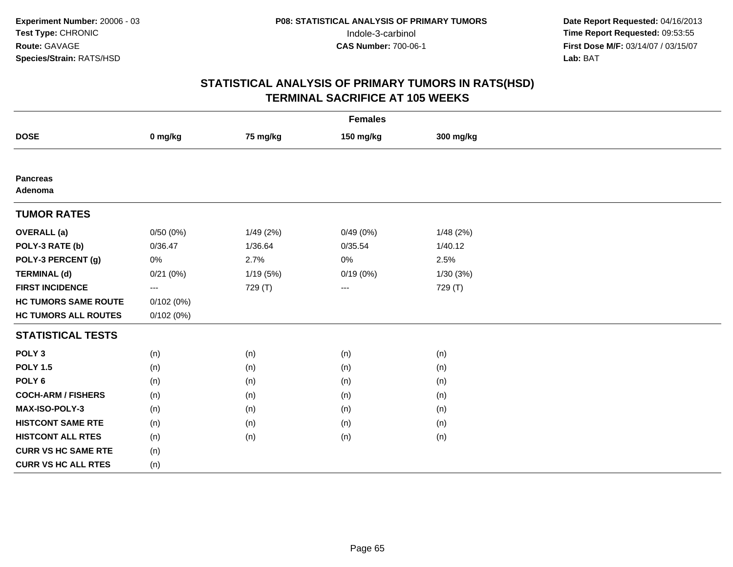|                             |                         |           | <b>Females</b> |           |  |
|-----------------------------|-------------------------|-----------|----------------|-----------|--|
| <b>DOSE</b>                 | 0 mg/kg                 | 75 mg/kg  | 150 mg/kg      | 300 mg/kg |  |
|                             |                         |           |                |           |  |
| <b>Pancreas</b><br>Adenoma  |                         |           |                |           |  |
| <b>TUMOR RATES</b>          |                         |           |                |           |  |
| <b>OVERALL</b> (a)          | 0/50(0%)                | 1/49 (2%) | 0/49(0%)       | 1/48(2%)  |  |
| POLY-3 RATE (b)             | 0/36.47                 | 1/36.64   | 0/35.54        | 1/40.12   |  |
| POLY-3 PERCENT (g)          | 0%                      | 2.7%      | 0%             | 2.5%      |  |
| <b>TERMINAL (d)</b>         | 0/21(0%)                | 1/19 (5%) | 0/19(0%)       | 1/30(3%)  |  |
| <b>FIRST INCIDENCE</b>      | $\qquad \qquad -\qquad$ | 729 (T)   | $--$           | 729 (T)   |  |
| <b>HC TUMORS SAME ROUTE</b> | 0/102(0%)               |           |                |           |  |
| <b>HC TUMORS ALL ROUTES</b> | 0/102(0%)               |           |                |           |  |
| <b>STATISTICAL TESTS</b>    |                         |           |                |           |  |
| POLY <sub>3</sub>           | (n)                     | (n)       | (n)            | (n)       |  |
| <b>POLY 1.5</b>             | (n)                     | (n)       | (n)            | (n)       |  |
| POLY <sub>6</sub>           | (n)                     | (n)       | (n)            | (n)       |  |
| <b>COCH-ARM / FISHERS</b>   | (n)                     | (n)       | (n)            | (n)       |  |
| MAX-ISO-POLY-3              | (n)                     | (n)       | (n)            | (n)       |  |
| <b>HISTCONT SAME RTE</b>    | (n)                     | (n)       | (n)            | (n)       |  |
| <b>HISTCONT ALL RTES</b>    | (n)                     | (n)       | (n)            | (n)       |  |
| <b>CURR VS HC SAME RTE</b>  | (n)                     |           |                |           |  |
| <b>CURR VS HC ALL RTES</b>  | (n)                     |           |                |           |  |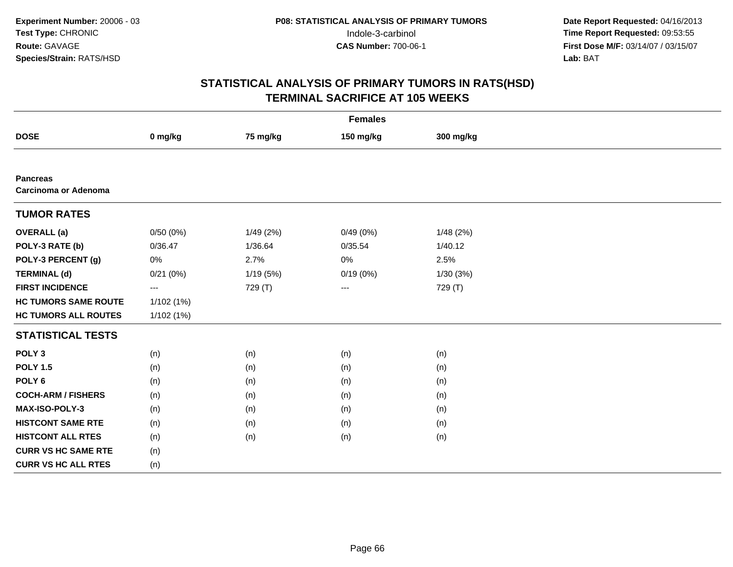|                                                |                          |           | <b>Females</b> |           |  |
|------------------------------------------------|--------------------------|-----------|----------------|-----------|--|
| <b>DOSE</b>                                    | 0 mg/kg                  | 75 mg/kg  | 150 mg/kg      | 300 mg/kg |  |
|                                                |                          |           |                |           |  |
| <b>Pancreas</b><br><b>Carcinoma or Adenoma</b> |                          |           |                |           |  |
| <b>TUMOR RATES</b>                             |                          |           |                |           |  |
| <b>OVERALL</b> (a)                             | 0/50(0%)                 | 1/49 (2%) | 0/49(0%)       | 1/48(2%)  |  |
| POLY-3 RATE (b)                                | 0/36.47                  | 1/36.64   | 0/35.54        | 1/40.12   |  |
| POLY-3 PERCENT (g)                             | $0\%$                    | 2.7%      | 0%             | 2.5%      |  |
| <b>TERMINAL (d)</b>                            | 0/21(0%)                 | 1/19 (5%) | 0/19(0%)       | 1/30(3%)  |  |
| <b>FIRST INCIDENCE</b>                         | $\hspace{0.05cm} \ldots$ | 729 (T)   | $--$           | 729 (T)   |  |
| <b>HC TUMORS SAME ROUTE</b>                    | 1/102(1%)                |           |                |           |  |
| <b>HC TUMORS ALL ROUTES</b>                    | 1/102(1%)                |           |                |           |  |
| <b>STATISTICAL TESTS</b>                       |                          |           |                |           |  |
| POLY <sub>3</sub>                              | (n)                      | (n)       | (n)            | (n)       |  |
| <b>POLY 1.5</b>                                | (n)                      | (n)       | (n)            | (n)       |  |
| POLY <sub>6</sub>                              | (n)                      | (n)       | (n)            | (n)       |  |
| <b>COCH-ARM / FISHERS</b>                      | (n)                      | (n)       | (n)            | (n)       |  |
| <b>MAX-ISO-POLY-3</b>                          | (n)                      | (n)       | (n)            | (n)       |  |
| <b>HISTCONT SAME RTE</b>                       | (n)                      | (n)       | (n)            | (n)       |  |
| <b>HISTCONT ALL RTES</b>                       | (n)                      | (n)       | (n)            | (n)       |  |
| <b>CURR VS HC SAME RTE</b>                     | (n)                      |           |                |           |  |
| <b>CURR VS HC ALL RTES</b>                     | (n)                      |           |                |           |  |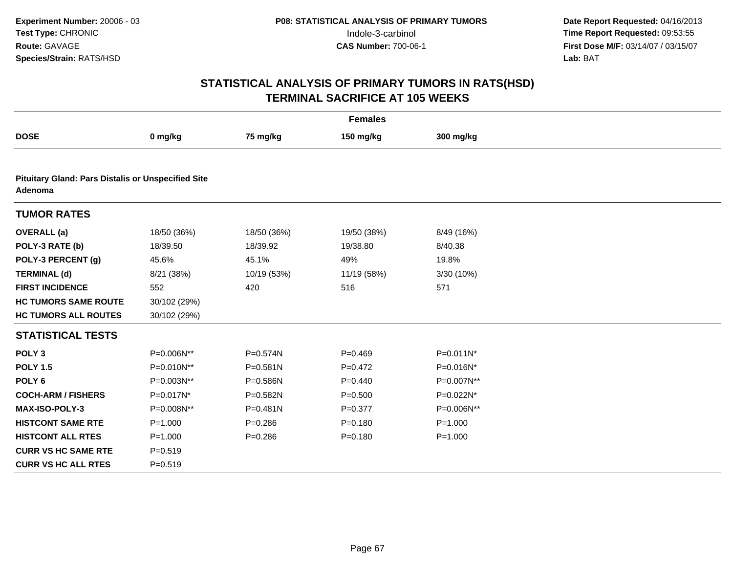|                                                                      |              |             | <b>Females</b> |              |  |
|----------------------------------------------------------------------|--------------|-------------|----------------|--------------|--|
| <b>DOSE</b>                                                          | 0 mg/kg      | 75 mg/kg    | 150 mg/kg      | 300 mg/kg    |  |
|                                                                      |              |             |                |              |  |
| <b>Pituitary Gland: Pars Distalis or Unspecified Site</b><br>Adenoma |              |             |                |              |  |
| <b>TUMOR RATES</b>                                                   |              |             |                |              |  |
| <b>OVERALL</b> (a)                                                   | 18/50 (36%)  | 18/50 (36%) | 19/50 (38%)    | 8/49 (16%)   |  |
| POLY-3 RATE (b)                                                      | 18/39.50     | 18/39.92    | 19/38.80       | 8/40.38      |  |
| POLY-3 PERCENT (g)                                                   | 45.6%        | 45.1%       | 49%            | 19.8%        |  |
| <b>TERMINAL (d)</b>                                                  | 8/21 (38%)   | 10/19 (53%) | 11/19 (58%)    | 3/30 (10%)   |  |
| <b>FIRST INCIDENCE</b>                                               | 552          | 420         | 516            | 571          |  |
| <b>HC TUMORS SAME ROUTE</b>                                          | 30/102 (29%) |             |                |              |  |
| <b>HC TUMORS ALL ROUTES</b>                                          | 30/102 (29%) |             |                |              |  |
| <b>STATISTICAL TESTS</b>                                             |              |             |                |              |  |
| POLY <sub>3</sub>                                                    | P=0.006N**   | P=0.574N    | $P=0.469$      | $P=0.011N^*$ |  |
| <b>POLY 1.5</b>                                                      | P=0.010N**   | P=0.581N    | $P=0.472$      | P=0.016N*    |  |
| POLY <sub>6</sub>                                                    | P=0.003N**   | P=0.586N    | $P=0.440$      | P=0.007N**   |  |
| <b>COCH-ARM / FISHERS</b>                                            | P=0.017N*    | P=0.582N    | $P = 0.500$    | P=0.022N*    |  |
| <b>MAX-ISO-POLY-3</b>                                                | P=0.008N**   | P=0.481N    | $P = 0.377$    | P=0.006N**   |  |
| <b>HISTCONT SAME RTE</b>                                             | $P = 1.000$  | $P = 0.286$ | $P = 0.180$    | $P = 1.000$  |  |
| <b>HISTCONT ALL RTES</b>                                             | $P = 1.000$  | $P = 0.286$ | $P = 0.180$    | $P = 1.000$  |  |
| <b>CURR VS HC SAME RTE</b>                                           | $P = 0.519$  |             |                |              |  |
| <b>CURR VS HC ALL RTES</b>                                           | $P = 0.519$  |             |                |              |  |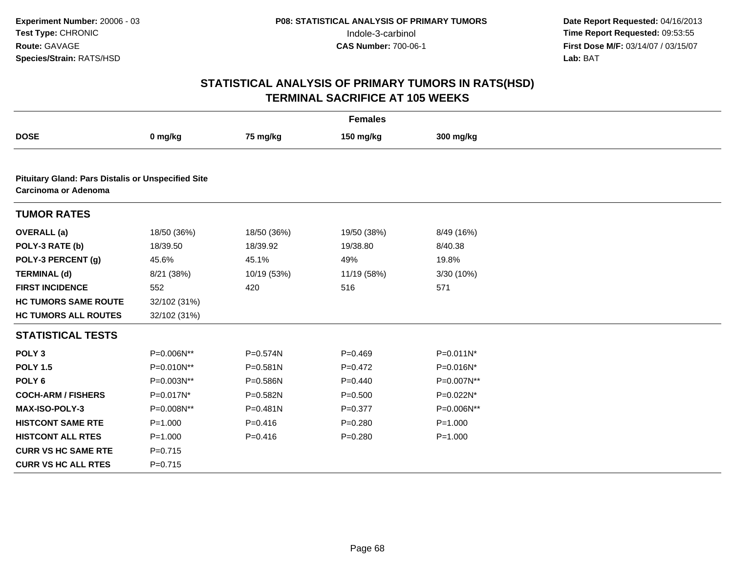|                                                                                   |              |              | <b>Females</b> |              |  |
|-----------------------------------------------------------------------------------|--------------|--------------|----------------|--------------|--|
| <b>DOSE</b>                                                                       | 0 mg/kg      | 75 mg/kg     | 150 mg/kg      | 300 mg/kg    |  |
|                                                                                   |              |              |                |              |  |
| <b>Pituitary Gland: Pars Distalis or Unspecified Site</b><br>Carcinoma or Adenoma |              |              |                |              |  |
| <b>TUMOR RATES</b>                                                                |              |              |                |              |  |
| <b>OVERALL</b> (a)                                                                | 18/50 (36%)  | 18/50 (36%)  | 19/50 (38%)    | 8/49 (16%)   |  |
| POLY-3 RATE (b)                                                                   | 18/39.50     | 18/39.92     | 19/38.80       | 8/40.38      |  |
| POLY-3 PERCENT (g)                                                                | 45.6%        | 45.1%        | 49%            | 19.8%        |  |
| <b>TERMINAL (d)</b>                                                               | 8/21 (38%)   | 10/19 (53%)  | 11/19 (58%)    | 3/30 (10%)   |  |
| <b>FIRST INCIDENCE</b>                                                            | 552          | 420          | 516            | 571          |  |
| <b>HC TUMORS SAME ROUTE</b>                                                       | 32/102 (31%) |              |                |              |  |
| <b>HC TUMORS ALL ROUTES</b>                                                       | 32/102 (31%) |              |                |              |  |
| <b>STATISTICAL TESTS</b>                                                          |              |              |                |              |  |
| POLY <sub>3</sub>                                                                 | P=0.006N**   | $P = 0.574N$ | $P=0.469$      | $P=0.011N^*$ |  |
| <b>POLY 1.5</b>                                                                   | P=0.010N**   | $P = 0.581N$ | $P=0.472$      | P=0.016N*    |  |
| POLY <sub>6</sub>                                                                 | P=0.003N**   | P=0.586N     | $P=0.440$      | P=0.007N**   |  |
| <b>COCH-ARM / FISHERS</b>                                                         | P=0.017N*    | P=0.582N     | $P = 0.500$    | P=0.022N*    |  |
| <b>MAX-ISO-POLY-3</b>                                                             | P=0.008N**   | $P = 0.481N$ | $P = 0.377$    | P=0.006N**   |  |
| <b>HISTCONT SAME RTE</b>                                                          | $P = 1.000$  | $P = 0.416$  | $P = 0.280$    | $P = 1.000$  |  |
| <b>HISTCONT ALL RTES</b>                                                          | $P = 1.000$  | $P = 0.416$  | $P = 0.280$    | $P = 1.000$  |  |
| <b>CURR VS HC SAME RTE</b>                                                        | $P = 0.715$  |              |                |              |  |
| <b>CURR VS HC ALL RTES</b>                                                        | $P=0.715$    |              |                |              |  |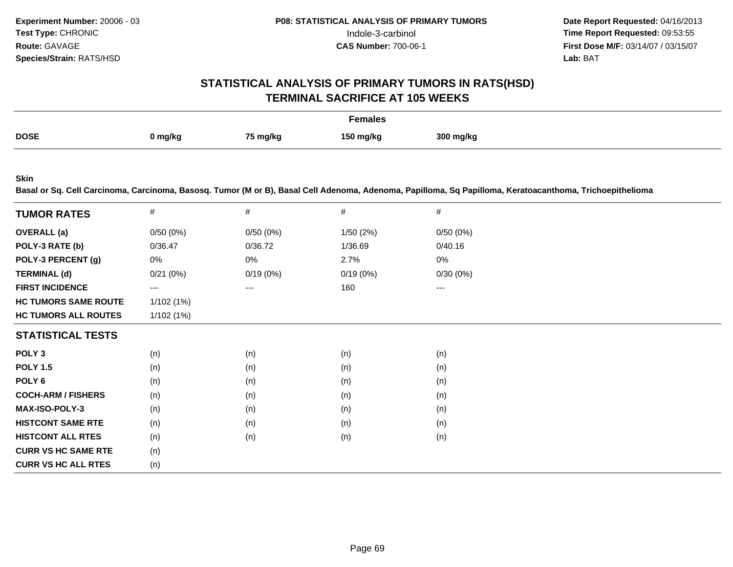# **STATISTICAL ANALYSIS OF PRIMARY TUMORS IN RATS(HSD)TERMINAL SACRIFICE AT 105 WEEKS**

|             |         |          | <b>Females</b> |           |
|-------------|---------|----------|----------------|-----------|
| <b>DOSE</b> | 0 mg/kg | 75 mg/kg | 150 ma/ka      | 300 mg/kg |

**Skin**

**Basal or Sq. Cell Carcinoma, Carcinoma, Basosq. Tumor (M or B), Basal Cell Adenoma, Adenoma, Papilloma, Sq Papilloma, Keratoacanthoma, Trichoepithelioma**

| <b>TUMOR RATES</b>          | #         | #        | $\#$     | #        |  |
|-----------------------------|-----------|----------|----------|----------|--|
| <b>OVERALL</b> (a)          | 0/50(0%)  | 0/50(0%) | 1/50(2%) | 0/50(0%) |  |
| POLY-3 RATE (b)             | 0/36.47   | 0/36.72  | 1/36.69  | 0/40.16  |  |
| POLY-3 PERCENT (g)          | 0%        | 0%       | 2.7%     | 0%       |  |
| <b>TERMINAL (d)</b>         | 0/21(0%)  | 0/19(0%) | 0/19(0%) | 0/30(0%) |  |
| <b>FIRST INCIDENCE</b>      | ---       | ---      | 160      | ---      |  |
| <b>HC TUMORS SAME ROUTE</b> | 1/102(1%) |          |          |          |  |
| <b>HC TUMORS ALL ROUTES</b> | 1/102(1%) |          |          |          |  |
| <b>STATISTICAL TESTS</b>    |           |          |          |          |  |
| POLY <sub>3</sub>           | (n)       | (n)      | (n)      | (n)      |  |
| <b>POLY 1.5</b>             | (n)       | (n)      | (n)      | (n)      |  |
| POLY 6                      | (n)       | (n)      | (n)      | (n)      |  |
| <b>COCH-ARM / FISHERS</b>   | (n)       | (n)      | (n)      | (n)      |  |
| <b>MAX-ISO-POLY-3</b>       | (n)       | (n)      | (n)      | (n)      |  |
| <b>HISTCONT SAME RTE</b>    | (n)       | (n)      | (n)      | (n)      |  |
| <b>HISTCONT ALL RTES</b>    | (n)       | (n)      | (n)      | (n)      |  |
| <b>CURR VS HC SAME RTE</b>  | (n)       |          |          |          |  |
| <b>CURR VS HC ALL RTES</b>  | (n)       |          |          |          |  |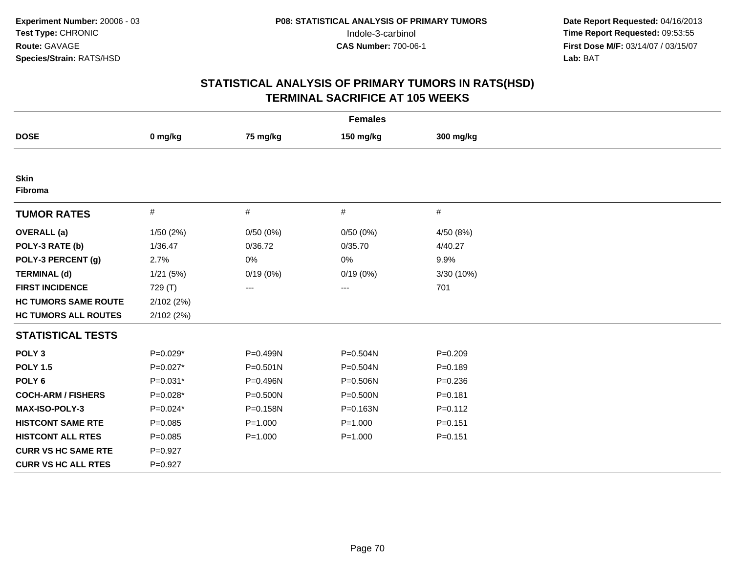|                             |             |              | <b>Females</b> |             |  |
|-----------------------------|-------------|--------------|----------------|-------------|--|
| <b>DOSE</b>                 | 0 mg/kg     | 75 mg/kg     | 150 mg/kg      | 300 mg/kg   |  |
|                             |             |              |                |             |  |
| <b>Skin</b><br>Fibroma      |             |              |                |             |  |
| <b>TUMOR RATES</b>          | $\#$        | $\#$         | #              | #           |  |
| <b>OVERALL</b> (a)          | 1/50(2%)    | 0/50(0%)     | 0/50(0%)       | 4/50 (8%)   |  |
| POLY-3 RATE (b)             | 1/36.47     | 0/36.72      | 0/35.70        | 4/40.27     |  |
| POLY-3 PERCENT (g)          | 2.7%        | 0%           | 0%             | 9.9%        |  |
| <b>TERMINAL (d)</b>         | 1/21(5%)    | 0/19(0%)     | 0/19(0%)       | 3/30 (10%)  |  |
| <b>FIRST INCIDENCE</b>      | 729 (T)     | $\cdots$     | $---$          | 701         |  |
| <b>HC TUMORS SAME ROUTE</b> | 2/102(2%)   |              |                |             |  |
| <b>HC TUMORS ALL ROUTES</b> | 2/102(2%)   |              |                |             |  |
| <b>STATISTICAL TESTS</b>    |             |              |                |             |  |
| POLY <sub>3</sub>           | $P=0.029*$  | P=0.499N     | P=0.504N       | $P = 0.209$ |  |
| <b>POLY 1.5</b>             | $P=0.027*$  | $P = 0.501N$ | P=0.504N       | $P = 0.189$ |  |
| POLY <sub>6</sub>           | $P=0.031*$  | P=0.496N     | P=0.506N       | $P = 0.236$ |  |
| <b>COCH-ARM / FISHERS</b>   | $P=0.028*$  | $P = 0.500N$ | P=0.500N       | $P = 0.181$ |  |
| <b>MAX-ISO-POLY-3</b>       | $P=0.024*$  | P=0.158N     | P=0.163N       | $P = 0.112$ |  |
| <b>HISTCONT SAME RTE</b>    | $P = 0.085$ | $P = 1.000$  | $P = 1.000$    | $P = 0.151$ |  |
| <b>HISTCONT ALL RTES</b>    | $P=0.085$   | $P = 1.000$  | $P = 1.000$    | $P = 0.151$ |  |
| <b>CURR VS HC SAME RTE</b>  | $P = 0.927$ |              |                |             |  |
| <b>CURR VS HC ALL RTES</b>  | $P = 0.927$ |              |                |             |  |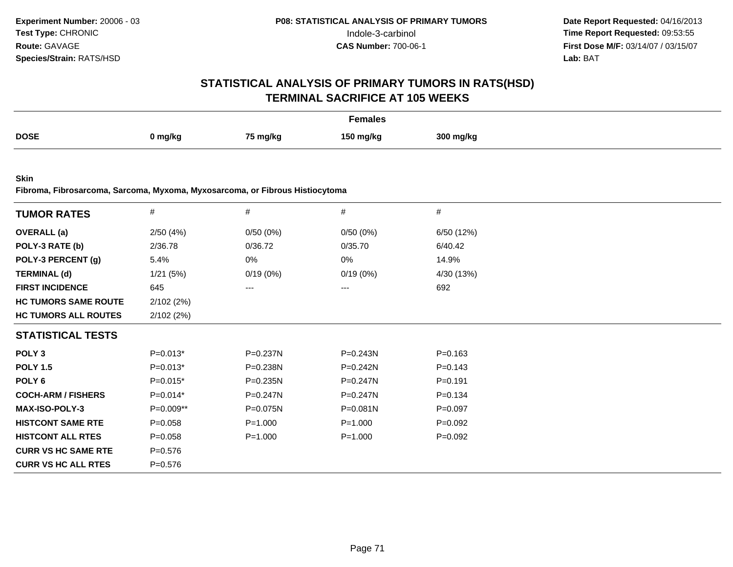# **STATISTICAL ANALYSIS OF PRIMARY TUMORS IN RATS(HSD)TERMINAL SACRIFICE AT 105 WEEKS**

|             |         |          | Females   |           |
|-------------|---------|----------|-----------|-----------|
| <b>DOSE</b> | 0 mg/kg | 75 mg/kg | 150 ma/ka | 300 mg/kg |

**Skin**

**Fibroma, Fibrosarcoma, Sarcoma, Myxoma, Myxosarcoma, or Fibrous Histiocytoma**

| <b>TUMOR RATES</b>          | $\#$        | $\#$         | $\#$         | $\#$        |  |
|-----------------------------|-------------|--------------|--------------|-------------|--|
| <b>OVERALL</b> (a)          | 2/50(4%)    | 0/50(0%)     | 0/50(0%)     | 6/50 (12%)  |  |
| POLY-3 RATE (b)             | 2/36.78     | 0/36.72      | 0/35.70      | 6/40.42     |  |
| POLY-3 PERCENT (g)          | 5.4%        | 0%           | 0%           | 14.9%       |  |
| <b>TERMINAL (d)</b>         | 1/21(5%)    | 0/19(0%)     | 0/19(0%)     | 4/30 (13%)  |  |
| <b>FIRST INCIDENCE</b>      | 645         | ---          | ---          | 692         |  |
| <b>HC TUMORS SAME ROUTE</b> | 2/102(2%)   |              |              |             |  |
| <b>HC TUMORS ALL ROUTES</b> | 2/102(2%)   |              |              |             |  |
| <b>STATISTICAL TESTS</b>    |             |              |              |             |  |
| POLY <sub>3</sub>           | $P=0.013*$  | P=0.237N     | P=0.243N     | $P = 0.163$ |  |
| <b>POLY 1.5</b>             | $P=0.013*$  | P=0.238N     | P=0.242N     | $P = 0.143$ |  |
| POLY 6                      | $P=0.015*$  | $P = 0.235N$ | $P=0.247N$   | $P = 0.191$ |  |
| <b>COCH-ARM / FISHERS</b>   | $P=0.014*$  | $P = 0.247N$ | $P = 0.247N$ | $P = 0.134$ |  |
| <b>MAX-ISO-POLY-3</b>       | $P=0.009**$ | P=0.075N     | $P = 0.081N$ | $P = 0.097$ |  |
| <b>HISTCONT SAME RTE</b>    | $P = 0.058$ | $P = 1.000$  | $P = 1.000$  | $P=0.092$   |  |
| <b>HISTCONT ALL RTES</b>    | $P = 0.058$ | $P = 1.000$  | $P = 1.000$  | $P=0.092$   |  |
| <b>CURR VS HC SAME RTE</b>  | $P = 0.576$ |              |              |             |  |
| <b>CURR VS HC ALL RTES</b>  | $P = 0.576$ |              |              |             |  |
|                             |             |              |              |             |  |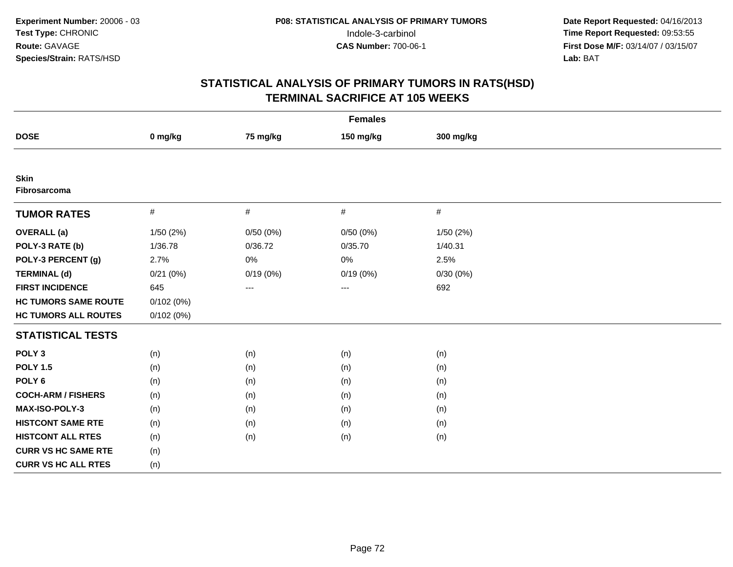| <b>Females</b>              |           |          |           |           |  |  |  |  |
|-----------------------------|-----------|----------|-----------|-----------|--|--|--|--|
| <b>DOSE</b>                 | 0 mg/kg   | 75 mg/kg | 150 mg/kg | 300 mg/kg |  |  |  |  |
|                             |           |          |           |           |  |  |  |  |
| <b>Skin</b><br>Fibrosarcoma |           |          |           |           |  |  |  |  |
| <b>TUMOR RATES</b>          | $\#$      | $\#$     | $\#$      | $\#$      |  |  |  |  |
| <b>OVERALL</b> (a)          | 1/50(2%)  | 0/50(0%) | 0/50(0%)  | 1/50 (2%) |  |  |  |  |
| POLY-3 RATE (b)             | 1/36.78   | 0/36.72  | 0/35.70   | 1/40.31   |  |  |  |  |
| POLY-3 PERCENT (g)          | 2.7%      | $0\%$    | $0\%$     | 2.5%      |  |  |  |  |
| <b>TERMINAL (d)</b>         | 0/21(0%)  | 0/19(0%) | 0/19(0%)  | 0/30(0%)  |  |  |  |  |
| <b>FIRST INCIDENCE</b>      | 645       | $\cdots$ | $---$     | 692       |  |  |  |  |
| <b>HC TUMORS SAME ROUTE</b> | 0/102(0%) |          |           |           |  |  |  |  |
| <b>HC TUMORS ALL ROUTES</b> | 0/102(0%) |          |           |           |  |  |  |  |
| <b>STATISTICAL TESTS</b>    |           |          |           |           |  |  |  |  |
| POLY <sub>3</sub>           | (n)       | (n)      | (n)       | (n)       |  |  |  |  |
| <b>POLY 1.5</b>             | (n)       | (n)      | (n)       | (n)       |  |  |  |  |
| POLY <sub>6</sub>           | (n)       | (n)      | (n)       | (n)       |  |  |  |  |
| <b>COCH-ARM / FISHERS</b>   | (n)       | (n)      | (n)       | (n)       |  |  |  |  |
| <b>MAX-ISO-POLY-3</b>       | (n)       | (n)      | (n)       | (n)       |  |  |  |  |
| <b>HISTCONT SAME RTE</b>    | (n)       | (n)      | (n)       | (n)       |  |  |  |  |
| <b>HISTCONT ALL RTES</b>    | (n)       | (n)      | (n)       | (n)       |  |  |  |  |
| <b>CURR VS HC SAME RTE</b>  | (n)       |          |           |           |  |  |  |  |
| <b>CURR VS HC ALL RTES</b>  | (n)       |          |           |           |  |  |  |  |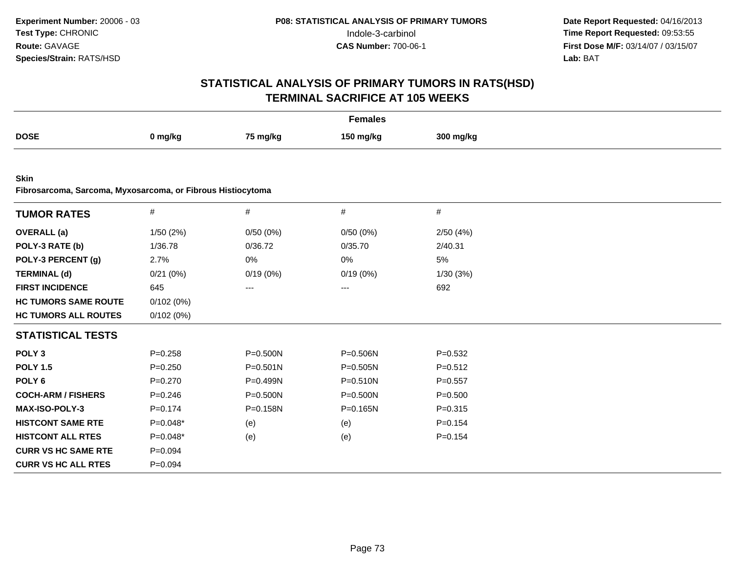| <b>Females</b>                                              |             |              |              |             |  |  |
|-------------------------------------------------------------|-------------|--------------|--------------|-------------|--|--|
| <b>DOSE</b>                                                 | 0 mg/kg     | 75 mg/kg     | 150 mg/kg    | 300 mg/kg   |  |  |
|                                                             |             |              |              |             |  |  |
| <b>Skin</b>                                                 |             |              |              |             |  |  |
| Fibrosarcoma, Sarcoma, Myxosarcoma, or Fibrous Histiocytoma |             |              |              |             |  |  |
| <b>TUMOR RATES</b>                                          | $\#$        | $\#$         | $\#$         | #           |  |  |
| <b>OVERALL</b> (a)                                          | 1/50(2%)    | 0/50(0%)     | 0/50(0%)     | 2/50(4%)    |  |  |
| POLY-3 RATE (b)                                             | 1/36.78     | 0/36.72      | 0/35.70      | 2/40.31     |  |  |
| POLY-3 PERCENT (g)                                          | 2.7%        | 0%           | 0%           | 5%          |  |  |
| <b>TERMINAL (d)</b>                                         | 0/21(0%)    | 0/19(0%)     | 0/19(0%)     | 1/30(3%)    |  |  |
| <b>FIRST INCIDENCE</b>                                      | 645         | ---          | ---          | 692         |  |  |
| <b>HC TUMORS SAME ROUTE</b>                                 | 0/102(0%)   |              |              |             |  |  |
| <b>HC TUMORS ALL ROUTES</b>                                 | 0/102(0%)   |              |              |             |  |  |
| <b>STATISTICAL TESTS</b>                                    |             |              |              |             |  |  |
| POLY <sub>3</sub>                                           | $P = 0.258$ | $P = 0.500N$ | P=0.506N     | $P = 0.532$ |  |  |
| <b>POLY 1.5</b>                                             | $P = 0.250$ | $P = 0.501N$ | $P = 0.505N$ | $P = 0.512$ |  |  |
| POLY <sub>6</sub>                                           | $P = 0.270$ | P=0.499N     | $P = 0.510N$ | $P = 0.557$ |  |  |
| <b>COCH-ARM / FISHERS</b>                                   | $P = 0.246$ | $P = 0.500N$ | P=0.500N     | $P = 0.500$ |  |  |
| <b>MAX-ISO-POLY-3</b>                                       | $P = 0.174$ | $P = 0.158N$ | $P = 0.165N$ | $P = 0.315$ |  |  |
| <b>HISTCONT SAME RTE</b>                                    | $P=0.048*$  | (e)          | (e)          | $P = 0.154$ |  |  |
| <b>HISTCONT ALL RTES</b>                                    | $P=0.048*$  | (e)          | (e)          | $P = 0.154$ |  |  |
| <b>CURR VS HC SAME RTE</b>                                  | $P = 0.094$ |              |              |             |  |  |
| <b>CURR VS HC ALL RTES</b>                                  | $P=0.094$   |              |              |             |  |  |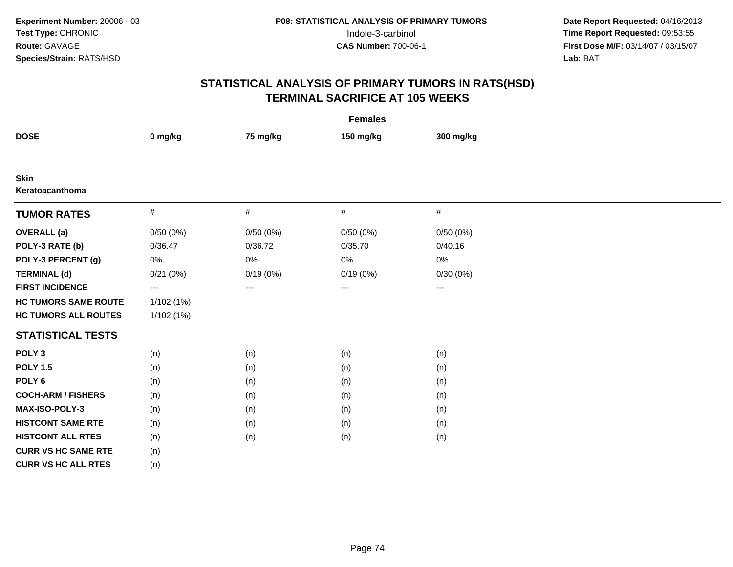| <b>Females</b>              |                          |          |           |           |  |  |  |
|-----------------------------|--------------------------|----------|-----------|-----------|--|--|--|
| <b>DOSE</b>                 | 0 mg/kg                  | 75 mg/kg | 150 mg/kg | 300 mg/kg |  |  |  |
|                             |                          |          |           |           |  |  |  |
| Skin<br>Keratoacanthoma     |                          |          |           |           |  |  |  |
| <b>TUMOR RATES</b>          | $\#$                     | $\#$     | $\#$      | #         |  |  |  |
| <b>OVERALL</b> (a)          | 0/50(0%)                 | 0/50(0%) | 0/50(0%)  | 0/50(0%)  |  |  |  |
| POLY-3 RATE (b)             | 0/36.47                  | 0/36.72  | 0/35.70   | 0/40.16   |  |  |  |
| POLY-3 PERCENT (g)          | 0%                       | 0%       | 0%        | 0%        |  |  |  |
| <b>TERMINAL (d)</b>         | 0/21(0%)                 | 0/19(0%) | 0/19(0%)  | 0/30(0%)  |  |  |  |
| <b>FIRST INCIDENCE</b>      | $\hspace{0.05cm} \ldots$ | ---      | ---       | ---       |  |  |  |
| <b>HC TUMORS SAME ROUTE</b> | 1/102 (1%)               |          |           |           |  |  |  |
| <b>HC TUMORS ALL ROUTES</b> | 1/102(1%)                |          |           |           |  |  |  |
| <b>STATISTICAL TESTS</b>    |                          |          |           |           |  |  |  |
| POLY <sub>3</sub>           | (n)                      | (n)      | (n)       | (n)       |  |  |  |
| <b>POLY 1.5</b>             | (n)                      | (n)      | (n)       | (n)       |  |  |  |
| POLY <sub>6</sub>           | (n)                      | (n)      | (n)       | (n)       |  |  |  |
| <b>COCH-ARM / FISHERS</b>   | (n)                      | (n)      | (n)       | (n)       |  |  |  |
| <b>MAX-ISO-POLY-3</b>       | (n)                      | (n)      | (n)       | (n)       |  |  |  |
| <b>HISTCONT SAME RTE</b>    | (n)                      | (n)      | (n)       | (n)       |  |  |  |
| <b>HISTCONT ALL RTES</b>    | (n)                      | (n)      | (n)       | (n)       |  |  |  |
| <b>CURR VS HC SAME RTE</b>  | (n)                      |          |           |           |  |  |  |
| <b>CURR VS HC ALL RTES</b>  | (n)                      |          |           |           |  |  |  |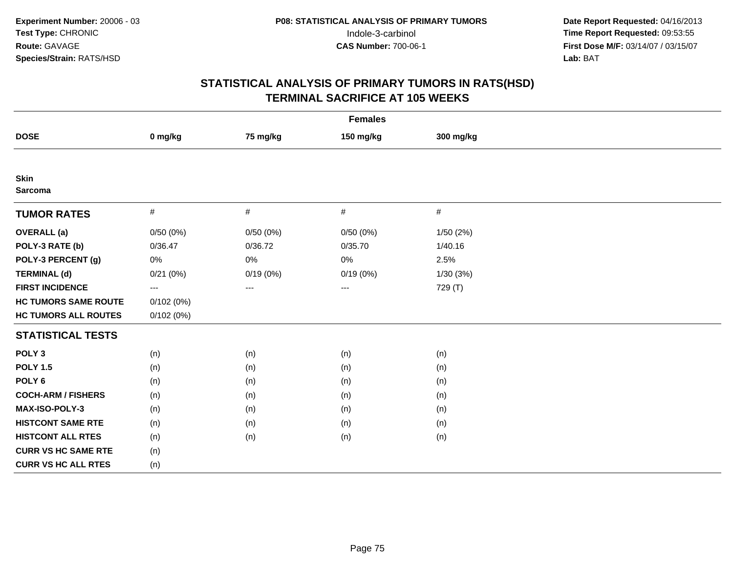| <b>Females</b>                |           |                     |           |           |  |  |
|-------------------------------|-----------|---------------------|-----------|-----------|--|--|
| <b>DOSE</b>                   | 0 mg/kg   | 75 mg/kg            | 150 mg/kg | 300 mg/kg |  |  |
|                               |           |                     |           |           |  |  |
| <b>Skin</b><br><b>Sarcoma</b> |           |                     |           |           |  |  |
| <b>TUMOR RATES</b>            | $\#$      | $\#$                | $\#$      | $\#$      |  |  |
| <b>OVERALL</b> (a)            | 0/50(0%)  | 0/50(0%)            | 0/50(0%)  | 1/50 (2%) |  |  |
| POLY-3 RATE (b)               | 0/36.47   | 0/36.72             | 0/35.70   | 1/40.16   |  |  |
| POLY-3 PERCENT (g)            | 0%        | 0%                  | 0%        | 2.5%      |  |  |
| <b>TERMINAL (d)</b>           | 0/21(0%)  | $0/19(0\%)$         | 0/19(0%)  | 1/30(3%)  |  |  |
| <b>FIRST INCIDENCE</b>        | $---$     | $\qquad \qquad - -$ | ---       | 729 (T)   |  |  |
| <b>HC TUMORS SAME ROUTE</b>   | 0/102(0%) |                     |           |           |  |  |
| <b>HC TUMORS ALL ROUTES</b>   | 0/102(0%) |                     |           |           |  |  |
| <b>STATISTICAL TESTS</b>      |           |                     |           |           |  |  |
| POLY <sub>3</sub>             | (n)       | (n)                 | (n)       | (n)       |  |  |
| <b>POLY 1.5</b>               | (n)       | (n)                 | (n)       | (n)       |  |  |
| POLY <sub>6</sub>             | (n)       | (n)                 | (n)       | (n)       |  |  |
| <b>COCH-ARM / FISHERS</b>     | (n)       | (n)                 | (n)       | (n)       |  |  |
| MAX-ISO-POLY-3                | (n)       | (n)                 | (n)       | (n)       |  |  |
| <b>HISTCONT SAME RTE</b>      | (n)       | (n)                 | (n)       | (n)       |  |  |
| <b>HISTCONT ALL RTES</b>      | (n)       | (n)                 | (n)       | (n)       |  |  |
| <b>CURR VS HC SAME RTE</b>    | (n)       |                     |           |           |  |  |
| <b>CURR VS HC ALL RTES</b>    | (n)       |                     |           |           |  |  |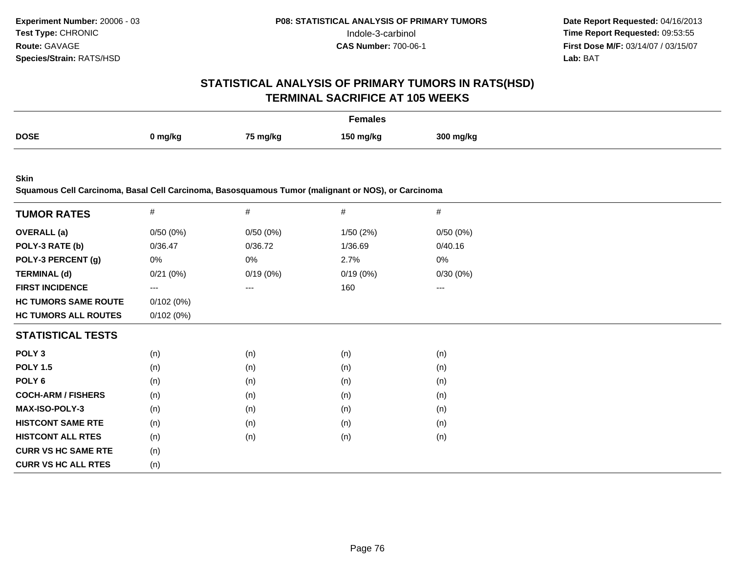# **STATISTICAL ANALYSIS OF PRIMARY TUMORS IN RATS(HSD)TERMINAL SACRIFICE AT 105 WEEKS**

|             |         |          | <b>Females</b> |           |
|-------------|---------|----------|----------------|-----------|
| <b>DOSE</b> | 0 mg/kg | 75 mg/kg | 150 ma/ka      | 300 mg/kg |

**Skin**

**Squamous Cell Carcinoma, Basal Cell Carcinoma, Basosquamous Tumor (malignant or NOS), or Carcinoma**

| <b>TUMOR RATES</b>          | $\#$      | #        | #        | $\#$              |
|-----------------------------|-----------|----------|----------|-------------------|
|                             |           |          |          |                   |
| <b>OVERALL</b> (a)          | 0/50(0%)  | 0/50(0%) | 1/50(2%) | 0/50(0%)          |
| POLY-3 RATE (b)             | 0/36.47   | 0/36.72  | 1/36.69  | 0/40.16           |
| POLY-3 PERCENT (g)          | 0%        | 0%       | 2.7%     | 0%                |
| <b>TERMINAL (d)</b>         | 0/21(0%)  | 0/19(0%) | 0/19(0%) | 0/30(0%)          |
| <b>FIRST INCIDENCE</b>      | $---$     | ---      | 160      | $\qquad \qquad -$ |
| <b>HC TUMORS SAME ROUTE</b> | 0/102(0%) |          |          |                   |
| <b>HC TUMORS ALL ROUTES</b> | 0/102(0%) |          |          |                   |
| <b>STATISTICAL TESTS</b>    |           |          |          |                   |
| POLY <sub>3</sub>           | (n)       | (n)      | (n)      | (n)               |
| <b>POLY 1.5</b>             | (n)       | (n)      | (n)      | (n)               |
| POLY <sub>6</sub>           | (n)       | (n)      | (n)      | (n)               |
| <b>COCH-ARM / FISHERS</b>   | (n)       | (n)      | (n)      | (n)               |
| <b>MAX-ISO-POLY-3</b>       | (n)       | (n)      | (n)      | (n)               |
| <b>HISTCONT SAME RTE</b>    | (n)       | (n)      | (n)      | (n)               |
| <b>HISTCONT ALL RTES</b>    | (n)       | (n)      | (n)      | (n)               |
| <b>CURR VS HC SAME RTE</b>  | (n)       |          |          |                   |
| <b>CURR VS HC ALL RTES</b>  | (n)       |          |          |                   |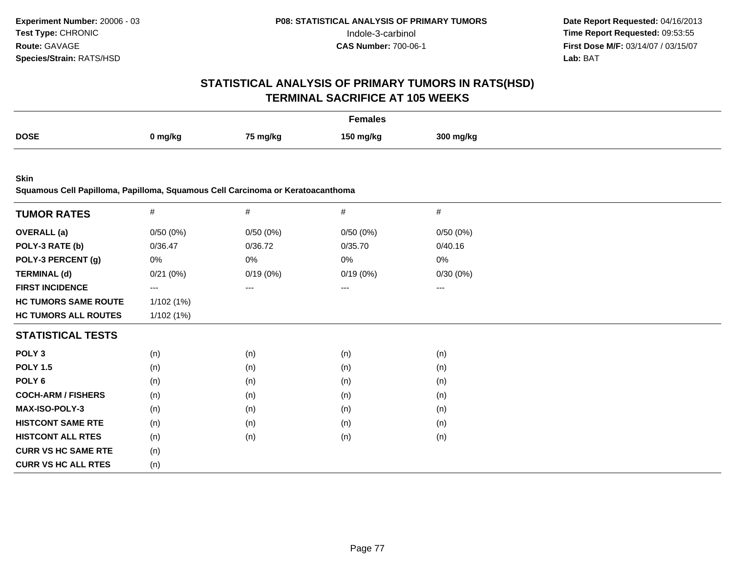# **STATISTICAL ANALYSIS OF PRIMARY TUMORS IN RATS(HSD)TERMINAL SACRIFICE AT 105 WEEKS**

|             |         |                     | Females<br>. |           |
|-------------|---------|---------------------|--------------|-----------|
| <b>DOSE</b> | ן mg/kg | <sup>75</sup> mg/kg | 150 ma/kc    | 300 ma/ka |

**Skin**

**Squamous Cell Papilloma, Papilloma, Squamous Cell Carcinoma or Keratoacanthoma**

| <b>TUMOR RATES</b>          | $\#$      | $\#$     | $\#$     | #                   |  |
|-----------------------------|-----------|----------|----------|---------------------|--|
| <b>OVERALL</b> (a)          |           |          | 0/50(0%) | 0/50(0%)            |  |
|                             | 0/50(0%)  | 0/50(0%) |          |                     |  |
| POLY-3 RATE (b)             | 0/36.47   | 0/36.72  | 0/35.70  | 0/40.16             |  |
| POLY-3 PERCENT (g)          | 0%        | 0%       | 0%       | 0%                  |  |
| <b>TERMINAL (d)</b>         | 0/21(0%)  | 0/19(0%) | 0/19(0%) | 0/30(0%)            |  |
| <b>FIRST INCIDENCE</b>      | $--$      | ---      | ---      | $\qquad \qquad - -$ |  |
| <b>HC TUMORS SAME ROUTE</b> | 1/102(1%) |          |          |                     |  |
| <b>HC TUMORS ALL ROUTES</b> | 1/102(1%) |          |          |                     |  |
| <b>STATISTICAL TESTS</b>    |           |          |          |                     |  |
| POLY <sub>3</sub>           | (n)       | (n)      | (n)      | (n)                 |  |
| <b>POLY 1.5</b>             | (n)       | (n)      | (n)      | (n)                 |  |
| POLY 6                      | (n)       | (n)      | (n)      | (n)                 |  |
| <b>COCH-ARM / FISHERS</b>   | (n)       | (n)      | (n)      | (n)                 |  |
| <b>MAX-ISO-POLY-3</b>       | (n)       | (n)      | (n)      | (n)                 |  |
| <b>HISTCONT SAME RTE</b>    | (n)       | (n)      | (n)      | (n)                 |  |
| <b>HISTCONT ALL RTES</b>    | (n)       | (n)      | (n)      | (n)                 |  |
| <b>CURR VS HC SAME RTE</b>  | (n)       |          |          |                     |  |
| <b>CURR VS HC ALL RTES</b>  | (n)       |          |          |                     |  |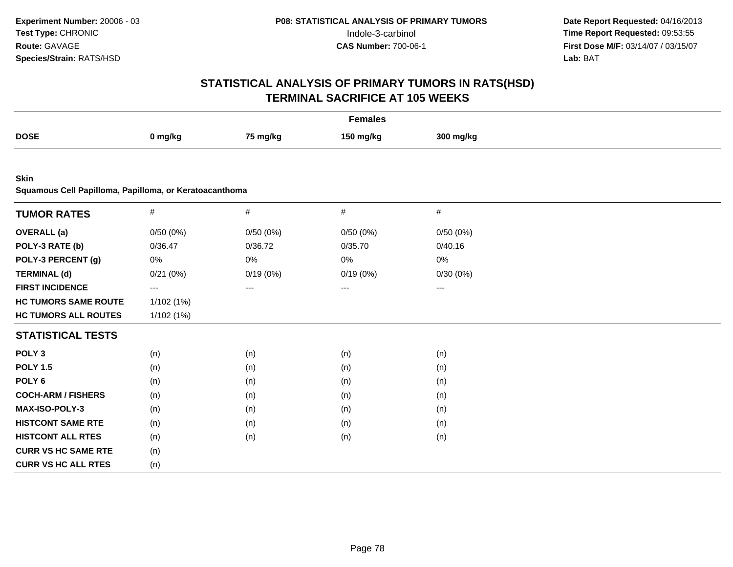| <b>Females</b>                                         |           |          |           |           |  |  |
|--------------------------------------------------------|-----------|----------|-----------|-----------|--|--|
| <b>DOSE</b>                                            | 0 mg/kg   | 75 mg/kg | 150 mg/kg | 300 mg/kg |  |  |
|                                                        |           |          |           |           |  |  |
| <b>Skin</b>                                            |           |          |           |           |  |  |
| Squamous Cell Papilloma, Papilloma, or Keratoacanthoma |           |          |           |           |  |  |
| <b>TUMOR RATES</b>                                     | $\#$      | $\#$     | $\#$      | $\#$      |  |  |
| <b>OVERALL</b> (a)                                     | 0/50(0%)  | 0/50(0%) | 0/50(0%)  | 0/50(0%)  |  |  |
| POLY-3 RATE (b)                                        | 0/36.47   | 0/36.72  | 0/35.70   | 0/40.16   |  |  |
| POLY-3 PERCENT (g)                                     | 0%        | 0%       | 0%        | 0%        |  |  |
| <b>TERMINAL (d)</b>                                    | 0/21(0%)  | 0/19(0%) | 0/19(0%)  | 0/30(0%)  |  |  |
| <b>FIRST INCIDENCE</b>                                 | $---$     | ---      | ---       | ---       |  |  |
| <b>HC TUMORS SAME ROUTE</b>                            | 1/102(1%) |          |           |           |  |  |
| <b>HC TUMORS ALL ROUTES</b>                            | 1/102(1%) |          |           |           |  |  |
| <b>STATISTICAL TESTS</b>                               |           |          |           |           |  |  |
| POLY <sub>3</sub>                                      | (n)       | (n)      | (n)       | (n)       |  |  |
| <b>POLY 1.5</b>                                        | (n)       | (n)      | (n)       | (n)       |  |  |
| POLY <sub>6</sub>                                      | (n)       | (n)      | (n)       | (n)       |  |  |
| <b>COCH-ARM / FISHERS</b>                              | (n)       | (n)      | (n)       | (n)       |  |  |
| MAX-ISO-POLY-3                                         | (n)       | (n)      | (n)       | (n)       |  |  |
| <b>HISTCONT SAME RTE</b>                               | (n)       | (n)      | (n)       | (n)       |  |  |
| <b>HISTCONT ALL RTES</b>                               | (n)       | (n)      | (n)       | (n)       |  |  |
| <b>CURR VS HC SAME RTE</b>                             | (n)       |          |           |           |  |  |
| <b>CURR VS HC ALL RTES</b>                             | (n)       |          |           |           |  |  |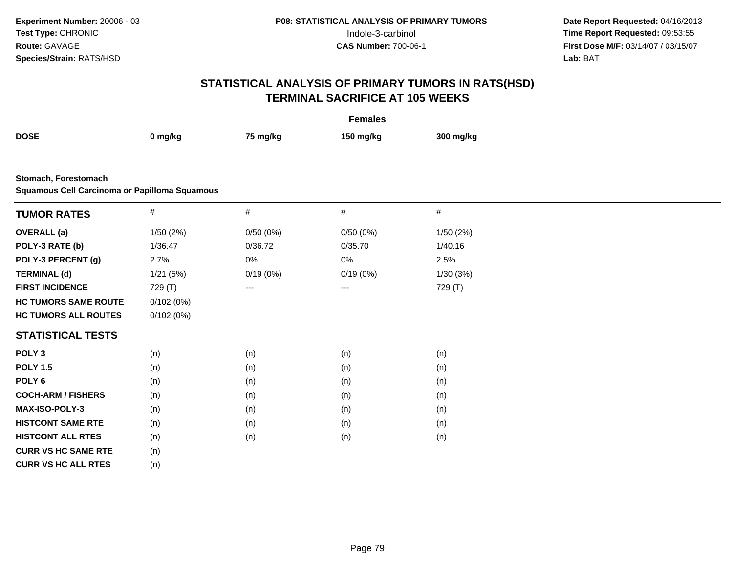| <b>Females</b>                                                        |           |          |                        |           |  |  |
|-----------------------------------------------------------------------|-----------|----------|------------------------|-----------|--|--|
| <b>DOSE</b>                                                           | 0 mg/kg   | 75 mg/kg | 150 mg/kg              | 300 mg/kg |  |  |
|                                                                       |           |          |                        |           |  |  |
| Stomach, Forestomach<br>Squamous Cell Carcinoma or Papilloma Squamous |           |          |                        |           |  |  |
| <b>TUMOR RATES</b>                                                    | $\#$      | $\#$     | $\#$                   | $\#$      |  |  |
| <b>OVERALL</b> (a)                                                    | 1/50(2%)  | 0/50(0%) | 0/50(0%)               | 1/50(2%)  |  |  |
| POLY-3 RATE (b)                                                       | 1/36.47   | 0/36.72  | 0/35.70                | 1/40.16   |  |  |
| POLY-3 PERCENT (g)                                                    | 2.7%      | $0\%$    | 0%                     | 2.5%      |  |  |
| <b>TERMINAL (d)</b>                                                   | 1/21(5%)  | 0/19(0%) | 0/19(0%)               | 1/30(3%)  |  |  |
| <b>FIRST INCIDENCE</b>                                                | 729 (T)   | ---      | $\qquad \qquad \cdots$ | 729 (T)   |  |  |
| <b>HC TUMORS SAME ROUTE</b>                                           | 0/102(0%) |          |                        |           |  |  |
| <b>HC TUMORS ALL ROUTES</b>                                           | 0/102(0%) |          |                        |           |  |  |
| <b>STATISTICAL TESTS</b>                                              |           |          |                        |           |  |  |
| POLY <sub>3</sub>                                                     | (n)       | (n)      | (n)                    | (n)       |  |  |
| <b>POLY 1.5</b>                                                       | (n)       | (n)      | (n)                    | (n)       |  |  |
| POLY <sub>6</sub>                                                     | (n)       | (n)      | (n)                    | (n)       |  |  |
| <b>COCH-ARM / FISHERS</b>                                             | (n)       | (n)      | (n)                    | (n)       |  |  |
| MAX-ISO-POLY-3                                                        | (n)       | (n)      | (n)                    | (n)       |  |  |
| <b>HISTCONT SAME RTE</b>                                              | (n)       | (n)      | (n)                    | (n)       |  |  |
| <b>HISTCONT ALL RTES</b>                                              | (n)       | (n)      | (n)                    | (n)       |  |  |
| <b>CURR VS HC SAME RTE</b>                                            | (n)       |          |                        |           |  |  |
| <b>CURR VS HC ALL RTES</b>                                            | (n)       |          |                        |           |  |  |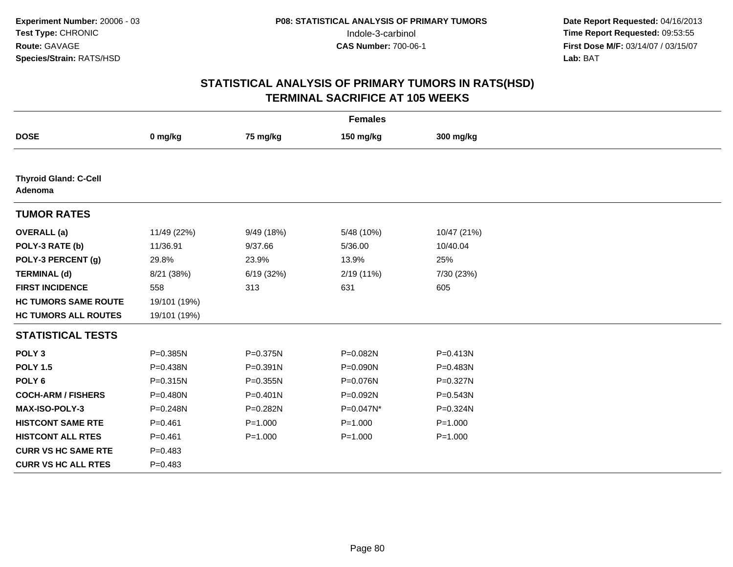| <b>Females</b>                          |              |              |             |              |  |  |
|-----------------------------------------|--------------|--------------|-------------|--------------|--|--|
| <b>DOSE</b>                             | 0 mg/kg      | 75 mg/kg     | 150 mg/kg   | 300 mg/kg    |  |  |
|                                         |              |              |             |              |  |  |
| <b>Thyroid Gland: C-Cell</b><br>Adenoma |              |              |             |              |  |  |
| <b>TUMOR RATES</b>                      |              |              |             |              |  |  |
| <b>OVERALL</b> (a)                      | 11/49 (22%)  | 9/49 (18%)   | 5/48 (10%)  | 10/47 (21%)  |  |  |
| POLY-3 RATE (b)                         | 11/36.91     | 9/37.66      | 5/36.00     | 10/40.04     |  |  |
| POLY-3 PERCENT (g)                      | 29.8%        | 23.9%        | 13.9%       | 25%          |  |  |
| <b>TERMINAL (d)</b>                     | 8/21 (38%)   | 6/19(32%)    | 2/19 (11%)  | 7/30 (23%)   |  |  |
| <b>FIRST INCIDENCE</b>                  | 558          | 313          | 631         | 605          |  |  |
| <b>HC TUMORS SAME ROUTE</b>             | 19/101 (19%) |              |             |              |  |  |
| <b>HC TUMORS ALL ROUTES</b>             | 19/101 (19%) |              |             |              |  |  |
| <b>STATISTICAL TESTS</b>                |              |              |             |              |  |  |
| POLY <sub>3</sub>                       | P=0.385N     | P=0.375N     | P=0.082N    | P=0.413N     |  |  |
| <b>POLY 1.5</b>                         | P=0.438N     | $P = 0.391N$ | P=0.090N    | $P = 0.483N$ |  |  |
| POLY <sub>6</sub>                       | $P = 0.315N$ | $P = 0.355N$ | P=0.076N    | P=0.327N     |  |  |
| <b>COCH-ARM / FISHERS</b>               | P=0.480N     | $P = 0.401N$ | P=0.092N    | P=0.543N     |  |  |
| <b>MAX-ISO-POLY-3</b>                   | P=0.248N     | P=0.282N     | P=0.047N*   | P=0.324N     |  |  |
| <b>HISTCONT SAME RTE</b>                | $P=0.461$    | $P = 1.000$  | $P = 1.000$ | $P = 1.000$  |  |  |
| <b>HISTCONT ALL RTES</b>                | $P = 0.461$  | $P = 1.000$  | $P = 1.000$ | $P = 1.000$  |  |  |
| <b>CURR VS HC SAME RTE</b>              | $P = 0.483$  |              |             |              |  |  |
| <b>CURR VS HC ALL RTES</b>              | $P=0.483$    |              |             |              |  |  |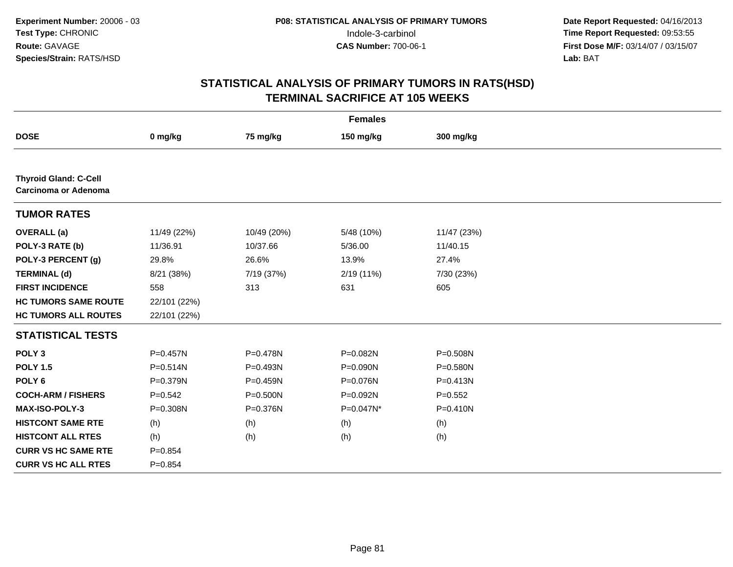| <b>Females</b>                                              |              |              |            |              |  |  |
|-------------------------------------------------------------|--------------|--------------|------------|--------------|--|--|
| <b>DOSE</b>                                                 | 0 mg/kg      | 75 mg/kg     | 150 mg/kg  | 300 mg/kg    |  |  |
|                                                             |              |              |            |              |  |  |
| <b>Thyroid Gland: C-Cell</b><br><b>Carcinoma or Adenoma</b> |              |              |            |              |  |  |
| <b>TUMOR RATES</b>                                          |              |              |            |              |  |  |
| <b>OVERALL</b> (a)                                          | 11/49 (22%)  | 10/49 (20%)  | 5/48 (10%) | 11/47 (23%)  |  |  |
| POLY-3 RATE (b)                                             | 11/36.91     | 10/37.66     | 5/36.00    | 11/40.15     |  |  |
| POLY-3 PERCENT (g)                                          | 29.8%        | 26.6%        | 13.9%      | 27.4%        |  |  |
| <b>TERMINAL (d)</b>                                         | 8/21 (38%)   | 7/19 (37%)   | 2/19 (11%) | 7/30 (23%)   |  |  |
| <b>FIRST INCIDENCE</b>                                      | 558          | 313          | 631        | 605          |  |  |
| <b>HC TUMORS SAME ROUTE</b>                                 | 22/101 (22%) |              |            |              |  |  |
| <b>HC TUMORS ALL ROUTES</b>                                 | 22/101 (22%) |              |            |              |  |  |
| <b>STATISTICAL TESTS</b>                                    |              |              |            |              |  |  |
| POLY <sub>3</sub>                                           | $P = 0.457N$ | P=0.478N     | P=0.082N   | P=0.508N     |  |  |
| <b>POLY 1.5</b>                                             | $P = 0.514N$ | $P = 0.493N$ | P=0.090N   | P=0.580N     |  |  |
| POLY <sub>6</sub>                                           | P=0.379N     | $P = 0.459N$ | P=0.076N   | $P = 0.413N$ |  |  |
| <b>COCH-ARM / FISHERS</b>                                   | $P = 0.542$  | $P = 0.500N$ | P=0.092N   | $P=0.552$    |  |  |
| <b>MAX-ISO-POLY-3</b>                                       | P=0.308N     | P=0.376N     | P=0.047N*  | $P = 0.410N$ |  |  |
| <b>HISTCONT SAME RTE</b>                                    | (h)          | (h)          | (h)        | (h)          |  |  |
| <b>HISTCONT ALL RTES</b>                                    | (h)          | (h)          | (h)        | (h)          |  |  |
| <b>CURR VS HC SAME RTE</b>                                  | $P=0.854$    |              |            |              |  |  |
| <b>CURR VS HC ALL RTES</b>                                  | $P = 0.854$  |              |            |              |  |  |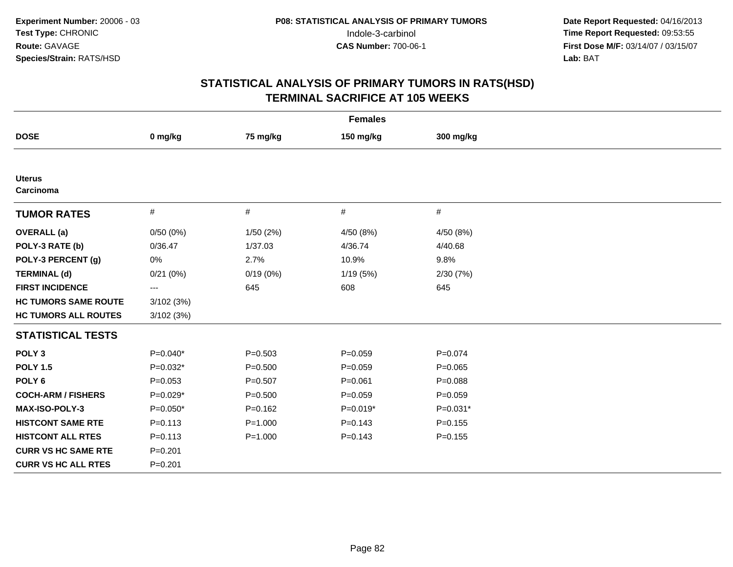| <b>Females</b>              |                   |             |             |             |  |  |  |
|-----------------------------|-------------------|-------------|-------------|-------------|--|--|--|
| <b>DOSE</b>                 | 0 mg/kg           | 75 mg/kg    | 150 mg/kg   | 300 mg/kg   |  |  |  |
|                             |                   |             |             |             |  |  |  |
| <b>Uterus</b><br>Carcinoma  |                   |             |             |             |  |  |  |
| <b>TUMOR RATES</b>          | $\#$              | $\#$        | $\#$        | #           |  |  |  |
| <b>OVERALL</b> (a)          | 0/50(0%)          | 1/50(2%)    | 4/50 (8%)   | 4/50(8%)    |  |  |  |
| POLY-3 RATE (b)             | 0/36.47           | 1/37.03     | 4/36.74     | 4/40.68     |  |  |  |
| POLY-3 PERCENT (g)          | 0%                | 2.7%        | 10.9%       | 9.8%        |  |  |  |
| <b>TERMINAL (d)</b>         | 0/21(0%)          | 0/19(0%)    | 1/19(5%)    | 2/30(7%)    |  |  |  |
| <b>FIRST INCIDENCE</b>      | $\qquad \qquad -$ | 645         | 608         | 645         |  |  |  |
| <b>HC TUMORS SAME ROUTE</b> | 3/102(3%)         |             |             |             |  |  |  |
| <b>HC TUMORS ALL ROUTES</b> | 3/102(3%)         |             |             |             |  |  |  |
| <b>STATISTICAL TESTS</b>    |                   |             |             |             |  |  |  |
| POLY <sub>3</sub>           | $P=0.040*$        | $P = 0.503$ | $P = 0.059$ | $P = 0.074$ |  |  |  |
| <b>POLY 1.5</b>             | $P=0.032*$        | $P = 0.500$ | $P = 0.059$ | $P=0.065$   |  |  |  |
| POLY <sub>6</sub>           | $P = 0.053$       | $P=0.507$   | $P = 0.061$ | $P = 0.088$ |  |  |  |
| <b>COCH-ARM / FISHERS</b>   | $P=0.029*$        | $P = 0.500$ | $P=0.059$   | $P = 0.059$ |  |  |  |
| <b>MAX-ISO-POLY-3</b>       | $P=0.050*$        | $P=0.162$   | $P=0.019*$  | $P=0.031*$  |  |  |  |
| <b>HISTCONT SAME RTE</b>    | $P = 0.113$       | $P = 1.000$ | $P = 0.143$ | $P = 0.155$ |  |  |  |
| <b>HISTCONT ALL RTES</b>    | $P = 0.113$       | $P = 1.000$ | $P = 0.143$ | $P = 0.155$ |  |  |  |
| <b>CURR VS HC SAME RTE</b>  | $P = 0.201$       |             |             |             |  |  |  |
| <b>CURR VS HC ALL RTES</b>  | $P = 0.201$       |             |             |             |  |  |  |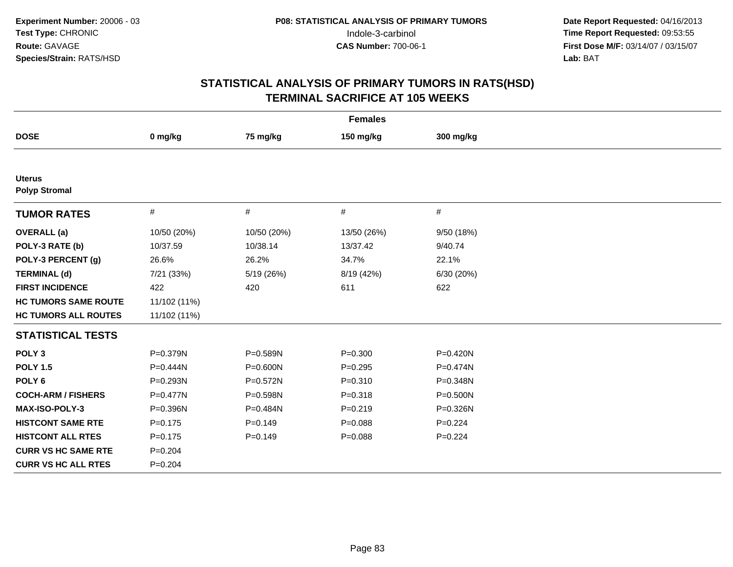| <b>Females</b>                        |              |              |             |             |  |
|---------------------------------------|--------------|--------------|-------------|-------------|--|
| <b>DOSE</b>                           | 0 mg/kg      | 75 mg/kg     | 150 mg/kg   | 300 mg/kg   |  |
|                                       |              |              |             |             |  |
| <b>Uterus</b><br><b>Polyp Stromal</b> |              |              |             |             |  |
| <b>TUMOR RATES</b>                    | $\#$         | $\#$         | $\#$        | $\#$        |  |
| <b>OVERALL</b> (a)                    | 10/50 (20%)  | 10/50 (20%)  | 13/50 (26%) | 9/50 (18%)  |  |
| POLY-3 RATE (b)                       | 10/37.59     | 10/38.14     | 13/37.42    | 9/40.74     |  |
| POLY-3 PERCENT (g)                    | 26.6%        | 26.2%        | 34.7%       | 22.1%       |  |
| <b>TERMINAL (d)</b>                   | 7/21 (33%)   | 5/19 (26%)   | 8/19 (42%)  | 6/30 (20%)  |  |
| <b>FIRST INCIDENCE</b>                | 422          | 420          | 611         | 622         |  |
| <b>HC TUMORS SAME ROUTE</b>           | 11/102 (11%) |              |             |             |  |
| <b>HC TUMORS ALL ROUTES</b>           | 11/102 (11%) |              |             |             |  |
| <b>STATISTICAL TESTS</b>              |              |              |             |             |  |
| POLY <sub>3</sub>                     | P=0.379N     | P=0.589N     | $P = 0.300$ | P=0.420N    |  |
| <b>POLY 1.5</b>                       | $P=0.444N$   | $P = 0.600N$ | $P=0.295$   | P=0.474N    |  |
| POLY <sub>6</sub>                     | P=0.293N     | $P = 0.572N$ | $P = 0.310$ | P=0.348N    |  |
| <b>COCH-ARM / FISHERS</b>             | P=0.477N     | P=0.598N     | $P = 0.318$ | P=0.500N    |  |
| <b>MAX-ISO-POLY-3</b>                 | P=0.396N     | P=0.484N     | $P = 0.219$ | P=0.326N    |  |
| <b>HISTCONT SAME RTE</b>              | $P = 0.175$  | $P=0.149$    | $P = 0.088$ | $P = 0.224$ |  |
| <b>HISTCONT ALL RTES</b>              | $P = 0.175$  | $P = 0.149$  | $P = 0.088$ | $P=0.224$   |  |
| <b>CURR VS HC SAME RTE</b>            | $P = 0.204$  |              |             |             |  |
| <b>CURR VS HC ALL RTES</b>            | $P = 0.204$  |              |             |             |  |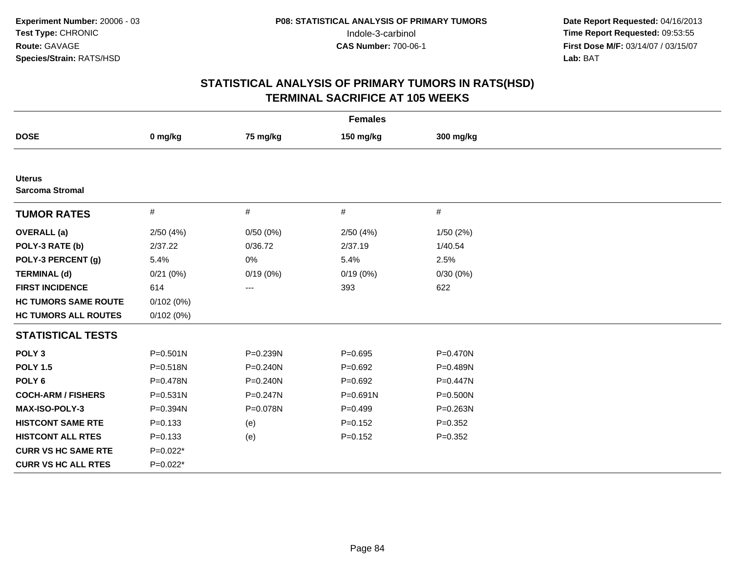|                                         |              |              | <b>Females</b> |              |  |
|-----------------------------------------|--------------|--------------|----------------|--------------|--|
| <b>DOSE</b>                             | 0 mg/kg      | 75 mg/kg     | 150 mg/kg      | 300 mg/kg    |  |
|                                         |              |              |                |              |  |
| <b>Uterus</b><br><b>Sarcoma Stromal</b> |              |              |                |              |  |
| <b>TUMOR RATES</b>                      | #            | #            | #              | #            |  |
| <b>OVERALL</b> (a)                      | 2/50(4%)     | 0/50(0%)     | 2/50(4%)       | 1/50(2%)     |  |
| POLY-3 RATE (b)                         | 2/37.22      | 0/36.72      | 2/37.19        | 1/40.54      |  |
| POLY-3 PERCENT (g)                      | 5.4%         | 0%           | 5.4%           | 2.5%         |  |
| <b>TERMINAL (d)</b>                     | 0/21(0%)     | 0/19(0%)     | 0/19(0%)       | 0/30(0%)     |  |
| <b>FIRST INCIDENCE</b>                  | 614          | ---          | 393            | 622          |  |
| <b>HC TUMORS SAME ROUTE</b>             | 0/102(0%)    |              |                |              |  |
| <b>HC TUMORS ALL ROUTES</b>             | 0/102(0%)    |              |                |              |  |
| <b>STATISTICAL TESTS</b>                |              |              |                |              |  |
| POLY <sub>3</sub>                       | $P = 0.501N$ | P=0.239N     | $P = 0.695$    | $P = 0.470N$ |  |
| <b>POLY 1.5</b>                         | $P = 0.518N$ | $P = 0.240N$ | $P = 0.692$    | P=0.489N     |  |
| POLY <sub>6</sub>                       | P=0.478N     | $P = 0.240N$ | $P=0.692$      | P=0.447N     |  |
| <b>COCH-ARM / FISHERS</b>               | $P = 0.531N$ | $P = 0.247N$ | P=0.691N       | P=0.500N     |  |
| <b>MAX-ISO-POLY-3</b>                   | P=0.394N     | P=0.078N     | $P=0.499$      | $P = 0.263N$ |  |
| <b>HISTCONT SAME RTE</b>                | $P = 0.133$  | (e)          | $P=0.152$      | $P = 0.352$  |  |
| <b>HISTCONT ALL RTES</b>                | $P = 0.133$  | (e)          | $P = 0.152$    | $P = 0.352$  |  |
| <b>CURR VS HC SAME RTE</b>              | $P=0.022*$   |              |                |              |  |
| <b>CURR VS HC ALL RTES</b>              | $P=0.022*$   |              |                |              |  |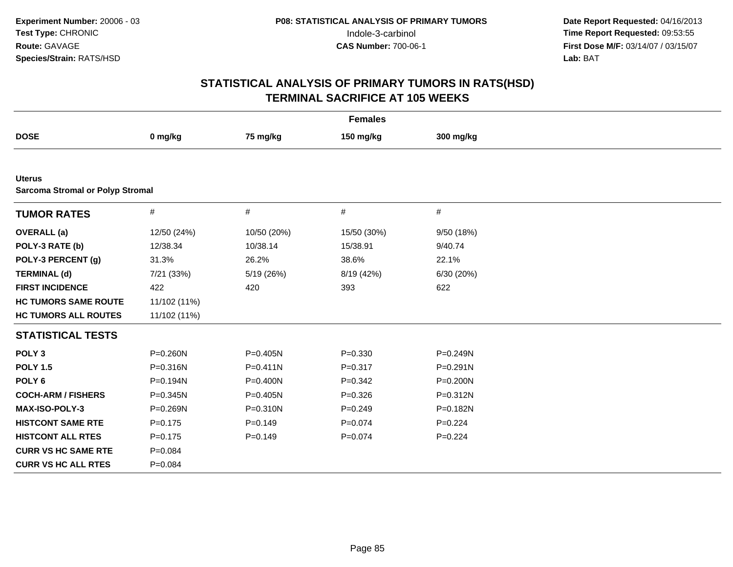|                                                          |              |              | <b>Females</b> |              |  |
|----------------------------------------------------------|--------------|--------------|----------------|--------------|--|
| <b>DOSE</b>                                              | 0 mg/kg      | 75 mg/kg     | 150 mg/kg      | 300 mg/kg    |  |
|                                                          |              |              |                |              |  |
| <b>Uterus</b><br><b>Sarcoma Stromal or Polyp Stromal</b> |              |              |                |              |  |
| <b>TUMOR RATES</b>                                       | $\#$         | $\#$         | $\#$           | $\#$         |  |
| <b>OVERALL</b> (a)                                       | 12/50 (24%)  | 10/50 (20%)  | 15/50 (30%)    | 9/50 (18%)   |  |
| POLY-3 RATE (b)                                          | 12/38.34     | 10/38.14     | 15/38.91       | 9/40.74      |  |
| POLY-3 PERCENT (g)                                       | 31.3%        | 26.2%        | 38.6%          | 22.1%        |  |
| <b>TERMINAL (d)</b>                                      | 7/21 (33%)   | 5/19 (26%)   | 8/19 (42%)     | 6/30 (20%)   |  |
| <b>FIRST INCIDENCE</b>                                   | 422          | 420          | 393            | 622          |  |
| <b>HC TUMORS SAME ROUTE</b>                              | 11/102 (11%) |              |                |              |  |
| <b>HC TUMORS ALL ROUTES</b>                              | 11/102 (11%) |              |                |              |  |
| <b>STATISTICAL TESTS</b>                                 |              |              |                |              |  |
| POLY <sub>3</sub>                                        | P=0.260N     | P=0.405N     | $P = 0.330$    | P=0.249N     |  |
| <b>POLY 1.5</b>                                          | P=0.316N     | $P = 0.411N$ | $P = 0.317$    | $P = 0.291N$ |  |
| POLY <sub>6</sub>                                        | P=0.194N     | P=0.400N     | $P = 0.342$    | P=0.200N     |  |
| <b>COCH-ARM / FISHERS</b>                                | $P = 0.345N$ | P=0.405N     | $P = 0.326$    | P=0.312N     |  |
| MAX-ISO-POLY-3                                           | P=0.269N     | P=0.310N     | $P=0.249$      | P=0.182N     |  |
| <b>HISTCONT SAME RTE</b>                                 | $P=0.175$    | $P=0.149$    | $P = 0.074$    | $P=0.224$    |  |
| <b>HISTCONT ALL RTES</b>                                 | $P = 0.175$  | $P=0.149$    | $P = 0.074$    | $P=0.224$    |  |
| <b>CURR VS HC SAME RTE</b>                               | $P = 0.084$  |              |                |              |  |
| <b>CURR VS HC ALL RTES</b>                               | $P = 0.084$  |              |                |              |  |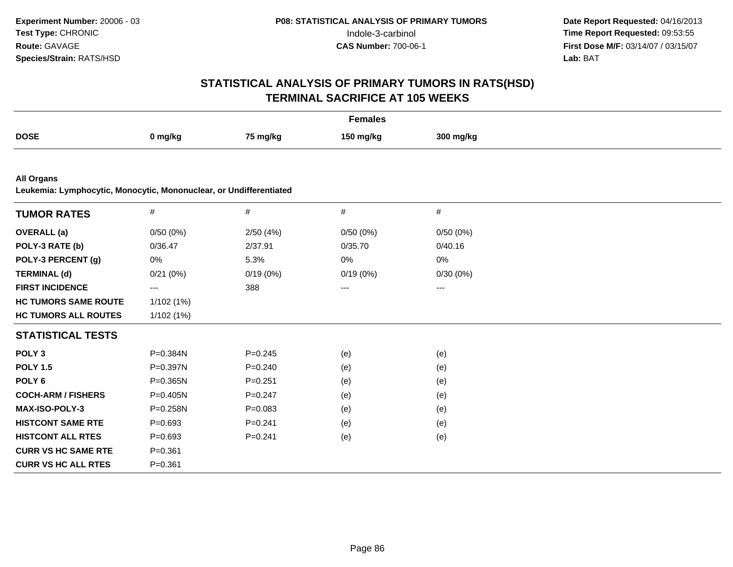| <b>Females</b>                                                                          |                   |             |           |           |  |
|-----------------------------------------------------------------------------------------|-------------------|-------------|-----------|-----------|--|
| <b>DOSE</b>                                                                             | 0 mg/kg           | 75 mg/kg    | 150 mg/kg | 300 mg/kg |  |
|                                                                                         |                   |             |           |           |  |
| <b>All Organs</b><br>Leukemia: Lymphocytic, Monocytic, Mononuclear, or Undifferentiated |                   |             |           |           |  |
| <b>TUMOR RATES</b>                                                                      | $\#$              | $\#$        | $\#$      | $\#$      |  |
| <b>OVERALL</b> (a)                                                                      | 0/50(0%)          | 2/50(4%)    | 0/50(0%)  | 0/50(0%)  |  |
| POLY-3 RATE (b)                                                                         | 0/36.47           | 2/37.91     | 0/35.70   | 0/40.16   |  |
| POLY-3 PERCENT (g)                                                                      | 0%                | 5.3%        | 0%        | 0%        |  |
| <b>TERMINAL (d)</b>                                                                     | 0/21(0%)          | 0/19(0%)    | 0/19(0%)  | 0/30(0%)  |  |
| <b>FIRST INCIDENCE</b>                                                                  | $\qquad \qquad -$ | 388         | ---       | ---       |  |
| <b>HC TUMORS SAME ROUTE</b>                                                             | 1/102 (1%)        |             |           |           |  |
| <b>HC TUMORS ALL ROUTES</b>                                                             | 1/102(1%)         |             |           |           |  |
| <b>STATISTICAL TESTS</b>                                                                |                   |             |           |           |  |
| POLY <sub>3</sub>                                                                       | P=0.384N          | $P = 0.245$ | (e)       | (e)       |  |
| <b>POLY 1.5</b>                                                                         | P=0.397N          | $P = 0.240$ | (e)       | (e)       |  |
| POLY <sub>6</sub>                                                                       | P=0.365N          | $P = 0.251$ | (e)       | (e)       |  |
| <b>COCH-ARM / FISHERS</b>                                                               | $P = 0.405N$      | $P = 0.247$ | (e)       | (e)       |  |
| MAX-ISO-POLY-3                                                                          | P=0.258N          | $P = 0.083$ | (e)       | (e)       |  |
| <b>HISTCONT SAME RTE</b>                                                                | $P = 0.693$       | $P = 0.241$ | (e)       | (e)       |  |
| <b>HISTCONT ALL RTES</b>                                                                | $P = 0.693$       | $P=0.241$   | (e)       | (e)       |  |
| <b>CURR VS HC SAME RTE</b>                                                              | $P = 0.361$       |             |           |           |  |
| <b>CURR VS HC ALL RTES</b>                                                              | $P = 0.361$       |             |           |           |  |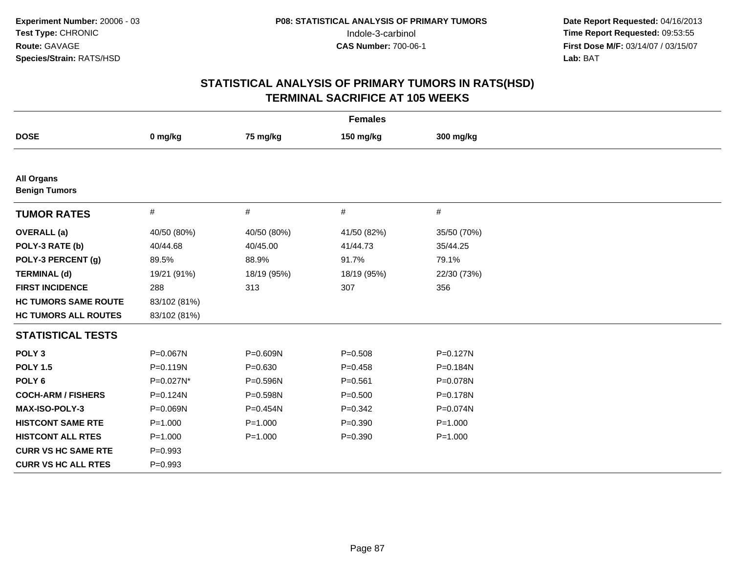| <b>Females</b>                            |              |             |             |              |  |
|-------------------------------------------|--------------|-------------|-------------|--------------|--|
| <b>DOSE</b>                               | 0 mg/kg      | 75 mg/kg    | 150 mg/kg   | 300 mg/kg    |  |
|                                           |              |             |             |              |  |
| <b>All Organs</b><br><b>Benign Tumors</b> |              |             |             |              |  |
| <b>TUMOR RATES</b>                        | $\#$         | $\#$        | $\#$        | #            |  |
| <b>OVERALL</b> (a)                        | 40/50 (80%)  | 40/50 (80%) | 41/50 (82%) | 35/50 (70%)  |  |
| POLY-3 RATE (b)                           | 40/44.68     | 40/45.00    | 41/44.73    | 35/44.25     |  |
| POLY-3 PERCENT (g)                        | 89.5%        | 88.9%       | 91.7%       | 79.1%        |  |
| <b>TERMINAL (d)</b>                       | 19/21 (91%)  | 18/19 (95%) | 18/19 (95%) | 22/30 (73%)  |  |
| <b>FIRST INCIDENCE</b>                    | 288          | 313         | 307         | 356          |  |
| <b>HC TUMORS SAME ROUTE</b>               | 83/102 (81%) |             |             |              |  |
| <b>HC TUMORS ALL ROUTES</b>               | 83/102 (81%) |             |             |              |  |
| <b>STATISTICAL TESTS</b>                  |              |             |             |              |  |
| POLY <sub>3</sub>                         | P=0.067N     | P=0.609N    | $P = 0.508$ | $P = 0.127N$ |  |
| <b>POLY 1.5</b>                           | $P = 0.119N$ | $P = 0.630$ | $P = 0.458$ | $P = 0.184N$ |  |
| POLY <sub>6</sub>                         | P=0.027N*    | P=0.596N    | $P = 0.561$ | P=0.078N     |  |
| <b>COCH-ARM / FISHERS</b>                 | P=0.124N     | P=0.598N    | $P = 0.500$ | P=0.178N     |  |
| <b>MAX-ISO-POLY-3</b>                     | P=0.069N     | P=0.454N    | $P=0.342$   | P=0.074N     |  |
| <b>HISTCONT SAME RTE</b>                  | $P = 1.000$  | $P = 1.000$ | $P = 0.390$ | $P = 1.000$  |  |
| <b>HISTCONT ALL RTES</b>                  | $P = 1.000$  | $P = 1.000$ | $P = 0.390$ | $P = 1.000$  |  |
| <b>CURR VS HC SAME RTE</b>                | $P = 0.993$  |             |             |              |  |
| <b>CURR VS HC ALL RTES</b>                | $P=0.993$    |             |             |              |  |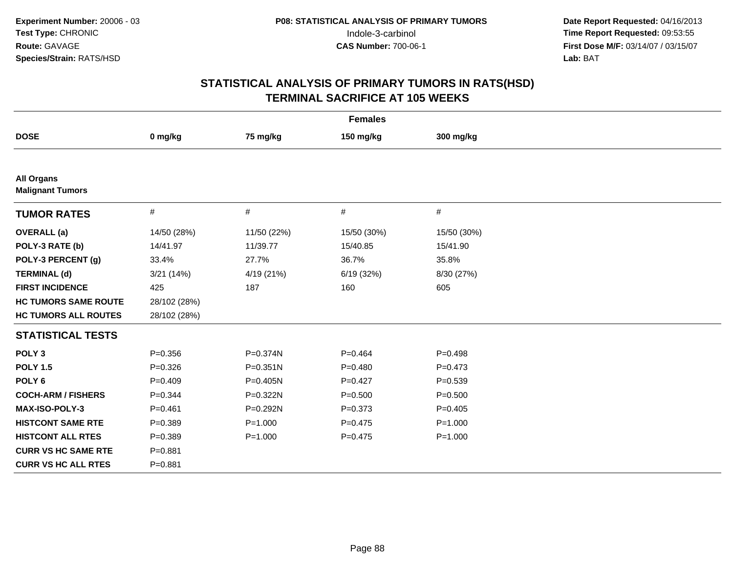| <b>Females</b>                               |              |              |             |             |  |
|----------------------------------------------|--------------|--------------|-------------|-------------|--|
| <b>DOSE</b>                                  | 0 mg/kg      | 75 mg/kg     | 150 mg/kg   | 300 mg/kg   |  |
|                                              |              |              |             |             |  |
| <b>All Organs</b><br><b>Malignant Tumors</b> |              |              |             |             |  |
| <b>TUMOR RATES</b>                           | $\#$         | $\#$         | $\#$        | #           |  |
| <b>OVERALL</b> (a)                           | 14/50 (28%)  | 11/50 (22%)  | 15/50 (30%) | 15/50 (30%) |  |
| POLY-3 RATE (b)                              | 14/41.97     | 11/39.77     | 15/40.85    | 15/41.90    |  |
| POLY-3 PERCENT (g)                           | 33.4%        | 27.7%        | 36.7%       | 35.8%       |  |
| <b>TERMINAL (d)</b>                          | 3/21 (14%)   | 4/19 (21%)   | 6/19(32%)   | 8/30 (27%)  |  |
| <b>FIRST INCIDENCE</b>                       | 425          | 187          | 160         | 605         |  |
| <b>HC TUMORS SAME ROUTE</b>                  | 28/102 (28%) |              |             |             |  |
| <b>HC TUMORS ALL ROUTES</b>                  | 28/102 (28%) |              |             |             |  |
| <b>STATISTICAL TESTS</b>                     |              |              |             |             |  |
| POLY <sub>3</sub>                            | $P = 0.356$  | P=0.374N     | $P = 0.464$ | $P=0.498$   |  |
| <b>POLY 1.5</b>                              | $P = 0.326$  | $P = 0.351N$ | $P = 0.480$ | $P=0.473$   |  |
| POLY <sub>6</sub>                            | $P=0.409$    | P=0.405N     | $P=0.427$   | $P = 0.539$ |  |
| <b>COCH-ARM / FISHERS</b>                    | $P=0.344$    | P=0.322N     | $P = 0.500$ | $P = 0.500$ |  |
| <b>MAX-ISO-POLY-3</b>                        | $P = 0.461$  | $P=0.292N$   | $P = 0.373$ | $P=0.405$   |  |
| <b>HISTCONT SAME RTE</b>                     | $P = 0.389$  | $P = 1.000$  | $P=0.475$   | $P = 1.000$ |  |
| <b>HISTCONT ALL RTES</b>                     | $P = 0.389$  | $P = 1.000$  | $P=0.475$   | $P = 1.000$ |  |
| <b>CURR VS HC SAME RTE</b>                   | $P = 0.881$  |              |             |             |  |
| <b>CURR VS HC ALL RTES</b>                   | $P = 0.881$  |              |             |             |  |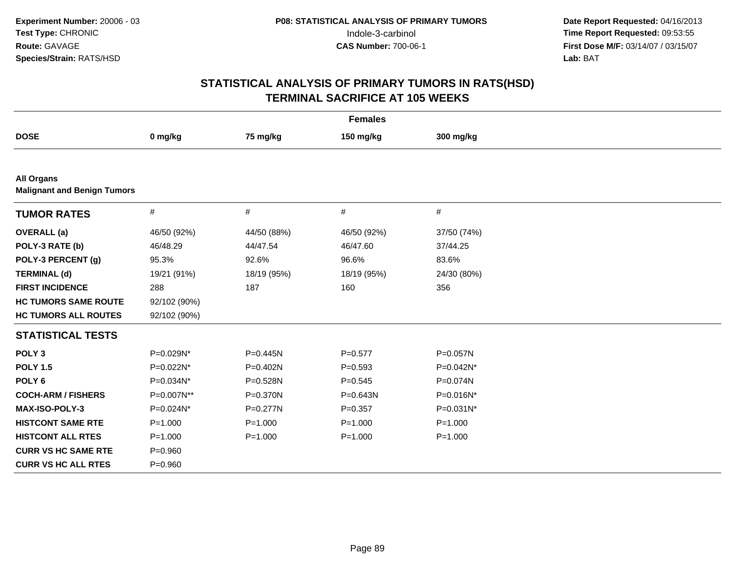|                                                         |              |             | <b>Females</b> |             |
|---------------------------------------------------------|--------------|-------------|----------------|-------------|
| <b>DOSE</b>                                             | 0 mg/kg      | 75 mg/kg    | 150 mg/kg      | 300 mg/kg   |
|                                                         |              |             |                |             |
| <b>All Organs</b><br><b>Malignant and Benign Tumors</b> |              |             |                |             |
| <b>TUMOR RATES</b>                                      | $\#$         | $\#$        | $\#$           | #           |
| <b>OVERALL</b> (a)                                      | 46/50 (92%)  | 44/50 (88%) | 46/50 (92%)    | 37/50 (74%) |
| POLY-3 RATE (b)                                         | 46/48.29     | 44/47.54    | 46/47.60       | 37/44.25    |
| POLY-3 PERCENT (g)                                      | 95.3%        | 92.6%       | 96.6%          | 83.6%       |
| <b>TERMINAL (d)</b>                                     | 19/21 (91%)  | 18/19 (95%) | 18/19 (95%)    | 24/30 (80%) |
| <b>FIRST INCIDENCE</b>                                  | 288          | 187         | 160            | 356         |
| <b>HC TUMORS SAME ROUTE</b>                             | 92/102 (90%) |             |                |             |
| <b>HC TUMORS ALL ROUTES</b>                             | 92/102 (90%) |             |                |             |
| <b>STATISTICAL TESTS</b>                                |              |             |                |             |
| POLY <sub>3</sub>                                       | P=0.029N*    | P=0.445N    | $P = 0.577$    | P=0.057N    |
| <b>POLY 1.5</b>                                         | P=0.022N*    | P=0.402N    | $P = 0.593$    | P=0.042N*   |
| POLY <sub>6</sub>                                       | P=0.034N*    | P=0.528N    | $P = 0.545$    | P=0.074N    |
| <b>COCH-ARM / FISHERS</b>                               | P=0.007N**   | P=0.370N    | $P = 0.643N$   | P=0.016N*   |
| <b>MAX-ISO-POLY-3</b>                                   | P=0.024N*    | P=0.277N    | $P = 0.357$    | P=0.031N*   |
| <b>HISTCONT SAME RTE</b>                                | $P = 1.000$  | $P = 1.000$ | $P = 1.000$    | $P = 1.000$ |
| <b>HISTCONT ALL RTES</b>                                | $P = 1.000$  | $P = 1.000$ | $P = 1.000$    | $P = 1.000$ |
| <b>CURR VS HC SAME RTE</b>                              | $P = 0.960$  |             |                |             |
| <b>CURR VS HC ALL RTES</b>                              | $P = 0.960$  |             |                |             |